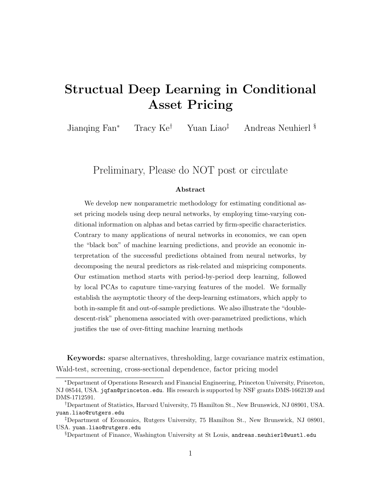# Structual Deep Learning in Conditional Asset Pricing

Jianqing Fan<sup>∗</sup> Tracy Ke† Yuan Liao‡ Andreas Neuhierl §

# Preliminary, Please do NOT post or circulate

#### Abstract

We develop new nonparametric methodology for estimating conditional asset pricing models using deep neural networks, by employing time-varying conditional information on alphas and betas carried by firm-specific characteristics. Contrary to many applications of neural networks in economics, we can open the "black box" of machine learning predictions, and provide an economic interpretation of the successful predictions obtained from neural networks, by decomposing the neural predictors as risk-related and mispricing components. Our estimation method starts with period-by-period deep learning, followed by local PCAs to caputure time-varying features of the model. We formally establish the asymptotic theory of the deep-learning estimators, which apply to both in-sample fit and out-of-sample predictions. We also illustrate the "doubledescent-risk" phenomena associated with over-parametrized predictions, which justifies the use of over-fitting machine learning methods

Keywords: sparse alternatives, thresholding, large covariance matrix estimation, Wald-test, screening, cross-sectional dependence, factor pricing model

<sup>∗</sup>Department of Operations Research and Financial Engineering, Princeton University, Princeton, NJ 08544, USA. jqfan@princeton.edu. His research is supported by NSF grants DMS-1662139 and DMS-1712591.

<sup>†</sup>Department of Statistics, Harvard University, 75 Hamilton St., New Brunswick, NJ 08901, USA. yuan.liao@rutgers.edu

<sup>‡</sup>Department of Economics, Rutgers University, 75 Hamilton St., New Brunswick, NJ 08901, USA. yuan.liao@rutgers.edu

<sup>§</sup>Department of Finance, Washington University at St Louis, andreas.neuhierl@wustl.edu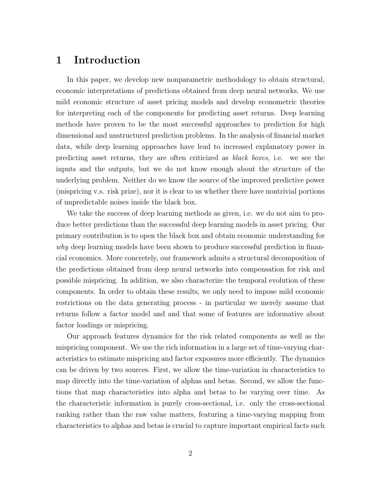# 1 Introduction

In this paper, we develop new nonparametric methodology to obtain structural, economic interpretations of predictions obtained from deep neural networks. We use mild economic structure of asset pricing models and develop econometric theories for interpreting each of the components for predicting asset returns. Deep learning methods have proven to be the most successful approaches to prediction for high dimensional and unstructured prediction problems. In the analysis of financial market data, while deep learning approaches have lead to increased explanatory power in predicting asset returns, they are often criticized as black boxes, i.e. we see the inputs and the outputs, but we do not know enough about the structure of the underlying problem. Neither do we know the source of the improved predictive power (mispricing v.s. risk prize), nor it is clear to us whether there have nontrivial portions of unpredictable noises inside the black box.

We take the success of deep learning methods as given, i.e. we do not aim to produce better predictions than the successful deep learning models in asset pricing. Our primary contribution is to open the black box and obtain economic understanding for why deep learning models have been shown to produce successful prediction in financial economics. More concretely, our framework admits a structural decomposition of the predictions obtained from deep neural networks into compensation for risk and possible mispricing. In addition, we also characterize the temporal evolution of these components. In order to obtain these results, we only need to impose mild economic restrictions on the data generating process - in particular we merely assume that returns follow a factor model and and that some of features are informative about factor loadings or mispricing.

Our approach features dynamics for the risk related components as well as the mispricing component. We use the rich information in a large set of time-varying characteristics to estimate mispricing and factor exposures more efficiently. The dynamics can be driven by two sources. First, we allow the time-variation in characteristics to map directly into the time-variation of alphas and betas. Second, we allow the functions that map characteristics into alpha and betas to be varying over time. As the characteristic information is purely cross-sectional, i.e. only the cross-sectional ranking rather than the raw value matters, featuring a time-varying mapping from characteristics to alphas and betas is crucial to capture important empirical facts such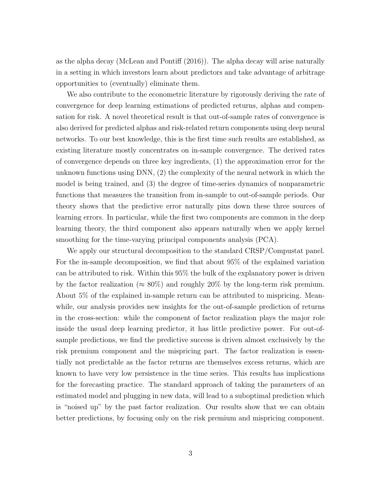as the alpha decay (McLean and Pontiff (2016)). The alpha decay will arise naturally in a setting in which investors learn about predictors and take advantage of arbitrage opportunities to (eventually) eliminate them.

We also contribute to the econometric literature by rigorously deriving the rate of convergence for deep learning estimations of predicted returns, alphas and compensation for risk. A novel theoretical result is that out-of-sample rates of convergence is also derived for predicted alphas and risk-related return components using deep neural networks. To our best knowledge, this is the first time such results are established, as existing literature mostly concentrates on in-sample convergence. The derived rates of convergence depends on three key ingredients, (1) the approximation error for the unknown functions using DNN, (2) the complexity of the neural network in which the model is being trained, and (3) the degree of time-series dynamics of nonparametric functions that measures the transition from in-sample to out-of-sample periods. Our theory shows that the predictive error naturally pins down these three sources of learning errors. In particular, while the first two components are common in the deep learning theory, the third component also appears naturally when we apply kernel smoothing for the time-varying principal components analysis (PCA).

We apply our structural decomposition to the standard CRSP/Compustat panel. For the in-sample decomposition, we find that about 95% of the explained variation can be attributed to risk. Within this 95% the bulk of the explanatory power is driven by the factor realization ( $\approx 80\%$ ) and roughly 20% by the long-term risk premium. About 5% of the explained in-sample return can be attributed to mispricing. Meanwhile, our analysis provides new insights for the out-of-sample prediction of returns in the cross-section: while the component of factor realization plays the major role inside the usual deep learning predictor, it has little predictive power. For out-ofsample predictions, we find the predictive success is driven almost exclusively by the risk premium component and the mispricing part. The factor realization is essentially not predictable as the factor returns are themselves excess returns, which are known to have very low persistence in the time series. This results has implications for the forecasting practice. The standard approach of taking the parameters of an estimated model and plugging in new data, will lead to a suboptimal prediction which is "noised up" by the past factor realization. Our results show that we can obtain better predictions, by focusing only on the risk premium and mispricing component.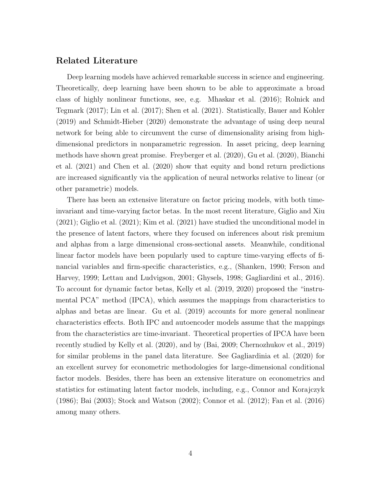## Related Literature

Deep learning models have achieved remarkable success in science and engineering. Theoretically, deep learning have been shown to be able to approximate a broad class of highly nonlinear functions, see, e.g. Mhaskar et al. (2016); Rolnick and Tegmark (2017); Lin et al. (2017); Shen et al. (2021). Statistically, Bauer and Kohler (2019) and Schmidt-Hieber (2020) demonstrate the advantage of using deep neural network for being able to circumvent the curse of dimensionality arising from highdimensional predictors in nonparametric regression. In asset pricing, deep learning methods have shown great promise. Freyberger et al. (2020), Gu et al. (2020), Bianchi et al. (2021) and Chen et al. (2020) show that equity and bond return predictions are increased significantly via the application of neural networks relative to linear (or other parametric) models.

There has been an extensive literature on factor pricing models, with both timeinvariant and time-varying factor betas. In the most recent literature, Giglio and Xiu (2021); Giglio et al. (2021); Kim et al. (2021) have studied the unconditional model in the presence of latent factors, where they focused on inferences about risk premium and alphas from a large dimensional cross-sectional assets. Meanwhile, conditional linear factor models have been popularly used to capture time-varying effects of financial variables and firm-specific characteristics, e.g., (Shanken, 1990; Ferson and Harvey, 1999; Lettau and Ludvigson, 2001; Ghysels, 1998; Gagliardini et al., 2016). To account for dynamic factor betas, Kelly et al. (2019, 2020) proposed the "instrumental PCA" method (IPCA), which assumes the mappings from characteristics to alphas and betas are linear. Gu et al. (2019) accounts for more general nonlinear characteristics effects. Both IPC and autoencoder models assume that the mappings from the characteristics are time-invariant. Theoretical properties of IPCA have been recently studied by Kelly et al. (2020), and by (Bai, 2009; Chernozhukov et al., 2019) for similar problems in the panel data literature. See Gagliardinia et al. (2020) for an excellent survey for econometric methodologies for large-dimensional conditional factor models. Besides, there has been an extensive literature on econometrics and statistics for estimating latent factor models, including, e.g., Connor and Korajczyk (1986); Bai (2003); Stock and Watson (2002); Connor et al. (2012); Fan et al. (2016) among many others.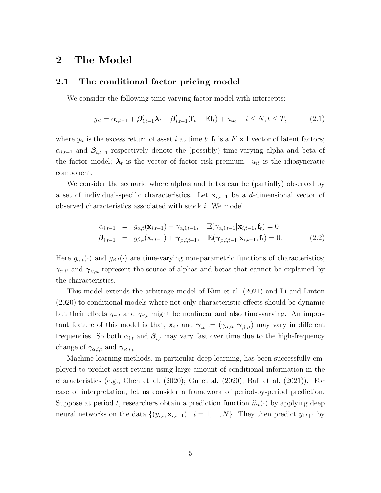## 2 The Model

### 2.1 The conditional factor pricing model

We consider the following time-varying factor model with intercepts:

$$
y_{it} = \alpha_{i,t-1} + \beta'_{i,t-1}\lambda_t + \beta'_{i,t-1}(\mathbf{f}_t - \mathbb{E}\mathbf{f}_t) + u_{it}, \quad i \leq N, t \leq T,
$$
\n(2.1)

where  $y_{it}$  is the excess return of asset i at time t;  $\mathbf{f}_t$  is a  $K \times 1$  vector of latent factors;  $\alpha_{i,t-1}$  and  $\beta_{i,t-1}$  respectively denote the (possibly) time-varying alpha and beta of the factor model;  $\lambda_t$  is the vector of factor risk premium.  $u_{it}$  is the idiosyncratic component.

We consider the scenario where alphas and betas can be (partially) observed by a set of individual-specific characteristics. Let  $\mathbf{x}_{i,t-1}$  be a d-dimensional vector of observed characteristics associated with stock i. We model

$$
\alpha_{i,t-1} = g_{\alpha,t}(\mathbf{x}_{i,t-1}) + \gamma_{\alpha,i,t-1}, \quad \mathbb{E}(\gamma_{\alpha,i,t-1}|\mathbf{x}_{i,t-1}, \mathbf{f}_t) = 0
$$
  

$$
\beta_{i,t-1} = g_{\beta,t}(\mathbf{x}_{i,t-1}) + \gamma_{\beta,i,t-1}, \quad \mathbb{E}(\gamma_{\beta,i,t-1}|\mathbf{x}_{i,t-1}, \mathbf{f}_t) = 0.
$$
 (2.2)

Here  $g_{\alpha,t}(\cdot)$  and  $g_{\beta,t}(\cdot)$  are time-varying non-parametric functions of characteristics;  $\gamma_{\alpha, it}$  and  $\gamma_{\beta, it}$  represent the source of alphas and betas that cannot be explained by the characteristics.

This model extends the arbitrage model of Kim et al. (2021) and Li and Linton (2020) to conditional models where not only characteristic effects should be dynamic but their effects  $g_{\alpha,t}$  and  $g_{\beta,t}$  might be nonlinear and also time-varying. An important feature of this model is that,  $\mathbf{x}_{i,t}$  and  $\boldsymbol{\gamma}_{it} := (\gamma_{\alpha, it}, \boldsymbol{\gamma}_{\beta, it})$  may vary in different frequencies. So both  $\alpha_{i,t}$  and  $\beta_{i,t}$  may vary fast over time due to the high-frequency change of  $\gamma_{\alpha,i,t}$  and  $\gamma_{\beta,i,t}$ .

Machine learning methods, in particular deep learning, has been successfully employed to predict asset returns using large amount of conditional information in the characteristics (e.g., Chen et al. (2020); Gu et al. (2020); Bali et al. (2021)). For ease of interpretation, let us consider a framework of period-by-period prediction. Suppose at period t, researchers obtain a prediction function  $\widehat{m}_t(\cdot)$  by applying deep neural networks on the data  $\{(y_{i,t}, \mathbf{x}_{i,t-1}) : i = 1, ..., N\}$ . They then predict  $y_{i,t+1}$  by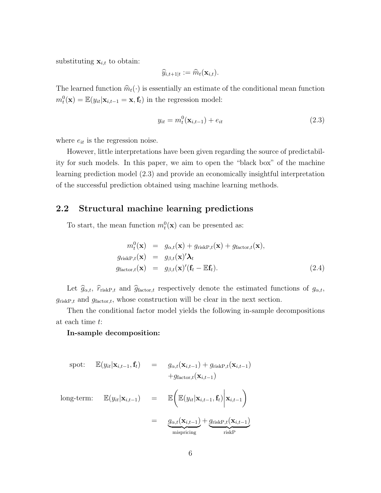substituting  $\mathbf{x}_{i,t}$  to obtain:

$$
\widehat{y}_{i,t+1|t} := \widehat{m}_t(\mathbf{x}_{i,t}).
$$

The learned function  $\hat{m}_t(\cdot)$  is essentially an estimate of the conditional mean function  $m_t^0(\mathbf{x}) = \mathbb{E}(y_{it}|\mathbf{x}_{i,t-1} = \mathbf{x}, \mathbf{f}_t)$  in the regression model:

$$
y_{it} = m_t^0(\mathbf{x}_{i,t-1}) + e_{it}
$$
\n(2.3)

where  $e_{it}$  is the regression noise.

However, little interpretations have been given regarding the source of predictability for such models. In this paper, we aim to open the "black box" of the machine learning prediction model (2.3) and provide an economically insightful interpretation of the successful prediction obtained using machine learning methods.

## 2.2 Structural machine learning predictions

To start, the mean function  $m_t^0(\mathbf{x})$  can be presented as:

$$
m_t^0(\mathbf{x}) = g_{\alpha,t}(\mathbf{x}) + g_{\text{riskP},t}(\mathbf{x}) + g_{\text{factor},t}(\mathbf{x}),
$$
  
\n
$$
g_{\text{riskP},t}(\mathbf{x}) = g_{\beta,t}(\mathbf{x})' \lambda_t
$$
  
\n
$$
g_{\text{factor},t}(\mathbf{x}) = g_{\beta,t}(\mathbf{x})' (\mathbf{f}_t - \mathbb{E} \mathbf{f}_t).
$$
\n(2.4)

Let  $\hat{g}_{\alpha,t}$ ,  $\hat{r}_{\text{riskP},t}$  and  $\hat{g}_{\text{factor},t}$  respectively denote the estimated functions of  $g_{\alpha,t}$ ,  $g_{\text{riskP},t}$  and  $g_{\text{factor},t}$ , whose construction will be clear in the next section.

Then the conditional factor model yields the following in-sample decompositions at each time t:

#### In-sample decomposition:

$$
\text{spot:} \quad \mathbb{E}(y_{it}|\mathbf{x}_{i,t-1},\mathbf{f}_t) \quad = \quad g_{\alpha,t}(\mathbf{x}_{i,t-1}) + g_{\text{riskP},t}(\mathbf{x}_{i,t-1}) + g_{\text{factor},t}(\mathbf{x}_{i,t-1})
$$

long-term: 
$$
\mathbb{E}(y_{it}|\mathbf{x}_{i,t-1}) = \mathbb{E}\bigg(\mathbb{E}(y_{it}|\mathbf{x}_{i,t-1}, \mathbf{f}_t) \bigg| \mathbf{x}_{i,t-1}\bigg)
$$

$$
= \underbrace{g_{\alpha,t}(\mathbf{x}_{i,t-1})}_{\text{mispricing}} + \underbrace{g_{\text{riskP},t}(\mathbf{x}_{i,t-1})}_{\text{riskP}}
$$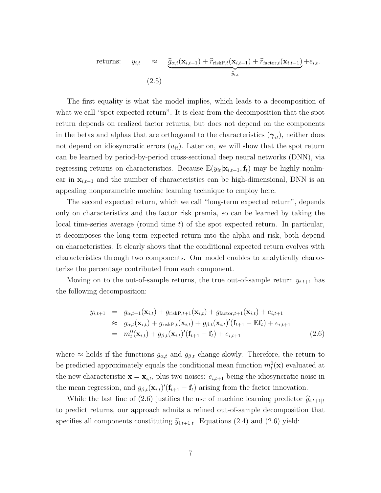returns: 
$$
y_{i,t} \approx \underbrace{\hat{g}_{\alpha,t}(\mathbf{x}_{i,t-1}) + \hat{r}_{\text{riskP},t}(\mathbf{x}_{i,t-1}) + \hat{r}_{\text{factor},t}(\mathbf{x}_{i,t-1})}_{\hat{y}_{i,t}} + e_{i,t}.
$$
\n(2.5)

The first equality is what the model implies, which leads to a decomposition of what we call "spot expected return". It is clear from the decomposition that the spot return depends on realized factor returns, but does not depend on the components in the betas and alphas that are orthogonal to the characteristics  $(\gamma_{it})$ , neither does not depend on idiosyncratic errors  $(u_{it})$ . Later on, we will show that the spot return can be learned by period-by-period cross-sectional deep neural networks (DNN), via regressing returns on characteristics. Because  $\mathbb{E}(y_{it}|\mathbf{x}_{i,t-1},\mathbf{f}_t)$  may be highly nonlinear in  $\mathbf{x}_{i,t-1}$  and the number of characteristics can be high-dimensional, DNN is an appealing nonparametric machine learning technique to employ here.

The second expected return, which we call "long-term expected return", depends only on characteristics and the factor risk premia, so can be learned by taking the local time-series average (round time  $t$ ) of the spot expected return. In particular, it decomposes the long-term expected return into the alpha and risk, both depend on characteristics. It clearly shows that the conditional expected return evolves with characteristics through two components. Our model enables to analytically characterize the percentage contributed from each component.

Moving on to the out-of-sample returns, the true out-of-sample return  $y_{i,t+1}$  has the following decomposition:

$$
y_{i,t+1} = g_{\alpha,t+1}(\mathbf{x}_{i,t}) + g_{\text{riskP},t+1}(\mathbf{x}_{i,t}) + g_{\text{factor},t+1}(\mathbf{x}_{i,t}) + e_{i,t+1}
$$
  
\n
$$
\approx g_{\alpha,t}(\mathbf{x}_{i,t}) + g_{\text{riskP},t}(\mathbf{x}_{i,t}) + g_{\beta,t}(\mathbf{x}_{i,t})'(\mathbf{f}_{t+1} - \mathbb{E}\mathbf{f}_t) + e_{i,t+1}
$$
  
\n
$$
= m_t^0(\mathbf{x}_{i,t}) + g_{\beta,t}(\mathbf{x}_{i,t})'(\mathbf{f}_{t+1} - \mathbf{f}_t) + e_{i,t+1}
$$
\n(2.6)

where  $\approx$  holds if the functions  $g_{\alpha,t}$  and  $g_{\beta,t}$  change slowly. Therefore, the return to be predicted approximately equals the conditional mean function  $m_t^0(\mathbf{x})$  evaluated at the new characteristic  $\mathbf{x} = \mathbf{x}_{i,t}$ , plus two noises:  $e_{i,t+1}$  being the idiosyncratic noise in the mean regression, and  $g_{\beta,t}(\mathbf{x}_{i,t})'(\mathbf{f}_{t+1} - \mathbf{f}_t)$  arising from the factor innovation.

While the last line of (2.6) justifies the use of machine learning predictor  $\hat{y}_{i,t+1|t}$ to predict returns, our approach admits a refined out-of-sample decomposition that specifies all components constituting  $\hat{y}_{i,t+1|t}$ . Equations (2.4) and (2.6) yield: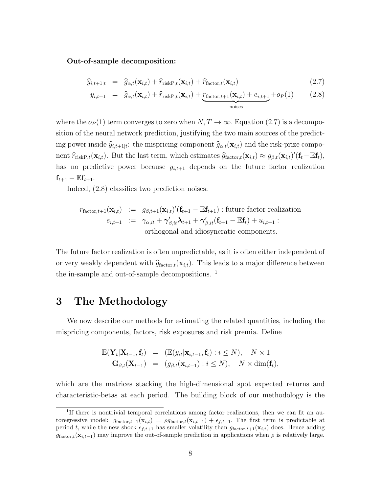#### Out-of-sample decomposition:

$$
\widehat{y}_{i,t+1|t} = \widehat{g}_{\alpha,t}(\mathbf{x}_{i,t}) + \widehat{r}_{\text{riskP},t}(\mathbf{x}_{i,t}) + \widehat{r}_{\text{factor},t}(\mathbf{x}_{i,t})
$$
\n(2.7)

$$
y_{i,t+1} = \hat{g}_{\alpha,t}(\mathbf{x}_{i,t}) + \hat{r}_{\text{riskP},t}(\mathbf{x}_{i,t}) + \underbrace{r_{\text{factor},t+1}(\mathbf{x}_{i,t}) + e_{i,t+1}}_{\text{noise}} + op(1) \qquad (2.8)
$$

where the  $o_P(1)$  term converges to zero when  $N, T \to \infty$ . Equation (2.7) is a decomposition of the neural network prediction, justifying the two main sources of the predicting power inside  $\widehat{y}_{i,t+1|t}$ : the mispricing component  $\widehat{g}_{\alpha,t}(\mathbf{x}_{i,t})$  and the risk-prize component  $\hat{r}_{\text{riskP},t}(\mathbf{x}_{i,t})$ . But the last term, which estimates  $\hat{g}_{\text{factor},t}(\mathbf{x}_{i,t}) \approx g_{\beta,t}(\mathbf{x}_{i,t})'(\mathbf{f}_t - \mathbb{E} \mathbf{f}_t)$ , has no predictive power because  $y_{i,t+1}$  depends on the future factor realization  $\mathbf{f}_{t+1} - \mathbb{E}\mathbf{f}_{t+1}.$ 

Indeed, (2.8) classifies two prediction noises:

$$
r_{\text{factor},t+1}(\mathbf{x}_{i,t}) := g_{\beta,t+1}(\mathbf{x}_{i,t})'(\mathbf{f}_{t+1} - \mathbb{E}\mathbf{f}_{t+1}) : \text{future factor realization}
$$
  
\n
$$
e_{i,t+1} := \gamma_{\alpha,it} + \gamma'_{\beta,it}\lambda_{t+1} + \gamma'_{\beta,it}(\mathbf{f}_{t+1} - \mathbb{E}\mathbf{f}_{t}) + u_{i,t+1} :
$$
  
\northogonal and idiosyncratic components.

The future factor realization is often unpredictable, as it is often either independent of or very weakly dependent with  $\hat{g}_{\text{factor},t}(\mathbf{x}_{i,t})$ . This leads to a major difference between the in-sample and out-of-sample decompositions. <sup>1</sup>

# 3 The Methodology

We now describe our methods for estimating the related quantities, including the mispricing components, factors, risk exposures and risk premia. Define

$$
\mathbb{E}(\mathbf{Y}_{t}|\mathbf{X}_{t-1},\mathbf{f}_{t}) = (\mathbb{E}(y_{it}|\mathbf{x}_{i,t-1},\mathbf{f}_{t}): i \leq N), \quad N \times 1
$$
  
\n
$$
\mathbf{G}_{\beta,t}(\mathbf{X}_{t-1}) = (g_{\beta,t}(\mathbf{x}_{i,t-1}): i \leq N), \quad N \times \dim(\mathbf{f}_{t}),
$$

which are the matrices stacking the high-dimensional spot expected returns and characteristic-betas at each period. The building block of our methodology is the

<sup>&</sup>lt;sup>1</sup>If there is nontrivial temporal correlations among factor realizations, then we can fit an autoregressive model:  $g_{\text{factor},t+1}(\mathbf{x}_{i,t}) = \rho g_{\text{factor},t}(\mathbf{x}_{i,t-1}) + \epsilon_{f,t+1}$ . The first term is predictable at period t, while the new shock  $\epsilon_{f,t+1}$  has smaller volatility than  $g_{factor,t+1}(\mathbf{x}_{i,t})$  does. Hence adding  $g_{\text{factor},t}(\mathbf{x}_{i,t-1})$  may improve the out-of-sample prediction in applications when  $\rho$  is relatively large.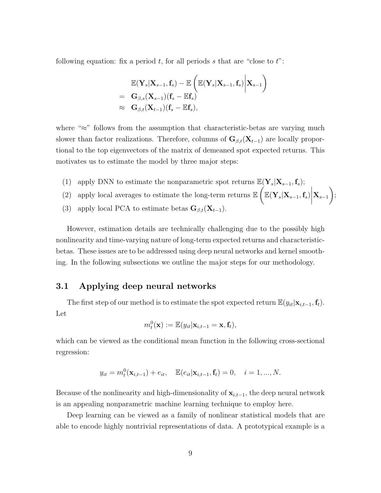following equation: fix a period  $t$ , for all periods s that are "close to  $t$ ":

$$
\begin{array}{ll} &\mathbb{E}(\mathbf{Y}_s|\mathbf{X}_{s-1},\mathbf{f}_s)-\mathbb{E}\left(\mathbb{E}(\mathbf{Y}_s|\mathbf{X}_{s-1},\mathbf{f}_s)\bigg|\mathbf{X}_{s-1}\right)\\ = &\mathbf{G}_{\beta,s}(\mathbf{X}_{s-1})(\mathbf{f}_s-\mathbb{E}\mathbf{f}_s)\\ \approx &\mathbf{G}_{\beta,t}(\mathbf{X}_{t-1})(\mathbf{f}_s-\mathbb{E}\mathbf{f}_s), \end{array}
$$

where "≈" follows from the assumption that characteristic-betas are varying much slower than factor realizations. Therefore, columns of  $\mathbf{G}_{\beta,t}(\mathbf{X}_{t-1})$  are locally proportional to the top eigenvectors of the matrix of demeaned spot expected returns. This motivates us to estimate the model by three major steps:

- (1) apply DNN to estimate the nonparametric spot returns  $\mathbb{E}(\mathbf{Y}_s|\mathbf{X}_{s-1}, \mathbf{f}_s);$
- (2) apply local averages to estimate the long-term returns  $\mathbb{E}\left(\mathbb{E}(\mathbf{Y}_s|\mathbf{X}_{s-1}, \mathbf{f}_s)\right)$  $\mathbf{X}_{s-1}$  $\setminus$ ;
- (3) apply local PCA to estimate betas  $\mathbf{G}_{\beta,t}(\mathbf{X}_{t-1})$ .

However, estimation details are technically challenging due to the possibly high nonlinearity and time-varying nature of long-term expected returns and characteristicbetas. These issues are to be addressed using deep neural networks and kernel smoothing. In the following subsections we outline the major steps for our methodology.

## 3.1 Applying deep neural networks

The first step of our method is to estimate the spot expected return  $\mathbb{E}(y_{it}|\mathbf{x}_{i,t-1},\mathbf{f}_t)$ . Let

$$
m_t^0(\mathbf{x}) := \mathbb{E}(y_{it}|\mathbf{x}_{i,t-1} = \mathbf{x}, \mathbf{f}_t),
$$

which can be viewed as the conditional mean function in the following cross-sectional regression:

$$
y_{it} = m_t^0(\mathbf{x}_{i,t-1}) + e_{it}, \quad \mathbb{E}(e_{it}|\mathbf{x}_{i,t-1}, \mathbf{f}_t) = 0, \quad i = 1, ..., N.
$$

Because of the nonlinearity and high-dimensionality of  $\mathbf{x}_{i,t-1}$ , the deep neural network is an appealing nonparametric machine learning technique to employ here.

Deep learning can be viewed as a family of nonlinear statistical models that are able to encode highly nontrivial representations of data. A prototypical example is a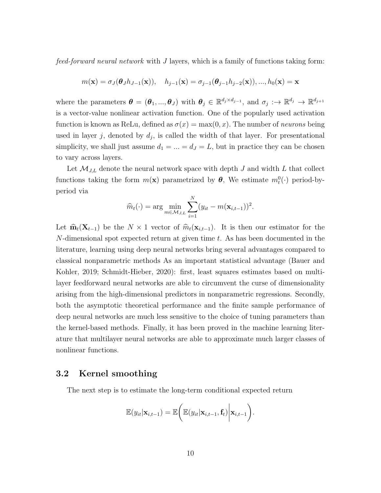feed-forward neural network with J layers, which is a family of functions taking form:

$$
m(\mathbf{x}) = \sigma_j(\boldsymbol{\theta}_j h_{j-1}(\mathbf{x})), \quad h_{j-1}(\mathbf{x}) = \sigma_{j-1}(\boldsymbol{\theta}_{j-1} h_{j-2}(\mathbf{x})), ..., h_0(\mathbf{x}) = \mathbf{x}
$$

where the parameters  $\boldsymbol{\theta} = (\boldsymbol{\theta}_1, ..., \boldsymbol{\theta}_J)$  with  $\boldsymbol{\theta}_j \in \mathbb{R}^{d_j \times d_{j-1}}$ , and  $\sigma_j : \to \mathbb{R}^{d_j} \to \mathbb{R}^{d_{j+1}}$ is a vector-value nonlinear activation function. One of the popularly used activation function is known as ReLu, defined as  $\sigma(x) = \max(0, x)$ . The number of *neurons* being used in layer j, denoted by  $d_j$ , is called the width of that layer. For presentational simplicity, we shall just assume  $d_1 = ... = d_J = L$ , but in practice they can be chosen to vary across layers.

Let  $\mathcal{M}_{J,L}$  denote the neural network space with depth J and width L that collect functions taking the form  $m(\mathbf{x})$  parametrized by  $\boldsymbol{\theta}$ , We estimate  $m_t^0(\cdot)$  period-byperiod via

$$
\widehat{m}_t(\cdot) = \arg \min_{m \in \mathcal{M}_{J,L}} \sum_{i=1}^N (y_{it} - m(\mathbf{x}_{i,t-1}))^2.
$$

Let  $\widehat{\mathbf{m}}_t(\mathbf{X}_{t-1})$  be the  $N \times 1$  vector of  $\widehat{m}_t(\mathbf{x}_{i,t-1})$ . It is then our estimator for the  $N$ -dimensional spot expected return at given time t. As has been documented in the literature, learning using deep neural networks bring several advantages compared to classical nonparametric methods As an important statistical advantage (Bauer and Kohler, 2019; Schmidt-Hieber, 2020): first, least squares estimates based on multilayer feedforward neural networks are able to circumvent the curse of dimensionality arising from the high-dimensional predictors in nonparametric regressions. Secondly, both the asymptotic theoretical performance and the finite sample performance of deep neural networks are much less sensitive to the choice of tuning parameters than the kernel-based methods. Finally, it has been proved in the machine learning literature that multilayer neural networks are able to approximate much larger classes of nonlinear functions.

## 3.2 Kernel smoothing

The next step is to estimate the long-term conditional expected return

$$
\mathbb{E}(y_{it}|\mathbf{x}_{i,t-1}) = \mathbb{E}\bigg(\mathbb{E}(y_{it}|\mathbf{x}_{i,t-1},\mathbf{f}_t)\bigg|\mathbf{x}_{i,t-1}\bigg).
$$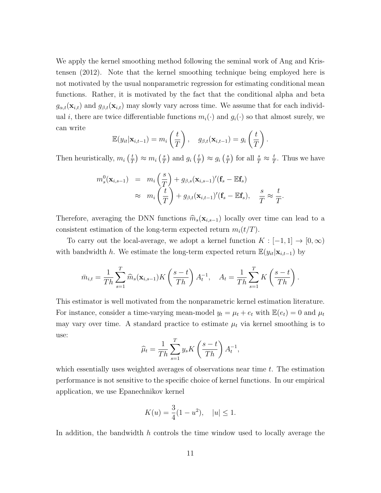We apply the kernel smoothing method following the seminal work of Ang and Kristensen (2012). Note that the kernel smoothing technique being employed here is not motivated by the usual nonparametric regression for estimating conditional mean functions. Rather, it is motivated by the fact that the conditional alpha and beta  $g_{\alpha,t}(\mathbf{x}_{i,t})$  and  $g_{\beta,t}(\mathbf{x}_{i,t})$  may slowly vary across time. We assume that for each individual i, there are twice differentiable functions  $m_i(\cdot)$  and  $g_i(\cdot)$  so that almost surely, we can write

$$
\mathbb{E}(y_{it}|\mathbf{x}_{i,t-1}) = m_i\left(\frac{t}{T}\right), \quad g_{\beta,t}(\mathbf{x}_{i,t-1}) = g_i\left(\frac{t}{T}\right).
$$

Then heuristically,  $m_i \left(\frac{t}{7}\right)$  $(\frac{t}{T}) \approx m_i\left(\frac{s}{T}\right)$  $\frac{s}{T}$  and  $g_i$   $\left(\frac{t}{T}\right)$  $(\frac{t}{T}) \approx g_i\left(\frac{s}{T}\right)$  $(\frac{s}{T})$  for all  $\frac{s}{T} \approx \frac{t}{T}$  $\frac{t}{T}$ . Thus we have

$$
m_s^0(\mathbf{x}_{i,s-1}) = m_i \left(\frac{s}{T}\right) + g_{\beta,s}(\mathbf{x}_{i,s-1})'(\mathbf{f}_s - \mathbb{E}\mathbf{f}_s)
$$
  

$$
\approx m_i \left(\frac{t}{T}\right) + g_{\beta,t}(\mathbf{x}_{i,t-1})'(\mathbf{f}_s - \mathbb{E}\mathbf{f}_s), \quad \frac{s}{T} \approx \frac{t}{T}.
$$

Therefore, averaging the DNN functions  $\widehat{m}_s(\mathbf{x}_{i,s-1})$  locally over time can lead to a consistent estimation of the long-term expected return  $m_i(t/T)$ .

To carry out the local-average, we adopt a kernel function  $K : [-1,1] \to [0,\infty)$ with bandwidth h. We estimate the long-term expected return  $\mathbb{E}(y_{it}|\mathbf{x}_{i,t-1})$  by

$$
\bar{m}_{i,t} = \frac{1}{Th} \sum_{s=1}^{T} \widehat{m}_s(\mathbf{x}_{i,s-1}) K\left(\frac{s-t}{Th}\right) A_t^{-1}, \quad A_t = \frac{1}{Th} \sum_{s=1}^{T} K\left(\frac{s-t}{Th}\right).
$$

This estimator is well motivated from the nonparametric kernel estimation literature. For instance, consider a time-varying mean-model  $y_t = \mu_t + e_t$  with  $\mathbb{E}(e_t) = 0$  and  $\mu_t$ may vary over time. A standard practice to estimate  $\mu_t$  via kernel smoothing is to use:

$$
\widehat{\mu}_t = \frac{1}{Th} \sum_{s=1}^T y_s K\left(\frac{s-t}{Th}\right) A_t^{-1},
$$

which essentially uses weighted averages of observations near time  $t$ . The estimation performance is not sensitive to the specific choice of kernel functions. In our empirical application, we use Epanechnikov kernel

$$
K(u) = \frac{3}{4}(1 - u^2), \quad |u| \le 1.
$$

In addition, the bandwidth  $h$  controls the time window used to locally average the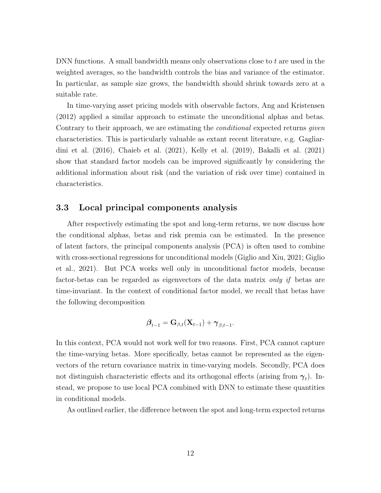DNN functions. A small bandwidth means only observations close to t are used in the weighted averages, so the bandwidth controls the bias and variance of the estimator. In particular, as sample size grows, the bandwidth should shrink towards zero at a suitable rate.

In time-varying asset pricing models with observable factors, Ang and Kristensen (2012) applied a similar approach to estimate the unconditional alphas and betas. Contrary to their approach, we are estimating the *conditional* expected returns *given* characteristics. This is particularly valuable as extant recent literature, e.g. Gagliardini et al. (2016), Chaieb et al. (2021), Kelly et al. (2019), Bakalli et al. (2021) show that standard factor models can be improved significantly by considering the additional information about risk (and the variation of risk over time) contained in characteristics.

## 3.3 Local principal components analysis

After respectively estimating the spot and long-term returns, we now discuss how the conditional alphas, betas and risk premia can be estimated. In the presence of latent factors, the principal components analysis (PCA) is often used to combine with cross-sectional regressions for unconditional models (Giglio and Xiu, 2021; Giglio et al., 2021). But PCA works well only in unconditional factor models, because factor-betas can be regarded as eigenvectors of the data matrix only if betas are time-invariant. In the context of conditional factor model, we recall that betas have the following decomposition

$$
\boldsymbol{\beta}_{t-1} = \mathbf{G}_{\beta,t}(\mathbf{X}_{t-1}) + \boldsymbol{\gamma}_{\beta,t-1}.
$$

In this context, PCA would not work well for two reasons. First, PCA cannot capture the time-varying betas. More specifically, betas cannot be represented as the eigenvectors of the return covariance matrix in time-varying models. Secondly, PCA does not distinguish characteristic effects and its orthogonal effects (arising from  $\gamma_t$ ). Instead, we propose to use local PCA combined with DNN to estimate these quantities in conditional models.

As outlined earlier, the difference between the spot and long-term expected returns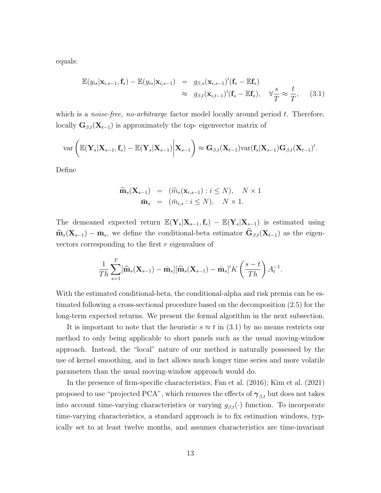equals:

$$
\mathbb{E}(y_{is}|\mathbf{x}_{i,s-1}, \mathbf{f}_s) - \mathbb{E}(y_{is}|\mathbf{x}_{i,s-1}) = g_{\beta,s}(\mathbf{x}_{i,s-1})'(\mathbf{f}_s - \mathbb{E}\mathbf{f}_s) \n\approx g_{\beta,t}(\mathbf{x}_{i,t-1})'(\mathbf{f}_s - \mathbb{E}\mathbf{f}_s), \quad \forall \frac{s}{T} \approx \frac{t}{T}, \quad (3.1)
$$

which is a *noise-free, no-arbitrarge* factor model locally around period  $t$ . Therefore, locally  $\mathbf{G}_{\beta,t}(\mathbf{X}_{t-1})$  is approximately the top- eigenvector matrix of

$$
\text{var}\left(\mathbb{E}(\mathbf{Y}_s|\mathbf{X}_{s-1},\mathbf{f}_s)-\mathbb{E}(\mathbf{Y}_s|\mathbf{X}_{s-1})\bigg|\mathbf{X}_{s-1}\right)\approx \mathbf{G}_{\beta,t}(\mathbf{X}_{t-1})\text{var}(\mathbf{f}_s|\mathbf{X}_{s-1})\mathbf{G}_{\beta,t}(\mathbf{X}_{t-1})'.
$$

Define

$$
\widehat{\mathbf{m}}_s(\mathbf{X}_{s-1}) = (\widehat{m}_s(\mathbf{x}_{i,s-1}) : i \leq N), \quad N \times 1
$$

$$
\bar{\mathbf{m}}_s = (\bar{m}_{i,s} : i \leq N), \quad N \times 1.
$$

The demeaned expected return  $\mathbb{E}(\mathbf{Y}_s|\mathbf{X}_{s-1}, \mathbf{f}_s) - \mathbb{E}(\mathbf{Y}_s|\mathbf{X}_{s-1})$  is estimated using  $\widehat{\mathbf{m}}_s(\mathbf{X}_{s-1}) - \bar{\mathbf{m}}_s$ , we define the conditional-beta estimator  $\widehat{\mathbf{G}}_{\beta,t}(\mathbf{X}_{t-1})$  as the eigenvectors corresponding to the first  $r$  eigenvalues of

$$
\frac{1}{Th} \sum_{s=1}^T [\widehat{\mathbf{m}}_s(\mathbf{X}_{s-1}) - \bar{\mathbf{m}}_s] [\widehat{\mathbf{m}}_s(\mathbf{X}_{s-1}) - \bar{\mathbf{m}}_s]' K\left(\frac{s-t}{Th}\right) A_t^{-1}.
$$

With the estimated conditional-beta, the conditional-alpha and risk premia can be estimated following a cross-sectional procedure based on the decomposition (2.5) for the long-term expected returns. We present the formal algorithm in the next subsection.

It is important to note that the heuristic  $s \approx t$  in (3.1) by no means restricts our method to only being applicable to short panels such as the usual moving-window approach. Instead, the "local" nature of our method is naturally possessed by the use of kernel smoothing, and in fact allows much longer time series and more volatile parameters than the usual moving-window approach would do.

In the presence of firm-specific characteristics, Fan et al. (2016); Kim et al. (2021) proposed to use "projected PCA", which removes the effects of  $\gamma_{\beta,t}$  but does not takes into account time-varying characteristics or varying  $g_{\beta,t}(\cdot)$  function. To incorporate time-varying characteristics, a standard approach is to fix estimation windows, typically set to at least twelve months, and assumes characteristics are time-invariant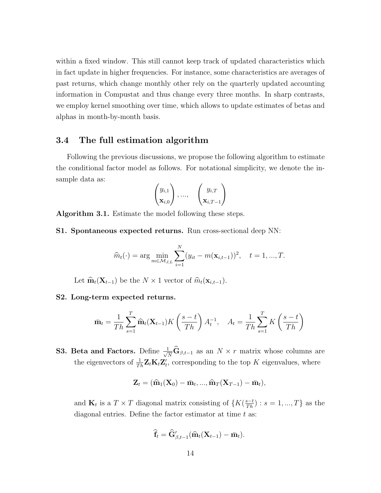within a fixed window. This still cannot keep track of updated characteristics which in fact update in higher frequencies. For instance, some characteristics are averages of past returns, which change monthly other rely on the quarterly updated accounting information in Compustat and thus change every three months. In sharp contrasts, we employ kernel smoothing over time, which allows to update estimates of betas and alphas in month-by-month basis.

## 3.4 The full estimation algorithm

Following the previous discussions, we propose the following algorithm to estimate the conditional factor model as follows. For notational simplicity, we denote the insample data as:

$$
\begin{pmatrix} y_{i,1} \\ \mathbf{x}_{i,0} \end{pmatrix}, \dots, \quad \begin{pmatrix} y_{i,T} \\ \mathbf{x}_{i,T-1} \end{pmatrix}
$$

Algorithm 3.1. Estimate the model following these steps.

S1. Spontaneous expected returns. Run cross-sectional deep NN:

$$
\widehat{m}_t(\cdot) = \arg \min_{m \in \mathcal{M}_{J,L}} \sum_{i=1}^N (y_{it} - m(\mathbf{x}_{i,t-1}))^2, \quad t = 1, ..., T.
$$

Let  $\widehat{\mathbf{m}}_t(\mathbf{X}_{t-1})$  be the  $N \times 1$  vector of  $\widehat{m}_t(\mathbf{x}_{i,t-1})$ .

#### S2. Long-term expected returns.

$$
\bar{\mathbf{m}}_t = \frac{1}{Th} \sum_{s=1}^T \widehat{\mathbf{m}}_t(\mathbf{X}_{t-1}) K\left(\frac{s-t}{Th}\right) A_t^{-1}, \quad A_t = \frac{1}{Th} \sum_{s=1}^T K\left(\frac{s-t}{Th}\right)
$$

**S3. Beta and Factors.** Define  $\frac{1}{\sqrt{N}}\hat{\mathbf{G}}_{\beta,t-1}$  as an  $N \times r$  matrix whose columns are the eigenvectors of  $\frac{1}{Th} \mathbf{Z}_t \mathbf{K}_t \mathbf{Z}'_t$ , corresponding to the top K eigenvalues, where

$$
\mathbf{Z}_{t}=(\widehat{\mathbf{m}}_{1}(\mathbf{X}_{0})-\bar{\mathbf{m}}_{t},...,\widehat{\mathbf{m}}_{T}(\mathbf{X}_{T-1})-\bar{\mathbf{m}}_{t}),
$$

and  $\mathbf{K}_t$  is a  $T \times T$  diagonal matrix consisting of  $\{K(\frac{s-t}{Th}) : s = 1, ..., T\}$  as the diagonal entries. Define the factor estimator at time  $t$  as:

$$
\widehat{\mathbf{f}}_t = \widehat{\mathbf{G}}'_{\beta,t-1}(\widehat{\mathbf{m}}_t(\mathbf{X}_{t-1}) - \bar{\mathbf{m}}_t).
$$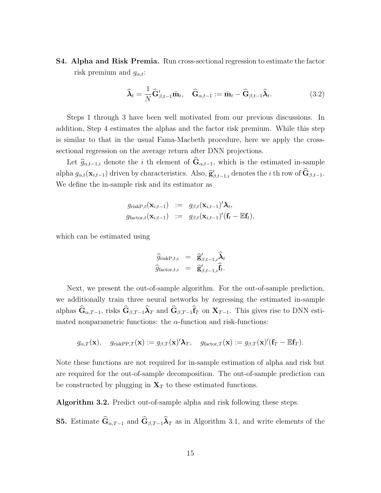S4. Alpha and Risk Premia. Run cross-sectional regression to estimate the factor risk premium and  $g_{\alpha,t}$ :

$$
\widehat{\boldsymbol{\lambda}}_t = \frac{1}{N} \widehat{\mathbf{G}}_{\beta, t-1}^{\prime} \bar{\mathbf{m}}_t, \quad \widehat{\mathbf{G}}_{\alpha, t-1} := \bar{\mathbf{m}}_t - \widehat{\mathbf{G}}_{\beta, t-1} \widehat{\boldsymbol{\lambda}}_t. \tag{3.2}
$$

Steps 1 through 3 have been well motivated from our previous discussions. In addition, Step 4 estimates the alphas and the factor risk premium. While this step is similar to that in the usual Fama-Macbeth procedure, here we apply the crosssectional regression on the average return after DNN projections.

Let  $\hat{g}_{\alpha,t-1,i}$  denote the i th element of  $\hat{G}_{\alpha,t-1}$ , which is the estimated in-sample alpha  $g_{\alpha,t}(\mathbf{x}_{i,t-1})$  driven by characteristics. Also,  $\hat{\mathbf{g}}'_{\beta,t-1,i}$  denotes the *i* th row of  $\hat{\mathbf{G}}_{\beta,t-1}$ . We define the in-sample risk and its estimator as

$$
g_{\text{riskP},t}(\mathbf{x}_{i,t-1}) \; := \; g_{\beta,t}(\mathbf{x}_{i,t-1})' \boldsymbol{\lambda}_t, g_{\text{factor},t}(\mathbf{x}_{i,t-1}) \; := \; g_{\beta,t}(\mathbf{x}_{i,t-1})' (\mathbf{f}_t - \mathbb{E} \mathbf{f}_t),
$$

which can be estimated using

$$
\widehat{g}_{\text{riskP},t,i} = \widehat{g}'_{\beta,t-1,i} \widehat{\lambda}_t \n\widehat{g}_{\text{factor},t,i} = \widehat{g}'_{\beta,t-1,i} \widehat{f}_t.
$$

Next, we present the out-of-sample algorithm. For the out-of-sample prediction, we additionally train three neural networks by regressing the estimated in-sample alphas  $G_{\alpha,T-1}$ , risks  $G_{\beta,T-1}\lambda_T$  and  $G_{\beta,T-1}f_T$  on  $X_{T-1}$ . This gives rise to DNN estimated nonparametric functions: the  $\alpha$ -function and risk-functions:

$$
g_{\alpha,T}(\mathbf{x}), \quad g_{\text{riskPP},T}(\mathbf{x}) := g_{\beta,T}(\mathbf{x})' \boldsymbol{\lambda}_T, \quad g_{\text{factor},T}(\mathbf{x}) := g_{\beta,T}(\mathbf{x})'(\mathbf{f}_T - \mathbb{E} \mathbf{f}_T).
$$

Note these functions are not required for in-sample estimation of alpha and risk but are required for the out-of-sample decomposition. The out-of-sample prediction can be constructed by plugging in  $X_T$  to these estimated functions.

Algorithm 3.2. Predict out-of-sample alpha and risk following these steps.

**S5.** Estimate  $\hat{\mathbf{G}}_{\alpha,T-1}$  and  $\hat{\mathbf{G}}_{\beta,T-1}\hat{\boldsymbol{\lambda}}_T$  as in Algorithm 3.1, and write elements of the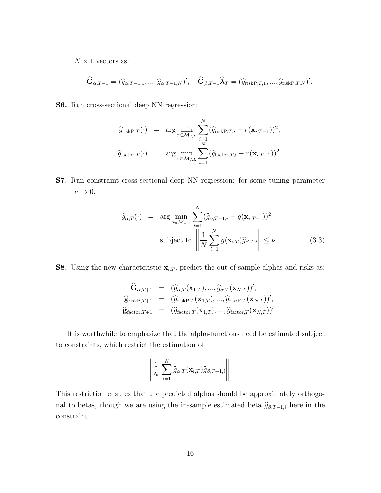$N \times 1$  vectors as:

$$
\widehat{\mathbf{G}}_{\alpha,T-1}=(\widehat{g}_{\alpha,T-1,1},...,\widehat{g}_{\alpha,T-1,N})',\quad \widehat{\mathbf{G}}_{\beta,T-1}\widehat{\boldsymbol{\lambda}}_T=(\widehat{g}_{\text{riskP},T,1},...,\widehat{g}_{\text{riskP},T,N})'.
$$

S6. Run cross-sectional deep NN regression:

$$
\widehat{g}_{\text{riskP},T}(\cdot) = \arg \min_{r \in \mathcal{M}_{J,L}} \sum_{i=1}^N (\widehat{g}_{\text{riskP},T,i} - r(\mathbf{x}_{i,T-1}))^2,
$$
  

$$
\widehat{g}_{\text{factor},T}(\cdot) = \arg \min_{r \in \mathcal{M}_{J,L}} \sum_{i=1}^N (\widehat{g}_{\text{factor},T,i} - r(\mathbf{x}_{i,T-1}))^2.
$$

S7. Run constraint cross-sectional deep NN regression: for some tuning parameter  $\nu \rightarrow 0,$ 

$$
\widehat{g}_{\alpha,T}(\cdot) = \arg \min_{g \in \mathcal{M}_{J,L}} \sum_{i=1}^{N} (\widehat{g}_{\alpha,T-1,i} - g(\mathbf{x}_{i,T-1}))^2
$$
\nsubject to 
$$
\left\| \frac{1}{N} \sum_{i=1}^{N} g(\mathbf{x}_{i,T}) \widehat{g}_{\beta,T,i} \right\| \leq \nu.
$$
\n(3.3)

**S8.** Using the new characteristic  $\mathbf{x}_{i,T}$ , predict the out-of-sample alphas and risks as:

$$
\begin{array}{rcl}\n\widehat{\mathbf{G}}_{\alpha,T+1} & = & (\widehat{g}_{\alpha,T}(\mathbf{x}_{1,T}), \ldots, \widehat{g}_{\alpha,T}(\mathbf{x}_{N,T}))', \\
\widehat{\mathbf{g}}_{\text{riskP},T+1} & = & (\widehat{g}_{\text{riskP},T}(\mathbf{x}_{1,T}), \ldots, \widehat{g}_{\text{riskP},T}(\mathbf{x}_{N,T}))', \\
\widehat{\mathbf{g}}_{\text{factor},T+1} & = & (\widehat{g}_{\text{factor},T}(\mathbf{x}_{1,T}), \ldots, \widehat{g}_{\text{factor},T}(\mathbf{x}_{N,T}))'.\n\end{array}
$$

It is worthwhile to emphasize that the alpha-functions need be estimated subject to constraints, which restrict the estimation of

$$
\left\|\frac{1}{N}\sum_{i=1}^N\widehat{g}_{\alpha,T}(\mathbf{x}_{i,T})\widehat{g}_{\beta,T-1,i}\right\|.
$$

This restriction ensures that the predicted alphas should be approximately orthogonal to betas, though we are using the in-sample estimated beta  $\hat{g}_{\beta,T-1,i}$  here in the constraint.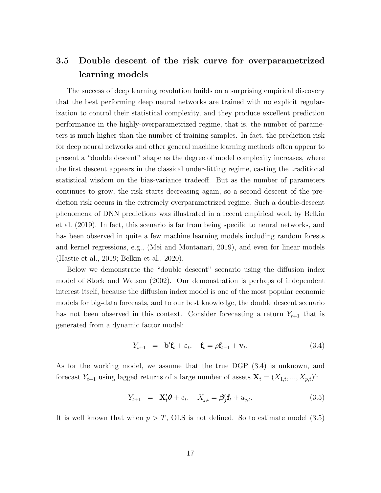# 3.5 Double descent of the risk curve for overparametrized learning models

The success of deep learning revolution builds on a surprising empirical discovery that the best performing deep neural networks are trained with no explicit regularization to control their statistical complexity, and they produce excellent prediction performance in the highly-overparametrized regime, that is, the number of parameters is much higher than the number of training samples. In fact, the prediction risk for deep neural networks and other general machine learning methods often appear to present a "double descent" shape as the degree of model complexity increases, where the first descent appears in the classical under-fitting regime, casting the traditional statistical wisdom on the bias-variance tradeoff. But as the number of parameters continues to grow, the risk starts decreasing again, so a second descent of the prediction risk occurs in the extremely overparametrized regime. Such a double-descent phenomena of DNN predictions was illustrated in a recent empirical work by Belkin et al. (2019). In fact, this scenario is far from being specific to neural networks, and has been observed in quite a few machine learning models including random forests and kernel regressions, e.g., (Mei and Montanari, 2019), and even for linear models (Hastie et al., 2019; Belkin et al., 2020).

Below we demonstrate the "double descent" scenario using the diffusion index model of Stock and Watson (2002). Our demonstration is perhaps of independent interest itself, because the diffusion index model is one of the most popular economic models for big-data forecasts, and to our best knowledge, the double descent scenario has not been observed in this context. Consider forecasting a return  $Y_{t+1}$  that is generated from a dynamic factor model:

$$
Y_{t+1} = \mathbf{b}'\mathbf{f}_t + \varepsilon_t, \quad \mathbf{f}_t = \rho \mathbf{f}_{t-1} + \mathbf{v}_t. \tag{3.4}
$$

As for the working model, we assume that the true DGP (3.4) is unknown, and forecast  $Y_{t+1}$  using lagged returns of a large number of assets  $\mathbf{X}_t = (X_{1,t},...,X_{p,t})'$ :

$$
Y_{t+1} = \mathbf{X}'_t \boldsymbol{\theta} + e_t, \quad X_{j,t} = \boldsymbol{\beta}'_j \mathbf{f}_t + u_{j,t}.
$$
 (3.5)

It is well known that when  $p > T$ , OLS is not defined. So to estimate model (3.5)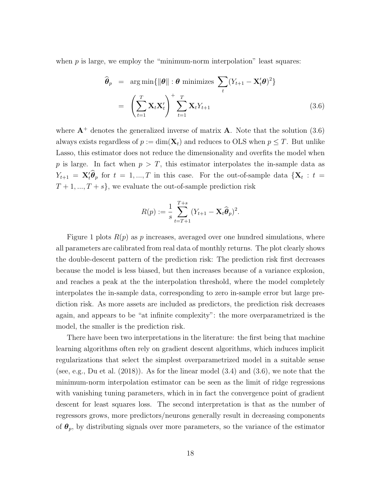when  $p$  is large, we employ the "minimum-norm interpolation" least squares:

$$
\widehat{\boldsymbol{\theta}}_p = \arg \min \{ \|\boldsymbol{\theta}\| : \boldsymbol{\theta} \text{ minimizes } \sum_t (Y_{t+1} - \mathbf{X}_t' \boldsymbol{\theta})^2 \}
$$
\n
$$
= \left( \sum_{t=1}^T \mathbf{X}_t \mathbf{X}_t' \right)^+ \sum_{t=1}^T \mathbf{X}_t Y_{t+1} \tag{3.6}
$$

where  $\mathbf{A}^+$  denotes the generalized inverse of matrix  $\mathbf{A}$ . Note that the solution (3.6) always exists regardless of  $p := \dim(\mathbf{X}_t)$  and reduces to OLS when  $p \leq T$ . But unlike Lasso, this estimator does not reduce the dimensionality and overfits the model when p is large. In fact when  $p > T$ , this estimator interpolates the in-sample data as  $Y_{t+1} = \mathbf{X}_t' \hat{\theta}_p$  for  $t = 1, ..., T$  in this case. For the out-of-sample data  $\{ \mathbf{X}_t : t =$  $T+1, ..., T+s$ , we evaluate the out-of-sample prediction risk

$$
R(p) := \frac{1}{s} \sum_{t=T+1}^{T+s} (Y_{t+1} - \mathbf{X}_t \widehat{\boldsymbol{\theta}}_p)^2.
$$

Figure 1 plots  $R(p)$  as p increases, averaged over one hundred simulations, where all parameters are calibrated from real data of monthly returns. The plot clearly shows the double-descent pattern of the prediction risk: The prediction risk first decreases because the model is less biased, but then increases because of a variance explosion, and reaches a peak at the the interpolation threshold, where the model completely interpolates the in-sample data, corresponding to zero in-sample error but large prediction risk. As more assets are included as predictors, the prediction risk decreases again, and appears to be "at infinite complexity": the more overparametrized is the model, the smaller is the prediction risk.

There have been two interpretations in the literature: the first being that machine learning algorithms often rely on gradient descent algorithms, which induces implicit regularizations that select the simplest overparametrized model in a suitable sense (see, e.g., Du et al.  $(2018)$ ). As for the linear model  $(3.4)$  and  $(3.6)$ , we note that the minimum-norm interpolation estimator can be seen as the limit of ridge regressions with vanishing tuning parameters, which in in fact the convergence point of gradient descent for least squares loss. The second interpretation is that as the number of regressors grows, more predictors/neurons generally result in decreasing components of  $\theta_p$ , by distributing signals over more parameters, so the variance of the estimator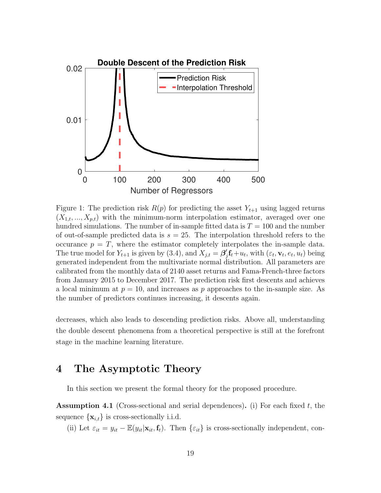

Figure 1: The prediction risk  $R(p)$  for predicting the asset  $Y_{t+1}$  using lagged returns  $(X_{1,t},..., X_{p,t})$  with the minimum-norm interpolation estimator, averaged over one hundred simulations. The number of in-sample fitted data is  $T = 100$  and the number of out-of-sample predicted data is  $s = 25$ . The interpolation threshold refers to the occurance  $p = T$ , where the estimator completely interpolates the in-sample data. The true model for  $Y_{t+1}$  is given by (3.4), and  $X_{j,t} = \beta'_{j}$  $\int_{I}^{t} f_t + u_t$ , with  $(\varepsilon_t, \mathbf{v}_t, e_t, u_t)$  being generated independent from the multivariate normal distribution. All parameters are calibrated from the monthly data of 2140 asset returns and Fama-French-three factors from January 2015 to December 2017. The prediction risk first descents and achieves a local minimum at  $p = 10$ , and increases as p approaches to the in-sample size. As the number of predictors continues increasing, it descents again.

decreases, which also leads to descending prediction risks. Above all, understanding the double descent phenomena from a theoretical perspective is still at the forefront stage in the machine learning literature.

# 4 The Asymptotic Theory

In this section we present the formal theory for the proposed procedure.

**Assumption 4.1** (Cross-sectional and serial dependences). (i) For each fixed t, the sequence  $\{x_{i,t}\}\$ is cross-sectionally i.i.d.

(ii) Let  $\varepsilon_{it} = y_{it} - \mathbb{E}(y_{it}|\mathbf{x}_{it}, \mathbf{f}_{t})$ . Then  $\{\varepsilon_{it}\}\)$  is cross-sectionally independent, con-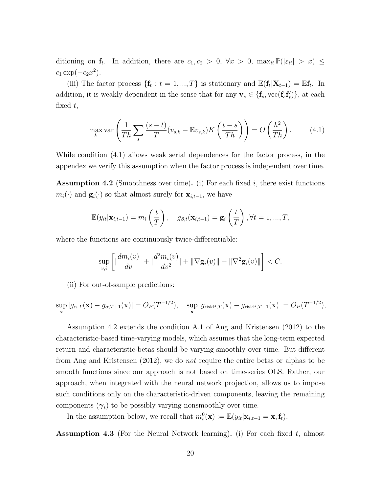ditioning on  $f_t$ . In addition, there are  $c_1, c_2 > 0$ ,  $\forall x > 0$ ,  $\max_{it} \mathbb{P}(|\varepsilon_{it}| > x) \le$  $c_1 \exp(-c_2 x^2)$ .

(iii) The factor process  $\{\mathbf{f}_t : t = 1, ..., T\}$  is stationary and  $\mathbb{E}(\mathbf{f}_t | \mathbf{X}_{t-1}) = \mathbb{E} \mathbf{f}_t$ . In addition, it is weakly dependent in the sense that for any  $\mathbf{v}_s \in \{\mathbf{f}_s, \text{vec}(\mathbf{f}_s \mathbf{f}'_s)\},\$ at each fixed  $t$ ,

$$
\max_{k} \text{var}\left(\frac{1}{Th} \sum_{s} \frac{(s-t)}{T} (v_{s,k} - \mathbb{E}v_{s,k}) K\left(\frac{t-s}{Th}\right)\right) = O\left(\frac{h^2}{Th}\right). \tag{4.1}
$$

While condition (4.1) allows weak serial dependences for the factor process, in the appendex we verify this assumption when the factor process is independent over time.

**Assumption 4.2** (Smoothness over time). (i) For each fixed i, there exist functions  $m_i(\cdot)$  and  $\mathbf{g}_i(\cdot)$  so that almost surely for  $\mathbf{x}_{i,t-1}$ , we have

$$
\mathbb{E}(y_{it}|\mathbf{x}_{i,t-1}) = m_i\left(\frac{t}{T}\right), \quad g_{\beta,t}(\mathbf{x}_{i,t-1}) = \mathbf{g}_i\left(\frac{t}{T}\right), \forall t = 1, ..., T,
$$

where the functions are continuously twice-differentiable:

$$
\sup_{v,i} \left[ \left| \frac{dm_i(v)}{dv} \right| + \left| \frac{d^2m_i(v)}{dv^2} \right| + \|\nabla \mathbf{g}_i(v)\| + \|\nabla^2 \mathbf{g}_i(v)\| \right] < C.
$$

(ii) For out-of-sample predictions:

$$
\sup_{\mathbf{x}} |g_{\alpha,T}(\mathbf{x}) - g_{\alpha,T+1}(\mathbf{x})| = O_P(T^{-1/2}), \quad \sup_{\mathbf{x}} |g_{\text{riskP},T}(\mathbf{x}) - g_{\text{riskP},T+1}(\mathbf{x})| = O_P(T^{-1/2}),
$$

Assumption 4.2 extends the condition A.1 of Ang and Kristensen (2012) to the characteristic-based time-varying models, which assumes that the long-term expected return and characteristic-betas should be varying smoothly over time. But different from Ang and Kristensen (2012), we do not require the entire betas or alphas to be smooth functions since our approach is not based on time-series OLS. Rather, our approach, when integrated with the neural network projection, allows us to impose such conditions only on the characteristic-driven components, leaving the remaining components  $(\gamma_t)$  to be possibly varying nonsmoothly over time.

In the assumption below, we recall that  $m_t^0(\mathbf{x}) := \mathbb{E}(y_{it}|\mathbf{x}_{i,t-1} = \mathbf{x}, \mathbf{f}_t)$ .

**Assumption 4.3** (For the Neural Network learning). (i) For each fixed  $t$ , almost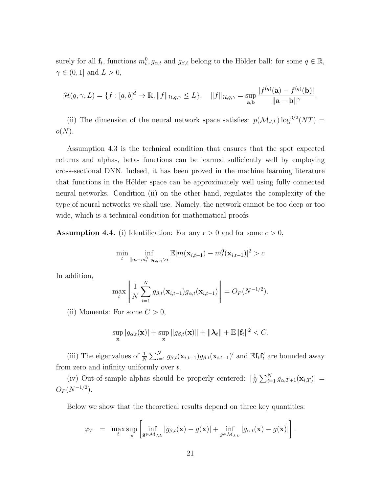surely for all  $\mathbf{f}_t$ , functions  $m_t^0, g_{\alpha,t}$  and  $g_{\beta,t}$  belong to the Hölder ball: for some  $q \in \mathbb{R}$ ,  $\gamma \in (0,1]$  and  $L > 0$ ,

$$
\mathcal{H}(q,\gamma,L)=\{f:[a,b]^d\to\mathbb{R},\|f\|_{\mathcal{H},q,\gamma}\leq L\},\quad\|f\|_{\mathcal{H},q,\gamma}=\sup_{\mathbf{a},\mathbf{b}}\frac{|f^{(q)}(\mathbf{a})-f^{(q)}(\mathbf{b})|}{\|\mathbf{a}-\mathbf{b}\|^{\gamma}}.
$$

(ii) The dimension of the neural network space satisfies:  $p(\mathcal{M}_{J,L}) \log^{3/2}(NT) =$  $o(N).$ 

Assumption 4.3 is the technical condition that ensures that the spot expected returns and alpha-, beta- functions can be learned sufficiently well by employing cross-sectional DNN. Indeed, it has been proved in the machine learning literature that functions in the Hölder space can be approximately well using fully connected neural networks. Condition (ii) on the other hand, regulates the complexity of the type of neural networks we shall use. Namely, the network cannot be too deep or too wide, which is a technical condition for mathematical proofs.

**Assumption 4.4.** (i) Identification: For any  $\epsilon > 0$  and for some  $c > 0$ ,

$$
\min_{t} \inf_{\|m-m_t^0\|_{\mathcal{H},q,\gamma} > \epsilon} \mathbb{E}|m(\mathbf{x}_{i,t-1}) - m_t^0(\mathbf{x}_{i,t-1})|^2 > c
$$

In addition,

$$
\max_{t} \left\| \frac{1}{N} \sum_{i=1}^{N} g_{\beta,t}(\mathbf{x}_{i,t-1}) g_{\alpha,t}(\mathbf{x}_{i,t-1}) \right\| = O_P(N^{-1/2}).
$$

(ii) Moments: For some  $C > 0$ ,

$$
\sup_{\mathbf{x}} |g_{\alpha,t}(\mathbf{x})| + \sup_{\mathbf{x}} ||g_{\beta,t}(\mathbf{x})|| + ||\boldsymbol{\lambda}_t|| + \mathbb{E}||\mathbf{f}_t||^2 < C.
$$

(iii) The eigenvalues of  $\frac{1}{N} \sum_{i=1}^{N} g_{\beta,t}(\mathbf{x}_{i,t-1}) g_{\beta,t}(\mathbf{x}_{i,t-1})'$  and  $\mathbb{E} \mathbf{f}_t \mathbf{f}_t'$  are bounded away from zero and infinity uniformly over  $t$ .

(iv) Out-of-sample alphas should be properly centered:  $\frac{1}{\lambda}$  $\frac{1}{N}\sum_{i=1}^N g_{\alpha,T+1}(\mathbf{x}_{i,T})\big| =$  $O_P(N^{-1/2})$ .

Below we show that the theoretical results depend on three key quantities:

$$
\varphi_T = \max_t \sup_{\mathbf{x}} \left[ \inf_{\mathbf{g} \in \mathcal{M}_{J,L}} |g_{\beta,t}(\mathbf{x}) - g(\mathbf{x})| + \inf_{g \in \mathcal{M}_{J,L}} |g_{\alpha,t}(\mathbf{x}) - g(\mathbf{x})| \right].
$$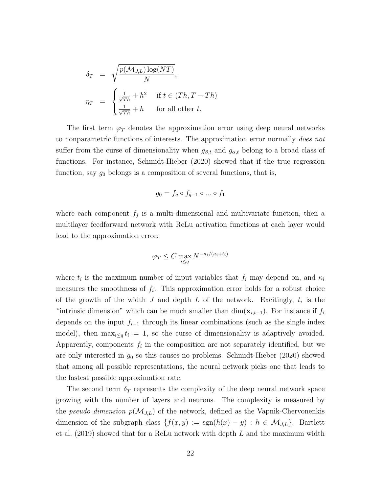$$
\delta_T = \sqrt{\frac{p(\mathcal{M}_{J,L}) \log (NT)}{N}},
$$
\n
$$
\eta_T = \begin{cases}\n\frac{1}{\sqrt{Th}} + h^2 & \text{if } t \in (Th, T - Th) \\
\frac{1}{\sqrt{Th}} + h & \text{for all other } t.\n\end{cases}
$$

The first term  $\varphi_T$  denotes the approximation error using deep neural networks to nonparametric functions of interests. The approximation error normally *does not* suffer from the curse of dimensionality when  $g_{\beta,t}$  and  $g_{\alpha,t}$  belong to a broad class of functions. For instance, Schmidt-Hieber (2020) showed that if the true regression function, say  $g_0$  belongs is a composition of several functions, that is,

$$
g_0 = f_q \circ f_{q-1} \circ \dots \circ f_1
$$

where each component  $f_j$  is a multi-dimensional and multivariate function, then a multilayer feedforward network with ReLu activation functions at each layer would lead to the approximation error:

$$
\varphi_T \le C \max_{i \le q} N^{-\kappa_i/(\kappa_i + t_i)}
$$

where  $t_i$  is the maximum number of input variables that  $f_i$  may depend on, and  $\kappa_i$ measures the smoothness of  $f_i$ . This approximation error holds for a robust choice of the growth of the width  $J$  and depth  $L$  of the network. Excitingly,  $t_i$  is the "intrinsic dimension" which can be much smaller than  $\dim(\mathbf{x}_{i,t-1})$ . For instance if  $f_i$ depends on the input  $f_{i-1}$  through its linear combinations (such as the single index model), then  $\max_{i\leq q} t_i = 1$ , so the curse of dimensionality is adaptively avoided. Apparently, components  $f_i$  in the composition are not separately identified, but we are only interested in  $g_0$  so this causes no problems. Schmidt-Hieber (2020) showed that among all possible representations, the neural network picks one that leads to the fastest possible approximation rate.

The second term  $\delta_T$  represents the complexity of the deep neural network space growing with the number of layers and neurons. The complexity is measured by the *pseudo dimension*  $p(\mathcal{M}_{J,L})$  of the network, defined as the Vapnik-Chervonenkis dimension of the subgraph class  $\{f(x, y) := \text{sgn}(h(x) - y) : h \in \mathcal{M}_{J,L}\}\$ . Bartlett et al.  $(2019)$  showed that for a ReLu network with depth L and the maximum width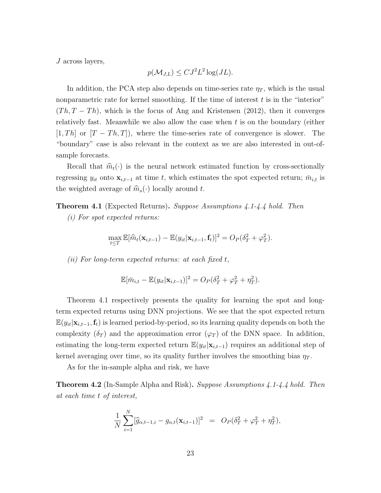J across layers,

$$
p(\mathcal{M}_{J,L}) \leq C J^2 L^2 \log(JL).
$$

In addition, the PCA step also depends on time-series rate  $\eta_T$ , which is the usual nonparametric rate for kernel smoothing. If the time of interest  $t$  is in the "interior"  $(Th, T - Th)$ , which is the focus of Ang and Kristensen (2012), then it converges relatively fast. Meanwhile we also allow the case when  $t$  is on the boundary (either  $[1, Th]$  or  $[T - Th, T]$ , where the time-series rate of convergence is slower. The "boundary" case is also relevant in the context as we are also interested in out-ofsample forecasts.

Recall that  $\hat{m}_t(\cdot)$  is the neural network estimated function by cross-sectionally regressing  $y_{it}$  onto  $\mathbf{x}_{i,t-1}$  at time t, which estimates the spot expected return;  $\bar{m}_{i,t}$  is the weighted average of  $\widehat{m}_{s}(\cdot)$  locally around t.

**Theorem 4.1** (Expected Returns). Suppose Assumptions 4.1-4.4 hold. Then

(i) For spot expected returns:

$$
\max_{t\leq T}\mathbb{E}[\widehat{m}_t(\mathbf{x}_{i,t-1})-\mathbb{E}(y_{it}|\mathbf{x}_{i,t-1},\mathbf{f}_t)]^2=O_P(\delta_T^2+\varphi_T^2).
$$

(ii) For long-term expected returns: at each fixed  $t$ ,

$$
\mathbb{E}[\bar{m}_{i,t} - \mathbb{E}(y_{it}|\mathbf{x}_{i,t-1})]^2 = O_P(\delta_T^2 + \varphi_T^2 + \eta_T^2).
$$

Theorem 4.1 respectively presents the quality for learning the spot and longterm expected returns using DNN projections. We see that the spot expected return  $E(y_{it}|\mathbf{x}_{i,t-1},\mathbf{f}_t)$  is learned period-by-period, so its learning quality depends on both the complexity  $(\delta_T)$  and the approximation error  $(\varphi_T)$  of the DNN space. In addition, estimating the long-term expected return  $\mathbb{E}(y_{it}|\mathbf{x}_{i,t-1})$  requires an additional step of kernel averaging over time, so its quality further involves the smoothing bias  $\eta_T$ .

As for the in-sample alpha and risk, we have

Theorem 4.2 (In-Sample Alpha and Risk). Suppose Assumptions 4.1-4.4 hold. Then at each time t of interest,

$$
\frac{1}{N} \sum_{i=1}^{N} [\widehat{g}_{\alpha,t-1,i} - g_{\alpha,t}(\mathbf{x}_{i,t-1})]^2 = O_P(\delta_T^2 + \varphi_T^2 + \eta_T^2),
$$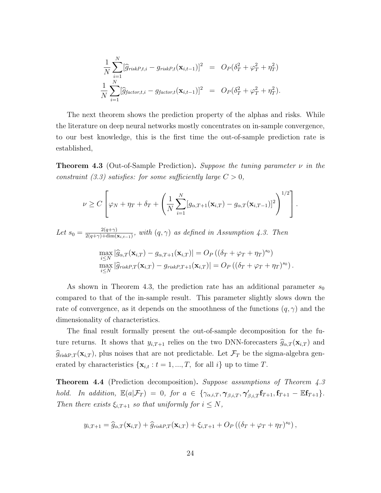$$
\frac{1}{N} \sum_{i=1}^{N} [\hat{g}_{riskP,t,i} - g_{riskP,t}(\mathbf{x}_{i,t-1})]^2 = O_P(\delta_T^2 + \varphi_T^2 + \eta_T^2)
$$
  

$$
\frac{1}{N} \sum_{i=1}^{N} [\hat{g}_{factor,t,i} - g_{factor,t}(\mathbf{x}_{i,t-1})]^2 = O_P(\delta_T^2 + \varphi_T^2 + \eta_T^2).
$$

The next theorem shows the prediction property of the alphas and risks. While the literature on deep neural networks mostly concentrates on in-sample convergence, to our best knowledge, this is the first time the out-of-sample prediction rate is established,

**Theorem 4.3** (Out-of-Sample Prediction). Suppose the tuning parameter  $\nu$  in the constraint (3.3) satisfies: for some sufficiently large  $C > 0$ ,

$$
\nu \geq C \left[ \varphi_N + \eta_T + \delta_T + \left( \frac{1}{N} \sum_{i=1}^N [g_{\alpha,T+1}(\mathbf{x}_{i,T}) - g_{\alpha,T}(\mathbf{x}_{i,T-1})]^2 \right)^{1/2} \right].
$$

Let  $s_0 = \frac{2(q+\gamma)}{2(q+\gamma)+\dim(1)}$  $\frac{2(q+\gamma)}{2(q+\gamma)+\dim(\mathbf{x}_{i,t-1})}$ , with  $(q,\gamma)$  as defined in Assumption 4.3. Then

$$
\max_{i\leq N} |\widehat{g}_{\alpha,T}(\mathbf{x}_{i,T}) - g_{\alpha,T+1}(\mathbf{x}_{i,T})| = O_P((\delta_T + \varphi_T + \eta_T)^{s_0})
$$
  

$$
\max_{i\leq N} |\widehat{g}_{riskP,T}(\mathbf{x}_{i,T}) - g_{riskP,T+1}(\mathbf{x}_{i,T})| = O_P((\delta_T + \varphi_T + \eta_T)^{s_0}).
$$

As shown in Theorem 4.3, the prediction rate has an additional parameter  $s_0$ compared to that of the in-sample result. This parameter slightly slows down the rate of convergence, as it depends on the smoothness of the functions  $(q, \gamma)$  and the dimensionality of characteristics.

The final result formally present the out-of-sample decomposition for the future returns. It shows that  $y_{i,T+1}$  relies on the two DNN-forecasters  $\hat{g}_{\alpha,T}(\mathbf{x}_{i,T})$  and  $\widehat{g}_{\text{riskP},T}(\mathbf{x}_{i,T})$ , plus noises that are not predictable. Let  $\mathcal{F}_T$  be the sigma-algebra generated by characteristics  $\{x_{i,t} : t = 1, ..., T, \text{ for all } i\}$  up to time T.

Theorem 4.4 (Prediction decomposition). Suppose assumptions of Theorem 4.3 hold. In addition,  $\mathbb{E}(a|\mathcal{F}_T) = 0$ , for  $a \in \{\gamma_{\alpha,i,T}, \gamma_{\beta,i,T}, \gamma'_{\beta,i,T}f_{T+1}, f_{T+1} - \mathbb{E}f_{T+1}\}.$ Then there exists  $\xi_{i,T+1}$  so that uniformly for  $i \leq N$ ,

$$
y_{i,T+1} = \widehat{g}_{\alpha,T}(\mathbf{x}_{i,T}) + \widehat{g}_{riskP,T}(\mathbf{x}_{i,T}) + \xi_{i,T+1} + O_P\left((\delta_T + \varphi_T + \eta_T)^{s_0}\right),
$$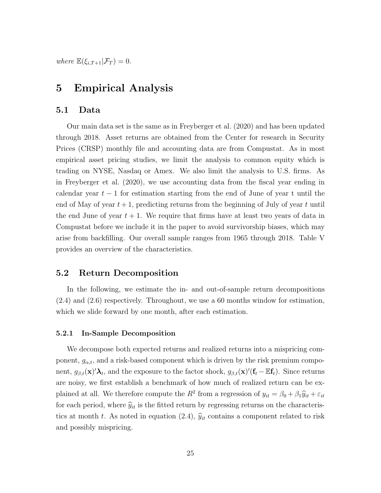where  $\mathbb{E}(\xi_{i,T+1}|\mathcal{F}_T) = 0.$ 

# 5 Empirical Analysis

## 5.1 Data

Our main data set is the same as in Freyberger et al. (2020) and has been updated through 2018. Asset returns are obtained from the Center for research in Security Prices (CRSP) monthly file and accounting data are from Compustat. As in most empirical asset pricing studies, we limit the analysis to common equity which is trading on NYSE, Nasdaq or Amex. We also limit the analysis to U.S. firms. As in Freyberger et al. (2020), we use accounting data from the fiscal year ending in calendar year  $t-1$  for estimation starting from the end of June of year t until the end of May of year  $t + 1$ , predicting returns from the beginning of July of year t until the end June of year  $t + 1$ . We require that firms have at least two years of data in Compustat before we include it in the paper to avoid survivorship biases, which may arise from backfilling. Our overall sample ranges from 1965 through 2018. Table V provides an overview of the characteristics.

## 5.2 Return Decomposition

In the following, we estimate the in- and out-of-sample return decompositions (2.4) and (2.6) respectively. Throughout, we use a 60 months window for estimation, which we slide forward by one month, after each estimation.

#### 5.2.1 In-Sample Decomposition

We decompose both expected returns and realized returns into a mispricing component,  $g_{\alpha,t}$ , and a risk-based component which is driven by the risk premium component,  $g_{\beta,t}(\mathbf{x})' \lambda_t$ , and the exposure to the factor shock,  $g_{\beta,t}(\mathbf{x})'(\mathbf{f}_t - \mathbb{E} \mathbf{f}_t)$ . Since returns are noisy, we first establish a benchmark of how much of realized return can be explained at all. We therefore compute the  $R^2$  from a regression of  $y_{it} = \beta_0 + \beta_1 \hat{y}_{it} + \varepsilon_{it}$ for each period, where  $\hat{y}_{it}$  is the fitted return by regressing returns on the characteristics at month t. As noted in equation (2.4),  $\hat{y}_{it}$  contains a component related to risk and possibly mispricing.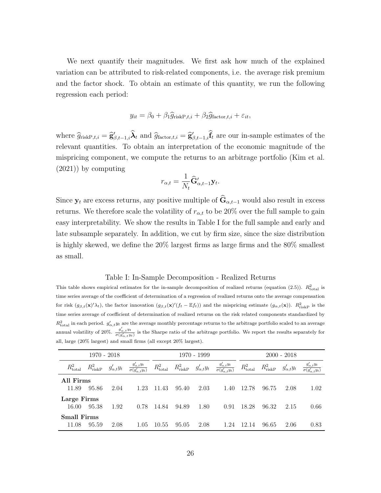We next quantify their magnitudes. We first ask how much of the explained variation can be attributed to risk-related components, i.e. the average risk premium and the factor shock. To obtain an estimate of this quantity, we run the following regression each period:

$$
y_{it} = \beta_0 + \beta_1 \widehat{g}_{\text{riskP},t,i} + \beta_2 \widehat{g}_{\text{factor},t,i} + \varepsilon_{it},
$$

where  $\hat{g}_{\text{riskP},t,i} = \hat{g}'_{\beta,t-1,i} \hat{\lambda}_t$  and  $\hat{g}_{\text{factor},t,i} = \hat{g}'_{\beta,t-1,i} \hat{f}_t$  are our in-sample estimates of the relevant quantities. To obtain an interpretation of the economic magnitude of the mispricing component, we compute the returns to an arbitrage portfolio (Kim et al. (2021)) by computing

$$
r_{\alpha,t} = \frac{1}{N_t} \widehat{\mathbf{G}}_{\alpha,t-1}' \mathbf{y}_t.
$$

Since  $y_t$  are excess returns, any positive multiple of  $\widehat{G}_{\alpha,t-1}$  would also result in excess returns. We therefore scale the volatility of  $r_{\alpha,t}$  to be 20% over the full sample to gain easy interpretability. We show the results in Table I for the full sample and early and late subsample separately. In addition, we cut by firm size, since the size distribution is highly skewed, we define the  $20\%$  largest firms as large firms and the  $80\%$  smallest as small.

#### Table I: In-Sample Decomposition - Realized Returns

This table shows empirical estimates for the in-sample decomposition of realized returns (equation (2.5)).  $R_{\text{total}}^2$  is time series average of the coefficient of determination of a regression of realized returns onto the average compensation for risk  $(g_{\beta,t}(\mathbf{x})'\lambda_t)$ , the factor innovation  $(g_{\beta,t}(\mathbf{x})'(f_t - \mathbb{E}f_t))$  and the mispricing estimate  $(g_{\alpha,t}(\mathbf{x}))$ .  $R_{\text{riskP}}^2$  is the time series average of coefficient of determination of realized returns on the risk related components standardized by  $R_{\text{total}}^2$  in each period.  $g'_{\alpha,t}y_t$  are the average monthly percentage returns to the arbitrage portfolio scaled to an average annual volatility of 20%.  $\frac{g'_{\alpha,t}y_t}{\sigma(g'_{\alpha,t}y_t)}$  is the Sharpe ratio of the arbitrage portfolio. We report the results separately for all, large (20% largest) and small firms (all except 20% largest).

|                             | $1970 - 2018$     |                    |                                                     |                   |                   | 1970 - 1999        |                                                     |                      |                   | $2000 - 2018$      |                    |
|-----------------------------|-------------------|--------------------|-----------------------------------------------------|-------------------|-------------------|--------------------|-----------------------------------------------------|----------------------|-------------------|--------------------|--------------------|
| $R_{\text{total}}^2$        | $R_{\rm riskP}^2$ | $g'_{\alpha,t}y_t$ | $\frac{g'_{\alpha,t}y_t}{\sigma(g'_{\alpha,t}y_t)}$ | $R^2_{\rm total}$ | $R_{\rm riskP}^2$ | $g'_{\alpha,t}y_t$ | $\frac{g'_{\alpha,t}y_t}{\sigma(g'_{\alpha,t}y_t)}$ | $R_{\text{total}}^2$ | $R_{\rm riskP}^2$ | $g'_{\alpha,t}y_t$ | $g'_{\alpha,t}y_t$ |
| All Firms<br>11.89          | 95.86             | 2.04               | 1.23                                                | 11.43             | 95.40             | 2.03               | 1.40                                                | 12.78                | 96.75             | 2.08               | 1.02               |
| Large Firms<br>16.00        | 95.38             | 1.92               | 0.78                                                | 14.84             | 94.89             | 1.80               | 0.91                                                | 18.28                | 96.32             | 2.15               | 0.66               |
| <b>Small Firms</b><br>11.08 | 95.59             | 2.08               | 1.05                                                | 10.55             | 95.05             | 2.08               | 1.24                                                | 12.14                | 96.65             | 2.06               | 0.83               |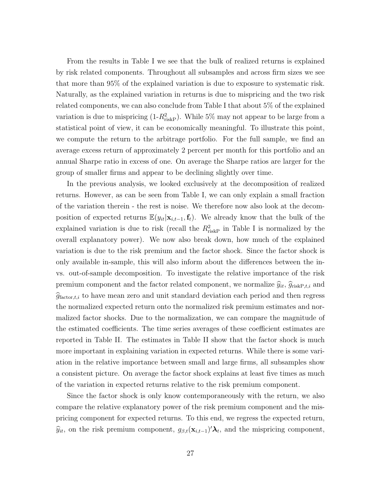From the results in Table I we see that the bulk of realized returns is explained by risk related components. Throughout all subsamples and across firm sizes we see that more than 95% of the explained variation is due to exposure to systematic risk. Naturally, as the explained variation in returns is due to mispricing and the two risk related components, we can also conclude from Table I that about 5% of the explained variation is due to mispricing  $(1-R_{\text{riskP}}^2)$ . While 5% may not appear to be large from a statistical point of view, it can be economically meaningful. To illustrate this point, we compute the return to the arbitrage portfolio. For the full sample, we find an average excess return of approximately 2 percent per month for this portfolio and an annual Sharpe ratio in excess of one. On average the Sharpe ratios are larger for the group of smaller firms and appear to be declining slightly over time.

In the previous analysis, we looked exclusively at the decomposition of realized returns. However, as can be seen from Table I, we can only explain a small fraction of the variation therein - the rest is noise. We therefore now also look at the decomposition of expected returns  $\mathbb{E}(y_{it}|\mathbf{x}_{i,t-1},\mathbf{f}_t)$ . We already know that the bulk of the explained variation is due to risk (recall the  $R_{\text{riskP}}^2$  in Table I is normalized by the overall explanatory power). We now also break down, how much of the explained variation is due to the risk premium and the factor shock. Since the factor shock is only available in-sample, this will also inform about the differences between the invs. out-of-sample decomposition. To investigate the relative importance of the risk premium component and the factor related component, we normalize  $\hat{y}_{it}$ ,  $\hat{g}_{\text{riskP},t,i}$  and  $\widehat{g}_{\text{factor},t,i}$  to have mean zero and unit standard deviation each period and then regress the normalized expected return onto the normalized risk premium estimates and normalized factor shocks. Due to the normalization, we can compare the magnitude of the estimated coefficients. The time series averages of these coefficient estimates are reported in Table II. The estimates in Table II show that the factor shock is much more important in explaining variation in expected returns. While there is some variation in the relative importance between small and large firms, all subsamples show a consistent picture. On average the factor shock explains at least five times as much of the variation in expected returns relative to the risk premium component.

Since the factor shock is only know contemporaneously with the return, we also compare the relative explanatory power of the risk premium component and the mispricing component for expected returns. To this end, we regress the expected return,  $\widehat{y}_{it}$ , on the risk premium component,  $g_{\beta,t}(\mathbf{x}_{i,t-1})' \lambda_t$ , and the mispricing component,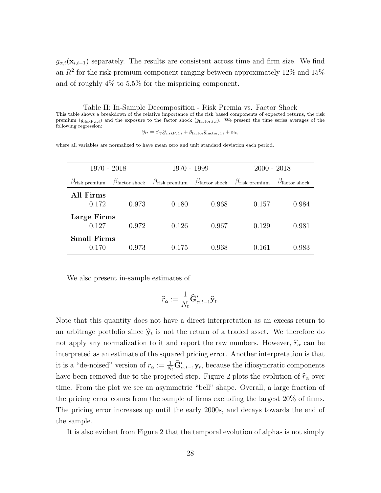$g_{\alpha,t}(\mathbf{x}_{i,t-1})$  separately. The results are consistent across time and firm size. We find an  $R^2$  for the risk-premium component ranging between approximately 12% and 15% and of roughly 4% to 5.5% for the mispricing component.

Table II: In-Sample Decomposition - Risk Premia vs. Factor Shock This table shows a breakdown of the relative importance of the risk based components of expected returns, the risk premium  $(g_{\text{riskP},t,i})$  and the exposure to the factor shock  $(g_{\text{factor},t,i})$ . We present the time series averages of the following regression:

 $\hat{y}_{it} = \beta_{\text{rp}} \hat{g}_{\text{riskP},t,i} + \beta_{\text{factor}} \hat{g}_{\text{factor},t,i} + \varepsilon_{it},$ 

where all variables are normalized to have mean zero and unit standard deviation each period.

| $1970 - 2018$                 |                               | 1970 - 1999                   |                               | $2000 - 2018$                 |                               |
|-------------------------------|-------------------------------|-------------------------------|-------------------------------|-------------------------------|-------------------------------|
| $\beta_{\text{risk premium}}$ | $\beta_{\text{factor shock}}$ | $\beta_{\text{risk premium}}$ | $\beta_{\text{factor shock}}$ | $\beta_{\text{risk premium}}$ | $\beta_{\text{factor shock}}$ |
| All Firms<br>0.172            | 0.973                         | 0.180                         | 0.968                         | 0.157                         | 0.984                         |
| Large Firms<br>0.127          | 0.972                         | 0.126                         | 0.967                         | 0.129                         | 0.981                         |
| <b>Small Firms</b><br>0.170   | 0.973                         | 0.175                         | 0.968                         | 0.161                         | 0.983                         |

We also present in-sample estimates of

$$
\widehat{r}_{\alpha}:=\frac{1}{N_t}\widehat{\mathbf{G}}_{\alpha,t-1}'\widehat{\mathbf{y}}_t.
$$

Note that this quantity does not have a direct interpretation as an excess return to an arbitrage portfolio since  $\hat{\mathbf{y}}_t$  is not the return of a traded asset. We therefore do not apply any normalization to it and report the raw numbers. However,  $\hat{r}_{\alpha}$  can be interpreted as an estimate of the squared pricing error. Another interpretation is that it is a "de-noised" version of  $r_{\alpha} := \frac{1}{N_t} \hat{G}'_{\alpha,t-1} y_t$ , because the idiosyncratic components have been removed due to the projected step. Figure 2 plots the evolution of  $\hat{r}_{\alpha}$  over time. From the plot we see an asymmetric "bell" shape. Overall, a large fraction of the pricing error comes from the sample of firms excluding the largest 20% of firms. The pricing error increases up until the early 2000s, and decays towards the end of the sample.

It is also evident from Figure 2 that the temporal evolution of alphas is not simply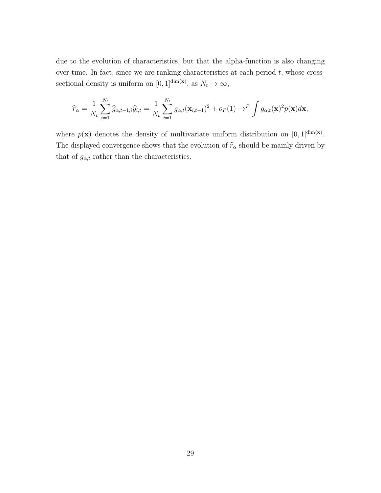due to the evolution of characteristics, but that the alpha-function is also changing over time. In fact, since we are ranking characteristics at each period  $t$ , whose crosssectional density is uniform on [0, 1]<sup>dim(x)</sup>, as  $N_t \to \infty$ ,

$$
\widehat{r}_{\alpha} = \frac{1}{N_t} \sum_{i=1}^{N_t} \widehat{g}_{\alpha, t-1, i} \widehat{y}_{i, t} = \frac{1}{N_t} \sum_{i=1}^{N_t} g_{\alpha, t}(\mathbf{x}_{i, t-1})^2 + o_P(1) \rightarrow^P \int g_{\alpha, t}(\mathbf{x})^2 p(\mathbf{x}) d\mathbf{x},
$$

where  $p(\mathbf{x})$  denotes the density of multivariate uniform distribution on  $[0,1]^{dim(\mathbf{x})}$ . The displayed convergence shows that the evolution of  $\widehat{r}_{\alpha}$  should be mainly driven by that of  $g_{\alpha,t}$  rather than the characteristics.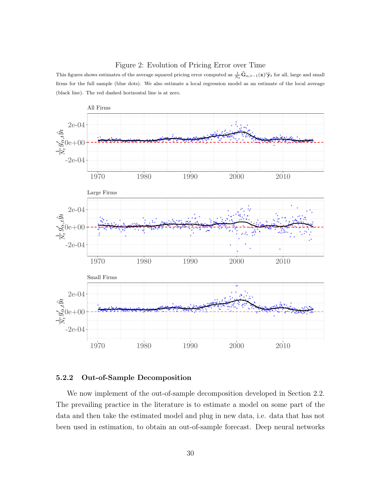#### Figure 2: Evolution of Pricing Error over Time

This figures shows estimates of the average squared pricing error computed as  $\frac{1}{N_t}\hat{G}_{\alpha,t-1}(x)'\hat{y}_t$  for all, large and small firms for the full sample (blue dots). We also estimate a local regression model as an estimate of the local average (black line). The red dashed horizontal line is at zero.



#### 5.2.2 Out-of-Sample Decomposition

We now implement of the out-of-sample decomposition developed in Section 2.2. The prevailing practice in the literature is to estimate a model on some part of the data and then take the estimated model and plug in new data, i.e. data that has not been used in estimation, to obtain an out-of-sample forecast. Deep neural networks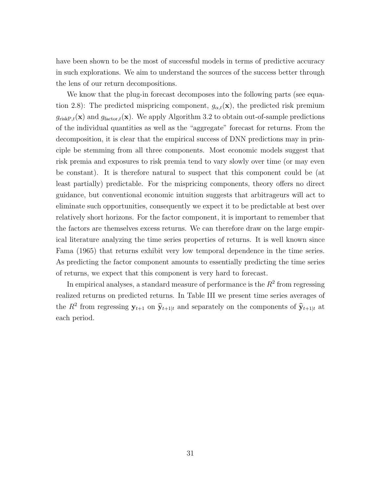have been shown to be the most of successful models in terms of predictive accuracy in such explorations. We aim to understand the sources of the success better through the lens of our return decompositions.

We know that the plug-in forecast decomposes into the following parts (see equation 2.8): The predicted mispricing component,  $g_{\alpha,t}(\mathbf{x})$ , the predicted risk premium  $g_{\text{riskP},t}(\mathbf{x})$  and  $g_{\text{factor},t}(\mathbf{x})$ . We apply Algorithm 3.2 to obtain out-of-sample predictions of the individual quantities as well as the "aggregate" forecast for returns. From the decomposition, it is clear that the empirical success of DNN predictions may in principle be stemming from all three components. Most economic models suggest that risk premia and exposures to risk premia tend to vary slowly over time (or may even be constant). It is therefore natural to suspect that this component could be (at least partially) predictable. For the mispricing components, theory offers no direct guidance, but conventional economic intuition suggests that arbitrageurs will act to eliminate such opportunities, consequently we expect it to be predictable at best over relatively short horizons. For the factor component, it is important to remember that the factors are themselves excess returns. We can therefore draw on the large empirical literature analyzing the time series properties of returns. It is well known since Fama (1965) that returns exhibit very low temporal dependence in the time series. As predicting the factor component amounts to essentially predicting the time series of returns, we expect that this component is very hard to forecast.

In empirical analyses, a standard measure of performance is the  $R^2$  from regressing realized returns on predicted returns. In Table III we present time series averages of the  $R^2$  from regressing  $\mathbf{y}_{t+1}$  on  $\hat{\mathbf{y}}_{t+1|t}$  and separately on the components of  $\hat{\mathbf{y}}_{t+1|t}$  at each period.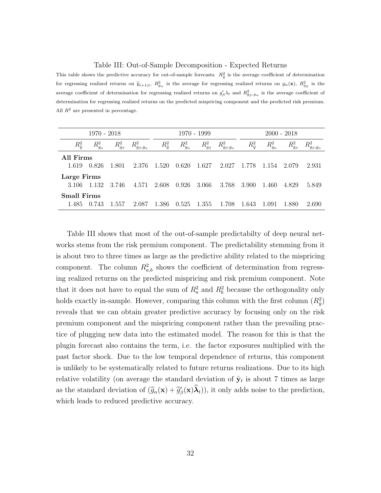#### Table III: Out-of-Sample Decomposition - Expected Returns

This table shows the predictive accuracy for out-of-sample forecasts.  $R_{\hat{y}}^2$  is the average coefficient of determination for regressing realized returns on  $\hat{y}_{t+1|t}$ ,  $R_{g_\alpha}^2$  is the average for regressing realized returns on  $g_\alpha(\mathbf{x})$ ,  $R_{g_\beta}^2$  is the average coefficient of determination for regressing realized returns on  $g'_\beta \lambda_t$  and  $R_{g_\beta,g_\alpha}^2$  is the average coefficient of determination for regressing realized returns on the predicted mispricing component and the predicted risk premium. All  $R<sup>2</sup>$  are presented in percentage.

|                             | 1970 - 2018      |                 |                          |                 |                  | 1970 - 1999       |                          |                 |                  | $2000 - 2018$   |                          |
|-----------------------------|------------------|-----------------|--------------------------|-----------------|------------------|-------------------|--------------------------|-----------------|------------------|-----------------|--------------------------|
| $R_{\hat{y}}^2$             | $R_{g_\alpha}^2$ | $R_{g_\beta}^2$ | $R_{g_\beta,g_\alpha}^2$ | $R_{\hat{y}}^2$ | $R_{g_\alpha}^2$ | $R_{g_{\beta}}^2$ | $R_{g_\beta,g_\alpha}^2$ | $R_{\hat{y}}^2$ | $R_{g_\alpha}^2$ | $R_{g_\beta}^2$ | $R_{g_\beta,g_\alpha}^2$ |
| All Firms<br>1.619          | 0.826            | 1.801           | 2.376                    | 1.520           | 0.620            | 1.627             | 2.027                    | 1.778           | 1.154            | 2.079           | 2.931                    |
| Large Firms<br>3.106        | 1.132            | 3.746           | 4.571                    | 2.608           | 0.926            | 3.066             | 3.768                    | 3.900           | 1.460            | 4.829           | 5.849                    |
| <b>Small Firms</b><br>1.485 | 0.743            | 1.557           | 2.087                    | 1.386           | 0.525            | -1.355            | 1.708                    | 1.643           | 1.091            | 1.880           | 2.690                    |

Table III shows that most of the out-of-sample predictabilty of deep neural networks stems from the risk premium component. The predictability stemming from it is about two to three times as large as the predictive ability related to the mispricing component. The column  $R_{a,b}^2$  shows the coefficient of determination from regressing realized returns on the predicted mispricing and risk premium component. Note that it does not have to equal the sum of  $R_a^2$  and  $R_b^2$  because the orthogonality only holds exactly in-sample. However, comparing this column with the first column  $(R_{\hat{y}}^2)$ reveals that we can obtain greater predictive accuracy by focusing only on the risk premium component and the mispricing component rather than the prevailing practice of plugging new data into the estimated model. The reason for this is that the plugin forecast also contains the term, i.e. the factor exposures multiplied with the past factor shock. Due to the low temporal dependence of returns, this component is unlikely to be systematically related to future returns realizations. Due to its high relative volatility (on average the standard deviation of  $\hat{\mathbf{y}}_t$  is about 7 times as large as the standard deviation of  $(\widehat{g}_{\alpha}(\mathbf{x}) + \widehat{g}_{\beta}'(\mathbf{x})\widehat{\boldsymbol{\lambda}}_t)$ , it only adds noise to the prediction, which leads to reduced predictive accuracy.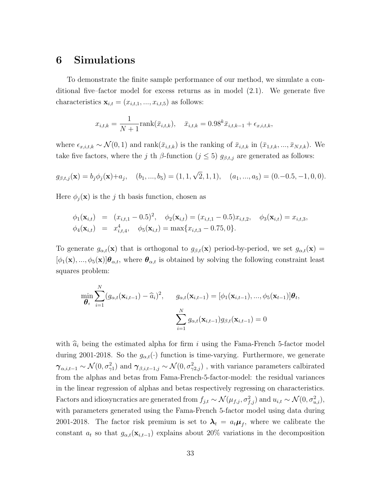# 6 Simulations

To demonstrate the finite sample performance of our method, we simulate a conditional five–factor model for excess returns as in model (2.1). We generate five characteristics  $\mathbf{x}_{i,t} = (x_{i,t,1},...,x_{i,t,5})$  as follows:

$$
x_{i,t,k} = \frac{1}{N+1} \text{rank}(\bar{x}_{i,t,k}), \quad \bar{x}_{i,t,k} = 0.98^k \bar{x}_{i,t,k-1} + \epsilon_{x,i,t,k},
$$

where  $\epsilon_{x,i,t,k} \sim \mathcal{N}(0, 1)$  and rank $(\bar{x}_{i,t,k})$  is the ranking of  $\bar{x}_{i,t,k}$  in  $(\bar{x}_{1,t,k}, ..., \bar{x}_{N,t,k})$ . We take five factors, where the j th  $\beta$ -function (j  $\leq$  5)  $g_{\beta,t,j}$  are generated as follows:

$$
g_{\beta,t,j}(\mathbf{x}) = b_j \phi_j(\mathbf{x}) + a_j
$$
,  $(b_1, ..., b_5) = (1, 1, \sqrt{2}, 1, 1)$ ,  $(a_1, ..., a_5) = (0, -0.5, -1, 0, 0)$ .

Here  $\phi_j(\mathbf{x})$  is the j th basis function, chosen as

$$
\begin{array}{rcl}\n\phi_1(\mathbf{x}_{i,t}) & = & (x_{i,t,1} - 0.5)^2, \quad \phi_2(\mathbf{x}_{i,t}) = (x_{i,t,1} - 0.5)x_{i,t,2}, \quad \phi_3(\mathbf{x}_{i,t}) = x_{i,t,3}, \\
\phi_4(\mathbf{x}_{i,t}) & = & x_{i,t,4}^4, \quad \phi_5(\mathbf{x}_{i,t}) = \max\{x_{i,t,3} - 0.75, 0\}.\n\end{array}
$$

To generate  $g_{\alpha,t}(\mathbf{x})$  that is orthogonal to  $g_{\beta,t}(\mathbf{x})$  period-by-period, we set  $g_{\alpha,t}(\mathbf{x})$  =  $[\phi_1(\mathbf{x}),...,\phi_5(\mathbf{x})] \boldsymbol{\theta}_{\alpha,t}$ , where  $\boldsymbol{\theta}_{\alpha,t}$  is obtained by solving the following constraint least squares problem:

$$
\min_{\boldsymbol{\theta}_t} \sum_{i=1}^N (g_{\alpha,t}(\mathbf{x}_{i,t-1}) - \widehat{a}_i)^2, \quad g_{\alpha,t}(\mathbf{x}_{i,t-1}) = [\phi_1(\mathbf{x}_{i,t-1}), ..., \phi_5(\mathbf{x}_{t-1})] \boldsymbol{\theta}_t,
$$
\n
$$
\sum_{i=1}^N g_{\alpha,t}(\mathbf{x}_{i,t-1}) g_{\beta,t}(\mathbf{x}_{i,t-1}) = 0
$$

with  $\hat{a}_i$  being the estimated alpha for firm i using the Fama-French 5-factor model during 2001-2018. So the  $g_{\alpha,t}(\cdot)$  function is time-varying. Furthermore, we generate  $\gamma_{\alpha,i,t-1} \sim \mathcal{N}(0,\sigma_{\gamma1}^2)$  and  $\gamma_{\beta,i,t-1,j} \sim \mathcal{N}(0,\sigma_{\gamma2,j}^2)$ , with variance parameters calbirated from the alphas and betas from Fama-French-5-factor-model: the residual variances in the linear regression of alphas and betas respectively regressing on characteristics. Factors and idiosyncratics are generated from  $f_{j,t} \sim \mathcal{N}(\mu_{f,j}, \sigma_{f,j}^2)$  and  $u_{i,t} \sim \mathcal{N}(0, \sigma_{u,i}^2)$ , with parameters generated using the Fama-French 5-factor model using data during 2001-2018. The factor risk premium is set to  $\lambda_t = a_t \mu_f$ , where we calibrate the constant  $a_t$  so that  $g_{\alpha,t}(\mathbf{x}_{i,t-1})$  explains about 20% variations in the decomposition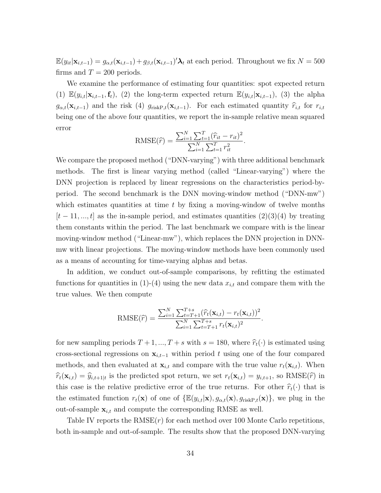$\mathbb{E}(y_{it}|\mathbf{x}_{i,t-1}) = g_{\alpha,t}(\mathbf{x}_{i,t-1}) + g_{\beta,t}(\mathbf{x}_{i,t-1})' \lambda_t$  at each period. Throughout we fix  $N = 500$ firms and  $T = 200$  periods.

We examine the performance of estimating four quantities: spot expected return (1)  $\mathbb{E}(y_{i,t}|\mathbf{x}_{i,t-1},\mathbf{f}_t)$ , (2) the long-term expected return  $\mathbb{E}(y_{i,t}|\mathbf{x}_{i,t-1})$ , (3) the alpha  $g_{\alpha,t}(\mathbf{x}_{i,t-1})$  and the risk (4)  $g_{\text{riskP},t}(\mathbf{x}_{i,t-1})$ . For each estimated quantity  $\hat{r}_{i,t}$  for  $r_{i,t}$ being one of the above four quantities, we report the in-sample relative mean squared error

RMSE(
$$
\hat{r}
$$
) = 
$$
\frac{\sum_{i=1}^{N} \sum_{t=1}^{T} (\hat{r}_{it} - r_{it})^2}{\sum_{i=1}^{N} \sum_{t=1}^{T} r_{it}^2}.
$$

We compare the proposed method ("DNN-varying") with three additional benchmark methods. The first is linear varying method (called "Linear-varying") where the DNN projection is replaced by linear regressions on the characteristics period-byperiod. The second benchmark is the DNN moving-window method ("DNN-mw") which estimates quantities at time  $t$  by fixing a moving-window of twelve months  $[t-11, ..., t]$  as the in-sample period, and estimates quantities  $(2)(3)(4)$  by treating them constants within the period. The last benchmark we compare with is the linear moving-window method ("Linear-mw"), which replaces the DNN projection in DNNmw with linear projections. The moving-window methods have been commonly used as a means of accounting for time-varying alphas and betas.

In addition, we conduct out-of-sample comparisons, by refitting the estimated functions for quantities in (1)-(4) using the new data  $x_{i,t}$  and compare them with the true values. We then compute

RMSE(
$$
\hat{r}
$$
) = 
$$
\frac{\sum_{i=1}^{N} \sum_{t=T+1}^{T+s} (\hat{r}_t(\mathbf{x}_{i,t}) - r_t(\mathbf{x}_{i,t}))^2}{\sum_{i=1}^{N} \sum_{t=T+1}^{T+s} r_t(\mathbf{x}_{i,t})^2}.
$$

for new sampling periods  $T + 1, ..., T + s$  with  $s = 180$ , where  $\hat{r}_t(\cdot)$  is estimated using cross-sectional regressions on  $x_{i,t-1}$  within period t using one of the four compared methods, and then evaluated at  $\mathbf{x}_{i,t}$  and compare with the true value  $r_t(\mathbf{x}_{i,t})$ . When  $\widehat{r}_t(\mathbf{x}_{i,t}) = \widehat{y}_{i,t+1|t}$  is the predicted spot return, we set  $r_t(\mathbf{x}_{i,t}) = y_{i,t+1}$ , so  $\text{RMSE}(\widehat{r})$  in this case is the relative predictive error of the true returns. For other  $\hat{r}_t(\cdot)$  that is the estimated function  $r_t(\mathbf{x})$  of one of  $\{\mathbb{E}(y_{i,t}|\mathbf{x}), g_{\alpha,t}(\mathbf{x}), g_{\text{riskP},t}(\mathbf{x})\}$ , we plug in the out-of-sample  $\mathbf{x}_{i,t}$  and compute the corresponding RMSE as well.

Table IV reports the  $RMSE(r)$  for each method over 100 Monte Carlo repetitions, both in-sample and out-of-sample. The results show that the proposed DNN-varying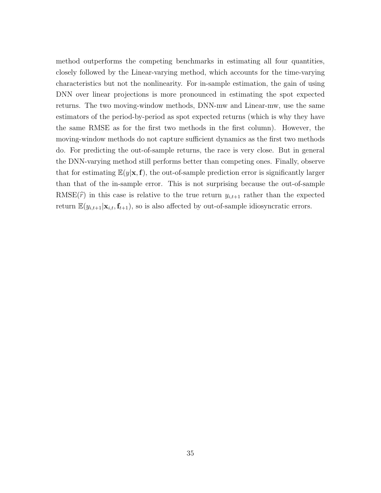method outperforms the competing benchmarks in estimating all four quantities, closely followed by the Linear-varying method, which accounts for the time-varying characteristics but not the nonlinearity. For in-sample estimation, the gain of using DNN over linear projections is more pronounced in estimating the spot expected returns. The two moving-window methods, DNN-mw and Linear-mw, use the same estimators of the period-by-period as spot expected returns (which is why they have the same RMSE as for the first two methods in the first column). However, the moving-window methods do not capture sufficient dynamics as the first two methods do. For predicting the out-of-sample returns, the race is very close. But in general the DNN-varying method still performs better than competing ones. Finally, observe that for estimating  $E(y|\mathbf{x},\mathbf{f})$ , the out-of-sample prediction error is significantly larger than that of the in-sample error. This is not surprising because the out-of-sample RMSE $(\hat{r})$  in this case is relative to the true return  $y_{i,t+1}$  rather than the expected return  $\mathbb{E}(y_{i,t+1}|\mathbf{x}_{i,t},\mathbf{f}_{t+1})$ , so is also affected by out-of-sample idiosyncratic errors.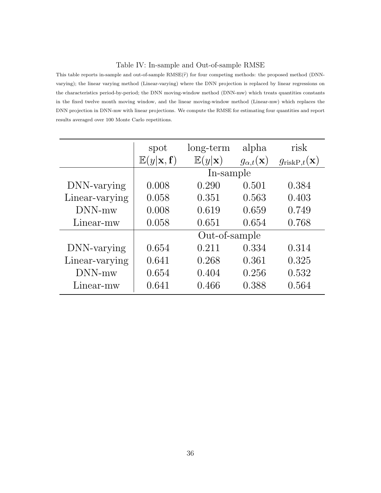#### Table IV: In-sample and Out-of-sample RMSE

This table reports in-sample and out-of-sample  $RMSE(\hat{r})$  for four competing methods: the proposed method (DNNvarying); the linear varying method (Linear-varying) where the DNN projection is replaced by linear regressions on the characteristics period-by-period; the DNN moving-window method (DNN-mw) which treats quantities constants in the fixed twelve month moving window, and the linear moving-window method (Linear-mw) which replaces the DNN projection in DNN-mw with linear projections. We compute the RMSE for estimating four quantities and report results averaged over 100 Monte Carlo repetitions.

|                | spot                                  | long-term                  | alpha                      | risk                             |
|----------------|---------------------------------------|----------------------------|----------------------------|----------------------------------|
|                | $\mathbb{E}(y \mathbf{x},\mathbf{f})$ | $\mathbb{E}(y \mathbf{x})$ | $g_{\alpha,t}(\mathbf{x})$ | $g_{\text{riskP},t}(\mathbf{x})$ |
|                |                                       | In-sample                  |                            |                                  |
| DNN-varying    | 0.008                                 | 0.290                      | 0.501                      | 0.384                            |
| Linear-varying | 0.058                                 | 0.351                      | 0.563                      | 0.403                            |
| DNN-mw         | 0.008                                 | 0.619                      | 0.659                      | 0.749                            |
| Linear-mw      | 0.058                                 | 0.651                      | 0.654                      | 0.768                            |
|                |                                       | Out-of-sample              |                            |                                  |
| DNN-varying    | 0.654                                 | 0.211                      | 0.334                      | 0.314                            |
| Linear-varying | 0.641                                 | 0.268                      | 0.361                      | 0.325                            |
| DNN-mw         | 0.654                                 | 0.404                      | 0.256                      | 0.532                            |
| Linear-mw      | 0.641                                 | 0.466                      | 0.388                      | 0.564                            |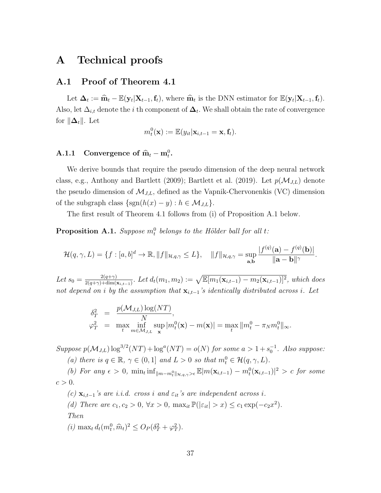## A Technical proofs

## A.1 Proof of Theorem 4.1

Let  $\Delta_t := \hat{\mathbf{m}}_t - \mathbb{E}(\mathbf{y}_t | \mathbf{X}_{t-1}, \mathbf{f}_t)$ , where  $\hat{\mathbf{m}}_t$  is the DNN estimator for  $\mathbb{E}(\mathbf{y}_t | \mathbf{X}_{t-1}, \mathbf{f}_t)$ . Also, let  $\Delta_{i,t}$  denote the i th component of  $\mathbf{\Delta}_t$ . We shall obtain the rate of convergence for  $\|\Delta_t\|$ . Let

$$
m_t^0(\mathbf{x}) := \mathbb{E}(y_{it}|\mathbf{x}_{i,t-1}=\mathbf{x}, \mathbf{f}_t).
$$

# A.1.1 Convergence of  $\hat{\mathbf{m}}_t - \mathbf{m}_t^0$ .

We derive bounds that require the pseudo dimension of the deep neural network class, e.g., Anthony and Bartlett (2009); Bartlett et al. (2019). Let  $p(\mathcal{M}_{J,L})$  denote the pseudo dimension of  $\mathcal{M}_{J,L}$ , defined as the Vapnik-Chervonenkis (VC) dimension of the subgraph class  $\{sgn(h(x) - y) : h \in \mathcal{M}_{J,L}\}.$ 

The first result of Theorem 4.1 follows from (i) of Proposition A.1 below.

**Proposition A.1.** Suppose  $m_t^0$  belongs to the Hölder ball for all t:

$$
\mathcal{H}(q,\gamma,L)=\{f:[a,b]^d\to\mathbb{R},\|f\|_{\mathcal{H},q,\gamma}\leq L\},\quad\|f\|_{\mathcal{H},q,\gamma}=\sup_{\mathbf{a},\mathbf{b}}\frac{|f^{(q)}(\mathbf{a})-f^{(q)}(\mathbf{b})|}{\|\mathbf{a}-\mathbf{b}\|^{\gamma}}.
$$

Let  $s_0 = \frac{2(q+\gamma)}{2(q+\gamma)+\dim(1)}$  $\frac{2(q+\gamma)}{2(q+\gamma)+\dim(\mathbf{x}_{i,t-1})}$ . Let  $d_t(m_1, m_2) := \sqrt{\mathbb{E}[m_1(\mathbf{x}_{i,t-1}) - m_2(\mathbf{x}_{i,t-1})]^2}$ , which does not depend on i by the assumption that  $\mathbf{x}_{i,t-1}$ 's identically distributed across i. Let

$$
\delta_T^2 = \frac{p(\mathcal{M}_{J,L}) \log(NT)}{N},
$$
  
\n
$$
\varphi_T^2 = \max_t \inf_{m \in \mathcal{M}_{J,L}} \sup_{\mathbf{x}} |m_t^0(\mathbf{x}) - m(\mathbf{x})| = \max_t \|m_t^0 - \pi_N m_t^0\|_{\infty}.
$$

Suppose  $p(\mathcal{M}_{J,L}) \log^{3/2}(NT) + \log^{a}(NT) = o(N)$  for some  $a > 1 + s_0^{-1}$ . Also suppose: (a) there is  $q \in \mathbb{R}$ ,  $\gamma \in (0,1]$  and  $L > 0$  so that  $m_t^0 \in \mathcal{H}(q,\gamma,L)$ .

(b) For any  $\epsilon > 0$ ,  $\min_t \inf_{\|m-m_t^0\|_{\mathcal{H},q,\gamma} > \epsilon} \mathbb{E}[m(\mathbf{x}_{i,t-1}) - m_t^0(\mathbf{x}_{i,t-1})]^2 > c$  for some  $c > 0$ .

(c)  $\mathbf{x}_{i,t-1}$ 's are i.i.d. cross i and  $\varepsilon_{it}$ 's are independent across i. (d) There are  $c_1, c_2 > 0$ ,  $\forall x > 0$ ,  $\max_{it} \mathbb{P}(|\varepsilon_{it}| > x) \leq c_1 \exp(-c_2 x^2)$ . Then (*i*) max<sub>t</sub>  $d_t(m_t^0, \hat{m}_t)^2 \le O_P(\delta_T^2 + \varphi_T^2)$ .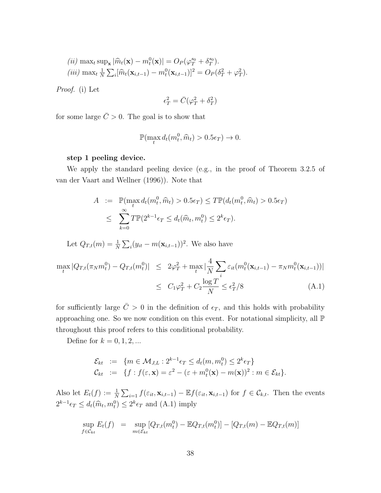$$
(ii) \max_t \sup_{\mathbf{x}} |\widehat{m}_t(\mathbf{x}) - m_t^0(\mathbf{x})| = O_P(\varphi_T^{s_0} + \delta_T^{s_0}).
$$
  

$$
(iii) \max_t \frac{1}{N} \sum_i [\widehat{m}_t(\mathbf{x}_{i,t-1}) - m_t^0(\mathbf{x}_{i,t-1})]^2 = O_P(\delta_T^2 + \varphi_T^2).
$$

Proof. (i) Let

$$
\epsilon_T^2 = \bar{C}(\varphi_T^2 + \delta_T^2)
$$

for some large  $\bar{C} > 0$ . The goal is to show that

$$
\mathbb{P}(\max_t d_t(m_t^0, \hat{m}_t) > 0.5\epsilon_T) \to 0.
$$

#### step 1 peeling device.

We apply the standard peeling device (e.g., in the proof of Theorem 3.2.5 of van der Vaart and Wellner (1996)). Note that

$$
A := \mathbb{P}(\max_t d_t(m_t^0, \hat{m}_t) > 0.5\epsilon_T) \le T\mathbb{P}(d_t(m_t^0, \hat{m}_t) > 0.5\epsilon_T)
$$
  

$$
\le \sum_{k=0}^{\infty} T\mathbb{P}(2^{k-1}\epsilon_T \le d_t(\hat{m}_t, m_t^0) \le 2^k \epsilon_T).
$$

Let  $Q_{T,t}(m) = \frac{1}{N} \sum_i (y_{it} - m(\mathbf{x}_{i,t-1}))^2$ . We also have

$$
\max_{t} |Q_{T,t}(\pi_N m_t^0) - Q_{T,t}(m_t^0)| \leq 2\varphi_T^2 + \max_{t} |\frac{4}{N} \sum_{i} \varepsilon_{it}(m_t^0(\mathbf{x}_{i,t-1}) - \pi_N m_t^0(\mathbf{x}_{i,t-1}))|
$$
  

$$
\leq C_1 \varphi_T^2 + C_2 \frac{\log T}{N} \leq \epsilon_T^2 / 8
$$
 (A.1)

for sufficiently large  $\overline{C} > 0$  in the definition of  $\epsilon_T$ , and this holds with probability approaching one. So we now condition on this event. For notational simplicity, all P throughout this proof refers to this conditional probability.

Define for  $k = 0, 1, 2, ...$ 

$$
\mathcal{E}_{kt} := \{ m \in \mathcal{M}_{J,L} : 2^{k-1} \epsilon_T \le d_t(m, m_t^0) \le 2^k \epsilon_T \}
$$
  

$$
\mathcal{C}_{kt} := \{ f : f(\varepsilon, \mathbf{x}) = \varepsilon^2 - (\varepsilon + m_t^0(\mathbf{x}) - m(\mathbf{x}))^2 : m \in \mathcal{E}_{kt} \}.
$$

Also let  $E_t(f) := \frac{1}{N} \sum_{i=1}^N f(\varepsilon_{it}, \mathbf{x}_{i,t-1}) - \mathbb{E}f(\varepsilon_{it}, \mathbf{x}_{i,t-1})$  for  $f \in \mathcal{C}_{k,t}$ . Then the events  $2^{k-1}\epsilon_T \leq d_t(\widehat{m}_t, m_t^0) \leq 2^k \epsilon_T$  and  $(A.1)$  imply

$$
\sup_{f \in \mathcal{C}_{kt}} E_t(f) = \sup_{m \in \mathcal{E}_{kt}} [Q_{T,t}(m_t^0) - \mathbb{E}Q_{T,t}(m_t^0)] - [Q_{T,t}(m) - \mathbb{E}Q_{T,t}(m)]
$$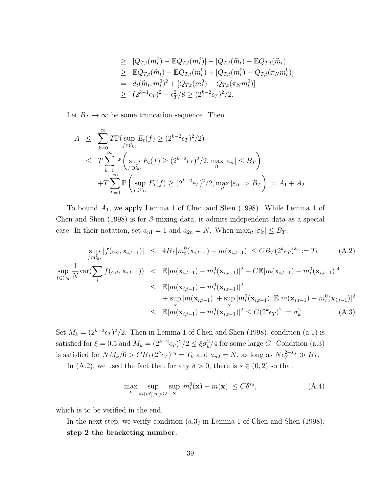$$
\geq [Q_{T,t}(m_t^0) - \mathbb{E}Q_{T,t}(m_t^0)] - [Q_{T,t}(\hat{m}_t) - \mathbb{E}Q_{T,t}(\hat{m}_t)]
$$
\n
$$
\geq \mathbb{E}Q_{T,t}(\hat{m}_t) - \mathbb{E}Q_{T,t}(m_t^0) + [Q_{T,t}(m_t^0) - Q_{T,t}(\pi_N m_t^0)]
$$
\n
$$
= d_t(\hat{m}_t, m_t^0)^2 + [Q_{T,t}(m_t^0) - Q_{T,t}(\pi_N m_t^0)]
$$
\n
$$
\geq (2^{k-1}\epsilon_T)^2 - \epsilon_T^2/8 \geq (2^{k-2}\epsilon_T)^2/2.
$$

Let  $B_T \to \infty$  be some truncation sequence. Then

$$
A \leq \sum_{k=0}^{\infty} T \mathbb{P}(\sup_{f \in \mathcal{C}_{kt}} E_t(f) \geq (2^{k-2} \epsilon_T)^2 / 2)
$$
  
\n
$$
\leq T \sum_{k=0}^{\infty} \mathbb{P}\left(\sup_{f \in \mathcal{C}_{kt}} E_t(f) \geq (2^{k-2} \epsilon_T)^2 / 2, \max_{it} |\varepsilon_{it}| \leq B_T\right)
$$
  
\n
$$
+ T \sum_{k=0}^{\infty} \mathbb{P}\left(\sup_{f \in \mathcal{C}_{kt}} E_t(f) \geq (2^{k-2} \epsilon_T)^2 / 2, \max_{it} |\varepsilon_{it}| > B_T\right) := A_1 + A_2.
$$

To bound  $A_1$ , we apply Lemma 1 of Chen and Shen (1998). While Lemma 1 of Chen and Shen (1998) is for  $\beta$ -mixing data, it admits independent data as a special case. In their notation, set  $a_{n1} = 1$  and  $a_{2n} = N$ . When  $\max_{it} |\varepsilon_{it}| \leq B_T$ ,

$$
\sup_{f \in \mathcal{C}_{kt}} |f(\varepsilon_{it}, \mathbf{x}_{i, t-1})| \le 4B_T |m_t^0(\mathbf{x}_{i, t-1}) - m(\mathbf{x}_{i, t-1})| \le CB_T (2^k \epsilon_T)^{s_0} := T_k \quad (A.2)
$$
  
\n
$$
\sup_{f \in \mathcal{C}_{kt}} \frac{1}{N} \text{var}(\sum_i f(\varepsilon_{it}, \mathbf{x}_{i, t-1})) \le \mathbb{E}|m(\mathbf{x}_{i, t-1}) - m_t^0(\mathbf{x}_{i, t-1})|^2 + C \mathbb{E}|m(\mathbf{x}_{i, t-1}) - m_t^0(\mathbf{x}_{i, t-1})|^4
$$
  
\n
$$
\le \mathbb{E}|m(\mathbf{x}_{i, t-1}) - m_t^0(\mathbf{x}_{i, t-1})|^2
$$
  
\n
$$
+ [\sup_{\mathbf{x}} |m(\mathbf{x}_{i, t-1})| + \sup_{\mathbf{x}} |m_t^0(\mathbf{x}_{i, t-1})|] \mathbb{E}|m(\mathbf{x}_{i, t-1}) - m_t^0(\mathbf{x}_{i, t-1})|^2
$$
  
\n
$$
\le \mathbb{E}|m(\mathbf{x}_{i, t-1}) - m_t^0(\mathbf{x}_{i, t-1})|^2 \le C(2^k \epsilon_T)^2 := \sigma_k^2. \quad (A.3)
$$

Set  $M_k = (2^{k-2} \epsilon_T)^2/2$ . Then in Lemma 1 of Chen and Shen (1998), condition (a.1) is satisfied for  $\xi = 0.5$  and  $M_k = (2^{k-2} \epsilon_T)^2/2 \leq \xi \sigma_k^2/4$  for some large C. Condition (a.3) is satisfied for  $NM_k/6 > CB_T(2^k \epsilon_T)^{s_0} = T_k$  and  $a_{n2} = N$ , as long as  $N \epsilon_T^{2-s_0} \gg B_T$ .

In (A.2), we used the fact that for any  $\delta > 0$ , there is  $s \in (0, 2)$  so that

$$
\max_{t} \sup_{d_t(m_t^0, m) \le \delta} \sup_{\mathbf{x}} |m_t^0(\mathbf{x}) - m(\mathbf{x})| \le C\delta^{s_0},
$$
\n(A.4)

which is to be verified in the end.

In the next step, we verify condition (a.3) in Lemma 1 of Chen and Shen (1998). step 2 the bracketing number.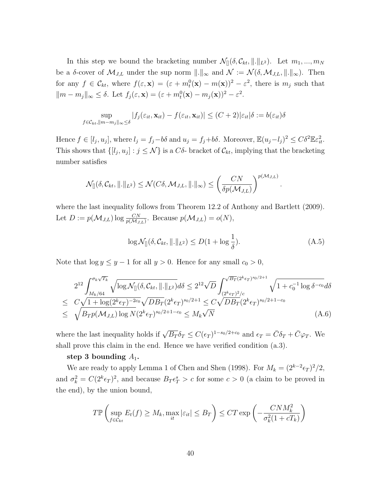In this step we bound the bracketing number  $\mathcal{N}_{\parallel}(\delta, \mathcal{C}_{kt}, \|\ldots\|_{L^2})$ . Let  $m_1, \ldots, m_N$ be a  $\delta$ -cover of  $\mathcal{M}_{J,L}$  under the sup norm  $\|\cdot\|_{\infty}$  and  $\mathcal{N} := \mathcal{N}(\delta, \mathcal{M}_{J,L}, \|\cdot\|_{\infty})$ . Then for any  $f \in \mathcal{C}_{kt}$ , where  $f(\varepsilon, \mathbf{x}) = (\varepsilon + m_t^0(\mathbf{x}) - m(\mathbf{x}))^2 - \varepsilon^2$ , there is  $m_j$  such that  $||m - m_j||_{\infty} \leq \delta$ . Let  $f_j(\varepsilon, \mathbf{x}) = (\varepsilon + m_t^0(\mathbf{x}) - m_j(\mathbf{x}))^2 - \varepsilon^2$ .

$$
\sup_{f \in \mathcal{C}_{kt}, ||m-m_j||_{\infty} \leq \delta} |f_j(\varepsilon_{it}, \mathbf{x}_{it}) - f(\varepsilon_{it}, \mathbf{x}_{it})| \leq (C+2)|\varepsilon_{it}|\delta := b(\varepsilon_{it})\delta
$$

Hence  $f \in [l_j, u_j]$ , where  $l_j = f_j - b\delta$  and  $u_j = f_j + b\delta$ . Moreover,  $\mathbb{E}(u_j - l_j)^2 \leq C\delta^2 \mathbb{E}\varepsilon_{it}^2$ . This shows that  $\{[l_j, u_j] : j \leq N\}$  is a  $C\delta$ - bracket of  $\mathcal{C}_{kt}$ , implying that the bracketing number satisfies

$$
\mathcal{N}_{[]}(\delta, \mathcal{C}_{kt}, \| \|_{L^2}) \leq \mathcal{N}(C\delta, \mathcal{M}_{J,L}, \| \|_{\infty}) \leq \left(\frac{CN}{\delta p(\mathcal{M}_{J,L})}\right)^{p(\mathcal{M}_{J,L})}
$$

where the last inequality follows from Theorem 12.2 of Anthony and Bartlett (2009). Let  $D := p(\mathcal{M}_{J,L}) \log \frac{CN}{p(\mathcal{M}_{J,L})}$ . Because  $p(\mathcal{M}_{J,L}) = o(N)$ ,

$$
\log \mathcal{N}_{[]}(\delta, \mathcal{C}_{kt}, \| \|_{L^2}) \le D(1 + \log \frac{1}{\delta}). \tag{A.5}
$$

.

Note that  $\log y \leq y - 1$  for all  $y > 0$ . Hence for any small  $c_0 > 0$ ,

$$
2^{12} \int_{M_k/64}^{\sigma_k \sqrt{T_k}} \sqrt{\log \mathcal{N}_{[]}(\delta, \mathcal{C}_{kt}, ||.||_{L^2})} d\delta \leq 2^{12} \sqrt{D} \int_{(2^k \epsilon_T)^{2/c}}^{\sqrt{B_T}(2^k \epsilon_T)^{s_0/2+1}} \sqrt{1 + c_0^{-1} \log \delta^{-c_0}} d\delta
$$
  
\n
$$
\leq C \sqrt{1 + \log(2^k \epsilon_T)^{-2c_0}} \sqrt{DB_T} (2^k \epsilon_T)^{s_0/2+1} \leq C \sqrt{DB_T} (2^k \epsilon_T)^{s_0/2+1-c_0}
$$
  
\n
$$
\leq \sqrt{B_T p(\mathcal{M}_{J,L}) \log N} (2^k \epsilon_T)^{s_0/2+1-c_0} \leq M_k \sqrt{N}
$$
\n(A.6)

where the last inequality holds if  $\sqrt{B_T} \delta_T \leq C(\epsilon_T)^{1-s_0/2+c_0}$  and  $\epsilon_T = \bar{C}\delta_T + \bar{C}\varphi_T$ . We shall prove this claim in the end. Hence we have verified condition (a.3).

#### step 3 bounding  $A_1$ .

We are ready to apply Lemma 1 of Chen and Shen (1998). For  $M_k = (2^{k-2} \epsilon_T)^2/2$ , and  $\sigma_k^2 = C(2^k \epsilon_T)^2$ , and because  $B_T \epsilon_T^s > c$  for some  $c > 0$  (a claim to be proved in the end), by the union bound,

$$
T\mathbb{P}\left(\sup_{f\in\mathcal{C}_{kt}} E_t(f) \ge M_k, \max_{it} |\varepsilon_{it}| \le B_T\right) \le CT \exp\left(-\frac{CNM_k^2}{\sigma_k^2(1+cT_k)}\right)
$$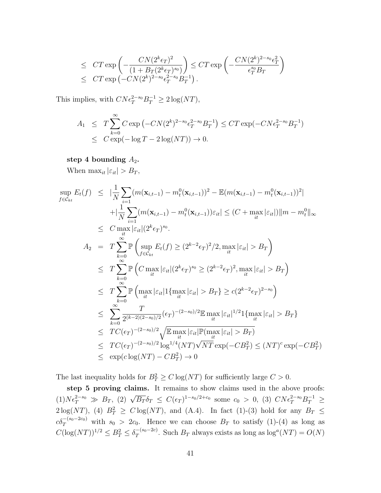$$
\leq CT \exp\left(-\frac{CN(2^k \epsilon_T)^2}{(1+B_T(2^k \epsilon_T)^{s_0})}\right) \leq CT \exp\left(-\frac{CN(2^k)^{2-s_0}\epsilon_T^2}{\epsilon_T^{s_0}B_T}\right) \leq CT \exp\left(-CN(2^k)^{2-s_0}\epsilon_T^{2-s_0}B_T^{-1}\right).
$$

This implies, with  $CN \epsilon_T^{2-s_0} B_T^{-1} \geq 2 \log (NT)$ ,

$$
A_1 \leq T \sum_{k=0}^{\infty} C \exp(-CN(2^k)^{2-s_0} \epsilon_T^{2-s_0} B_T^{-1}) \leq CT \exp(-CN \epsilon_T^{2-s_0} B_T^{-1})
$$
  

$$
\leq C \exp(-\log T - 2 \log(NT)) \to 0.
$$

#### step 4 bounding  $A_2$ .

When  $\max_{it} |\varepsilon_{it}| > B_T$ ,

$$
\sup_{f \in C_{kt}} E_{t}(f) \leq |\frac{1}{N} \sum_{i=1}^{N} (m(\mathbf{x}_{i,t-1}) - m_{t}^{0}(\mathbf{x}_{i,t-1}))^{2} - \mathbb{E}(m(\mathbf{x}_{i,t-1}) - m_{t}^{0}(\mathbf{x}_{i,t-1}))^{2}|
$$
\n
$$
+ |\frac{1}{N} \sum_{i=1}^{N} (m(\mathbf{x}_{i,t-1}) - m_{t}^{0}(\mathbf{x}_{i,t-1})) \varepsilon_{it}| \leq (C + \max_{it} |\varepsilon_{it}|) ||m - m_{t}^{0}||_{\infty}
$$
\n
$$
\leq C \max_{it} |\varepsilon_{it}| (2^{k} \varepsilon_{T})^{s_{0}}.
$$
\n
$$
A_{2} = T \sum_{k=0}^{\infty} \mathbb{P} \left( \sup_{f \in C_{kt}} E_{t}(f) \geq (2^{k-2} \varepsilon_{T})^{2}/2, \max_{it} |\varepsilon_{it}| > B_{T} \right)
$$
\n
$$
\leq T \sum_{k=0}^{\infty} \mathbb{P} \left( C \max_{it} |\varepsilon_{it}| (2^{k} \varepsilon_{T})^{s_{0}} \geq (2^{k-2} \varepsilon_{T})^{2}, \max_{it} |\varepsilon_{it}| > B_{T} \right)
$$
\n
$$
\leq T \sum_{k=0}^{\infty} \mathbb{P} \left( \max_{it} |\varepsilon_{it}| 1 \{\max_{it} |\varepsilon_{it}| > B_{T}\} \geq c(2^{k-2} \varepsilon_{T})^{2-s_{0}} \right)
$$
\n
$$
\leq \sum_{k=0}^{\infty} \frac{T}{2^{(k-2)(2-s_{0})/2}} (\varepsilon_{T})^{-(2-s_{0})/2} \mathbb{E} \max_{it} |\varepsilon_{it}|^{1/2} 1 \{\max_{it} |\varepsilon_{it}| > B_{T}\}
$$
\n
$$
\leq TC(\varepsilon_{T})^{-(2-s_{0})/2} \sqrt{\mathbb{E} \max_{it} |\varepsilon_{it}| \mathbb{P}(\max_{it} |\varepsilon_{it}| > B_{T})}
$$
\n
$$
\leq TC(\varepsilon_{T})^{-(2-s_{0})/2} \log^{1/4}(NT) \sqrt{NT} \
$$

The last inequality holds for  $B_T^2 \geq C \log(NT)$  for sufficiently large  $C > 0$ .

step 5 proving claims. It remains to show claims used in the above proofs: (1)  $N \epsilon_T^{2-s_0} \gg B_T$ , (2)  $\sqrt{B_T} \delta_T \leq C(\epsilon_T)^{1-s_0/2+c_0}$  some  $c_0 > 0$ , (3)  $C N \epsilon_T^{2-s_0} B_T^{-1} \geq$  $2\log(NT)$ , (4)  $B_T^2 \geq C \log(NT)$ , and (A.4). In fact (1)-(3) hold for any  $B_T \leq$  $c\delta_T^{-(s_0-2c_0)}$  with  $s_0 > 2c_0$ . Hence we can choose  $B_T$  to satisfy (1)-(4) as long as  $C(\log (NT))^{1/2} \leq B_T^2 \leq \delta_T^{-(s_0-2c)}$  $T^{-(s_0-2c)}$ . Such  $B_T$  always exists as long as  $\log^a(NT) = O(N)$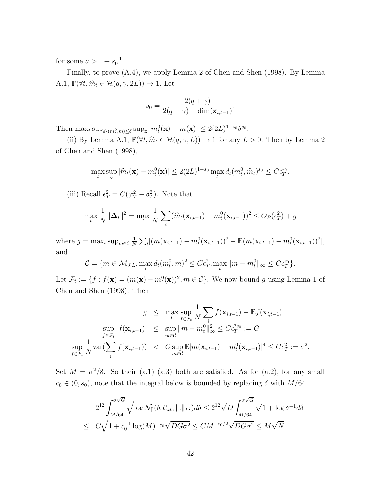for some  $a > 1 + s_0^{-1}$ .

Finally, to prove (A.4), we apply Lemma 2 of Chen and Shen (1998). By Lemma A.1,  $\mathbb{P}(\forall t, \hat{m}_t \in \mathcal{H}(q, \gamma, 2L)) \to 1$ . Let

$$
s_0 = \frac{2(q+\gamma)}{2(q+\gamma) + \dim(\mathbf{x}_{i,t-1})}.
$$

Then  $\max_t \sup_{d_t(m_t^0,m)\leq \delta} \sup_{\mathbf{x}} |m_t^0(\mathbf{x}) - m(\mathbf{x})| \leq 2(2L)^{1-s_0} \delta^{s_0}.$ 

(ii) By Lemma A.1,  $\mathbb{P}(\forall t, \hat{m}_t \in \mathcal{H}(q, \gamma, L)) \to 1$  for any  $L > 0$ . Then by Lemma 2 of Chen and Shen (1998),

$$
\max_{t} \sup_{\mathbf{x}} |\widehat{m}_t(\mathbf{x}) - m_t^0(\mathbf{x})| \le 2(2L)^{1-s_0} \max_t d_t(m_t^0, \widehat{m}_t)^{s_0} \le C\epsilon_T^{s_0}.
$$

(iii) Recall  $\epsilon_T^2 = \overline{C}(\varphi_T^2 + \delta_T^2)$ . Note that

$$
\max_{t} \frac{1}{N} ||\mathbf{\Delta}_{t}||^{2} = \max_{t} \frac{1}{N} \sum_{i} (\widehat{m}_{t}(\mathbf{x}_{i,t-1}) - m_{t}^{0}(\mathbf{x}_{i,t-1}))^{2} \le O_{P}(\epsilon_{T}^{2}) + g
$$

where  $g = \max_t \sup_{m \in \mathcal{C}} \frac{1}{N}$  $\frac{1}{N} \sum_i [(m(\mathbf{x}_{i,t-1}) - m_t^0(\mathbf{x}_{i,t-1}))^2 - \mathbb{E}(m(\mathbf{x}_{i,t-1}) - m_t^0(\mathbf{x}_{i,t-1}))^2],$ and

$$
\mathcal{C} = \{ m \in \mathcal{M}_{J,L}, \max_t d_t(m_t^0, m)^2 \le C\epsilon_T^2, \max_t \| m - m_t^0 \|_\infty \le C\epsilon_T^{s_0} \}.
$$

Let  $\mathcal{F}_t := \{f : f(\mathbf{x}) = (m(\mathbf{x}) - m_t^0(\mathbf{x}))^2, m \in \mathcal{C}\}$ . We now bound g using Lemma 1 of Chen and Shen (1998). Then

$$
g \leq \max_{t} \sup_{f \in \mathcal{F}_t} \frac{1}{N} \sum_{i} f(\mathbf{x}_{i,t-1}) - \mathbb{E} f(\mathbf{x}_{i,t-1})
$$
  
\n
$$
\sup_{f \in \mathcal{F}_t} |f(\mathbf{x}_{i,t-1})| \leq \sup_{m \in \mathcal{C}} ||m - m_t^0||_{\infty}^2 \leq C \epsilon_T^{2s_0} := G
$$
  
\n
$$
\sup_{f \in \mathcal{F}_t} \frac{1}{N} \text{var}(\sum_{i} f(\mathbf{x}_{i,t-1})) < C \sup_{m \in \mathcal{C}} \mathbb{E} |m(\mathbf{x}_{i,t-1}) - m_t^0(\mathbf{x}_{i,t-1})|^4 \leq C \epsilon_T^2 := \sigma^2.
$$

Set  $M = \sigma^2/8$ . So their (a.1) (a.3) both are satisfied. As for (a.2), for any small  $c_0 \in (0, s_0)$ , note that the integral below is bounded by replacing  $\delta$  with  $M/64$ .

$$
2^{12} \int_{M/64}^{\sigma\sqrt{G}} \sqrt{\log \mathcal{N}_{[]}(\delta, \mathcal{C}_{kt}, ||.||_{L^2})} d\delta \leq 2^{12} \sqrt{D} \int_{M/64}^{\sigma\sqrt{G}} \sqrt{1 + \log \delta^{-1}} d\delta
$$
  

$$
\leq C \sqrt{1 + c_0^{-1} \log(M)^{-c_0}} \sqrt{DG\sigma^2} \leq CM^{-c_0/2} \sqrt{DG\sigma^2} \leq M\sqrt{N}
$$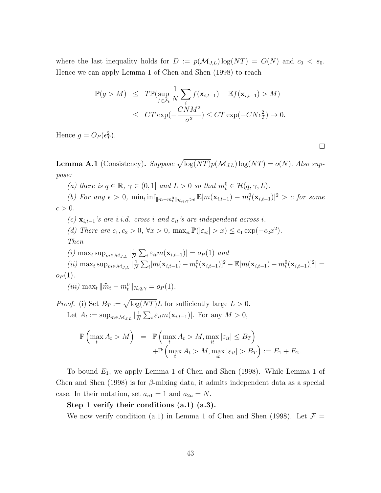where the last inequality holds for  $D := p(\mathcal{M}_{J,L}) \log(NT) = O(N)$  and  $c_0 < s_0$ . Hence we can apply Lemma 1 of Chen and Shen (1998) to reach

$$
\mathbb{P}(g > M) \leq T \mathbb{P}(\sup_{f \in \mathcal{F}_t} \frac{1}{N} \sum_i f(\mathbf{x}_{i,t-1}) - \mathbb{E}f(\mathbf{x}_{i,t-1}) > M)
$$
  

$$
\leq CT \exp(-\frac{CNM^2}{\sigma^2}) \leq CT \exp(-CN\epsilon_T^2) \to 0.
$$

Hence  $g = O_P(\epsilon_T^2)$ .

**Lemma A.1** (Consistency). Suppose  $\sqrt{\log (NT)}p(\mathcal{M}_{J,L}) \log (NT) = o(N)$ . Also suppose:

(a) there is  $q \in \mathbb{R}$ ,  $\gamma \in (0,1]$  and  $L > 0$  so that  $m_t^0 \in \mathcal{H}(q,\gamma,L)$ .

(b) For any  $\epsilon > 0$ ,  $\min_t \inf_{\|m-m_t^0\|_{\mathcal{H},q,\gamma} > \epsilon} \mathbb{E}[m(\mathbf{x}_{i,t-1}) - m_t^0(\mathbf{x}_{i,t-1})]^2 > c$  for some  $c > 0$ .

(c)  $\mathbf{x}_{i,t-1}$ 's are i.i.d. cross i and  $\varepsilon_{it}$ 's are independent across i.

(d) There are  $c_1, c_2 > 0$ ,  $\forall x > 0$ ,  $\max_{it} \mathbb{P}(|\varepsilon_{it}| > x) \leq c_1 \exp(-c_2 x^2)$ .

Then

(i) 
$$
\max_{t} \sup_{m \in \mathcal{M}_{J,L}} |\frac{1}{N} \sum_{i} \varepsilon_{it} m(\mathbf{x}_{i,t-1})| = o_P(1) \text{ and}
$$
  
(ii) 
$$
\max_{t} \sup_{m \in \mathcal{M}_{J,L}} |\frac{1}{N} \sum_{i} [m(\mathbf{x}_{i,t-1}) - m_t^0(\mathbf{x}_{i,t-1})]^2 - \mathbb{E}[m(\mathbf{x}_{i,t-1}) - m_t^0(\mathbf{x}_{i,t-1})]^2| =
$$

$$
o_P(1).
$$

(*iii*) max<sub>t</sub>  $\|\hat{m}_t - m_t^0\|_{\mathcal{H},q,\gamma} = o_P(1)$ .

*Proof.* (i) Set  $B_T := \sqrt{\log (NT)}L$  for sufficiently large  $L > 0$ . Let  $A_t := \sup_{m \in \mathcal{M}_{J,L}} \left| \frac{1}{N} \right|$  $\frac{1}{N} \sum_{i} \varepsilon_{it} m(\mathbf{x}_{i,t-1})$ . For any  $M > 0$ ,

$$
\mathbb{P}\left(\max_{t} A_{t} > M\right) = \mathbb{P}\left(\max_{t} A_{t} > M, \max_{it} |\varepsilon_{it}| \leq B_{T}\right) \n+ \mathbb{P}\left(\max_{t} A_{t} > M, \max_{it} |\varepsilon_{it}| > B_{T}\right) := E_{1} + E_{2}.
$$

To bound  $E_1$ , we apply Lemma 1 of Chen and Shen (1998). While Lemma 1 of Chen and Shen (1998) is for  $\beta$ -mixing data, it admits independent data as a special case. In their notation, set  $a_{n1} = 1$  and  $a_{2n} = N$ .

Step 1 verify their conditions (a.1) (a.3).

We now verify condition (a.1) in Lemma 1 of Chen and Shen (1998). Let  $\mathcal{F} =$ 

 $\Box$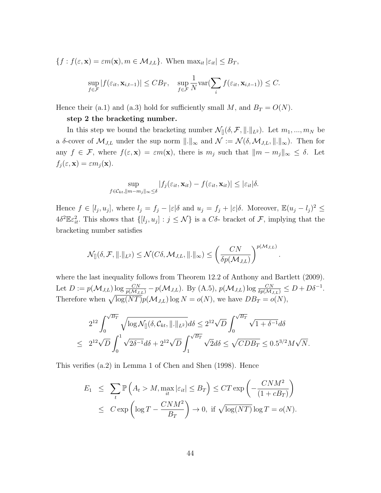$$
\{f : f(\varepsilon, \mathbf{x}) = \varepsilon m(\mathbf{x}), m \in \mathcal{M}_{J,L}\}. \text{ When } \max_{it} |\varepsilon_{it}| \leq B_T,
$$

$$
\sup_{f \in \mathcal{F}} |f(\varepsilon_{it}, \mathbf{x}_{i,t-1})| \leq C B_T, \quad \sup_{f \in \mathcal{F}} \frac{1}{N} \text{var}(\sum_{i} f(\varepsilon_{it}, \mathbf{x}_{i,t-1})) \leq C.
$$

Hence their (a.1) and (a.3) hold for sufficiently small M, and  $B_T = O(N)$ .

#### step 2 the bracketing number.

In this step we bound the bracketing number  $\mathcal{N}_{\parallel}(\delta, \mathcal{F}, \|.\|_{L^2})$ . Let  $m_1, ..., m_N$  be a δ-cover of  $\mathcal{M}_{J,L}$  under the sup norm  $\|.\|_{\infty}$  and  $\mathcal{N} := \mathcal{N}(\delta, \mathcal{M}_{J,L}, \|.\|_{\infty})$ . Then for any  $f \in \mathcal{F}$ , where  $f(\varepsilon, \mathbf{x}) = \varepsilon m(\mathbf{x})$ , there is  $m_j$  such that  $||m - m_j||_{\infty} \leq \delta$ . Let  $f_j(\varepsilon, \mathbf{x}) = \varepsilon m_j(\mathbf{x}).$ 

$$
\sup_{f \in \mathcal{C}_{kt}, ||m-m_j||_{\infty} \leq \delta} |f_j(\varepsilon_{it}, \mathbf{x}_{it}) - f(\varepsilon_{it}, \mathbf{x}_{it})| \leq |\varepsilon_{it}| \delta.
$$

Hence  $f \in [l_j, u_j]$ , where  $l_j = f_j - |\varepsilon| \delta$  and  $u_j = f_j + |\varepsilon| \delta$ . Moreover,  $\mathbb{E}(u_j - l_j)^2 \leq$  $4\delta^2 \mathbb{E} \varepsilon_{it}^2$ . This shows that  $\{[l_j, u_j] : j \leq \mathcal{N}\}\$ is a C $\delta$ - bracket of  $\mathcal{F}$ , implying that the bracketing number satisfies

$$
\mathcal{N}_{[]}(\delta, \mathcal{F}, \|\!.\|_{L^2}) \leq \mathcal{N}(C\delta, \mathcal{M}_{J,L}, \|\!.\|_{\infty}) \leq \left(\frac{CN}{\delta p(\mathcal{M}_{J,L})}\right)^{p(\mathcal{M}_{J,L})}.
$$

where the last inequality follows from Theorem 12.2 of Anthony and Bartlett (2009). Let  $D := p(\mathcal{M}_{J,L}) \log \frac{CN}{p(\mathcal{M}_{J,L})} - p(\mathcal{M}_{J,L})$ . By  $(A.5)$ ,  $p(\mathcal{M}_{J,L}) \log \frac{CN}{\delta p(\mathcal{M}_{J,L})} \le D + D\delta^{-1}$ . Therefore when  $\sqrt{\log (NT)} p(\mathcal{M}_{J,L}) \log N = o(N)$ , we have  $DB_T = o(N)$ ,

$$
2^{12} \int_0^{\sqrt{B_T}} \sqrt{\log \mathcal{N}_{[]}(\delta, \mathcal{C}_{kt}, \| \|_{L^2})} d\delta \leq 2^{12} \sqrt{D} \int_0^{\sqrt{B_T}} \sqrt{1 + \delta^{-1}} d\delta
$$
  

$$
\leq 2^{12} \sqrt{D} \int_0^1 \sqrt{2\delta^{-1}} d\delta + 2^{12} \sqrt{D} \int_1^{\sqrt{B_T}} \sqrt{2} d\delta \leq \sqrt{CDB_T} \leq 0.5^{3/2} M \sqrt{N}.
$$

This verifies (a.2) in Lemma 1 of Chen and Shen (1998). Hence

$$
E_1 \leq \sum_{t} \mathbb{P}\left(A_t > M, \max_{it} |\varepsilon_{it}| \leq B_T\right) \leq CT \exp\left(-\frac{CNM^2}{(1+cB_T)}\right)
$$
  

$$
\leq C \exp\left(\log T - \frac{CNM^2}{B_T}\right) \to 0, \text{ if } \sqrt{\log (NT)} \log T = o(N).
$$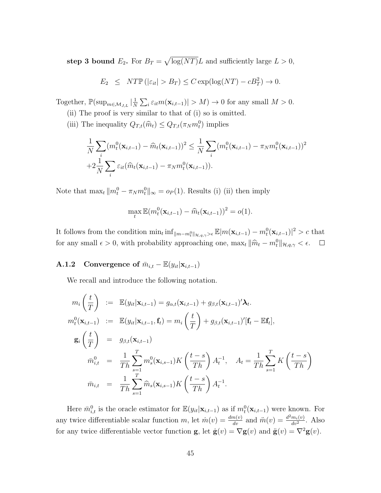step 3 bound  $E_2$ . For  $B_T = \sqrt{\log(NT)}L$  and sufficiently large  $L > 0$ ,

$$
E_2 \leq N T \mathbb{P}(|\varepsilon_{it}| > B_T) \leq C \exp(\log(NT) - cB_T^2) \to 0.
$$

Together,  $\mathbb{P}(\sup_{m \in \mathcal{M}_{J,L}} |\frac{1}{N})$  $\frac{1}{N} \sum_{i} \varepsilon_{it} m(\mathbf{x}_{i,t-1}) > M$   $\to 0$  for any small  $M > 0$ .

- (ii) The proof is very similar to that of (i) so is omitted.
- (iii) The inequality  $Q_{T,t}(\hat{m}_t) \leq Q_{T,t}(\pi_N m_t^0)$  implies

$$
\frac{1}{N} \sum_{i} (m_t^0(\mathbf{x}_{i,t-1}) - \widehat{m}_t(\mathbf{x}_{i,t-1}))^2 \leq \frac{1}{N} \sum_{i} (m_t^0(\mathbf{x}_{i,t-1}) - \pi_N m_t^0(\mathbf{x}_{i,t-1}))^2
$$
  
+2 $\frac{1}{N} \sum_{i} \varepsilon_{it}(\widehat{m}_t(\mathbf{x}_{i,t-1}) - \pi_N m_t^0(\mathbf{x}_{i,t-1})).$ 

Note that  $\max_t ||m_t^0 - \pi_N m_t^0||_{\infty} = o_P(1)$ . Results (i) (ii) then imply

$$
\max_t \mathbb{E}(m_t^0(\mathbf{x}_{i,t-1}) - \widehat{m}_t(\mathbf{x}_{i,t-1}))^2 = o(1).
$$

It follows from the condition  $\min_t \inf_{\|m-m_t^0\|_{\mathcal{H},q,\gamma} > \epsilon} \mathbb{E}|m(\mathbf{x}_{i,t-1}) - m_t^0(\mathbf{x}_{i,t-1})|^2 > c$  that for any small  $\epsilon > 0$ , with probability approaching one,  $\max_t ||\hat{m}_t - m_t^0||_{\mathcal{H},q,\gamma} < \epsilon$ .

# A.1.2 Convergence of  $\bar{m}_{i,t} - \mathbb{E}(y_{it}|\mathbf{x}_{i,t-1})$

We recall and introduce the following notation.

$$
m_i\left(\frac{t}{T}\right) := \mathbb{E}(y_{it}|\mathbf{x}_{i,t-1}) = g_{\alpha,t}(\mathbf{x}_{i,t-1}) + g_{\beta,t}(\mathbf{x}_{i,t-1})'\lambda_t.
$$
  
\n
$$
m_t^0(\mathbf{x}_{i,t-1}) := \mathbb{E}(y_{it}|\mathbf{x}_{i,t-1}, \mathbf{f}_t) = m_i\left(\frac{t}{T}\right) + g_{\beta,t}(\mathbf{x}_{i,t-1})'[\mathbf{f}_t - \mathbb{E}\mathbf{f}_t],
$$
  
\n
$$
\mathbf{g}_i\left(\frac{t}{T}\right) = g_{\beta,t}(\mathbf{x}_{i,t-1})
$$
  
\n
$$
\bar{m}_{i,t}^0 = \frac{1}{Th}\sum_{s=1}^T m_s^0(\mathbf{x}_{i,s-1})K\left(\frac{t-s}{Th}\right)A_t^{-1}, \quad A_t = \frac{1}{Th}\sum_{s=1}^T K\left(\frac{t-s}{Th}\right)
$$
  
\n
$$
\bar{m}_{i,t} = \frac{1}{Th}\sum_{s=1}^T \hat{m}_s(\mathbf{x}_{i,s-1})K\left(\frac{t-s}{Th}\right)A_t^{-1}.
$$

Here  $\bar{m}_{i,t}^0$  is the oracle estimator for  $\mathbb{E}(y_{it}|\mathbf{x}_{i,t-1})$  as if  $m_t^0(\mathbf{x}_{i,t-1})$  were known. For any twice differentiable scalar function m, let  $\dot{m}(v) = \frac{dm(v)}{dv}$  and  $\ddot{m}(v) = \frac{d^2m_i(v)}{dv^2}$  $\frac{m_i(v)}{dv^2}$ . Also for any twice differentiable vector function g, let  $\dot{\mathbf{g}}(v) = \nabla \mathbf{g}(v)$  and  $\ddot{\mathbf{g}}(v) = \nabla^2 \mathbf{g}(v)$ .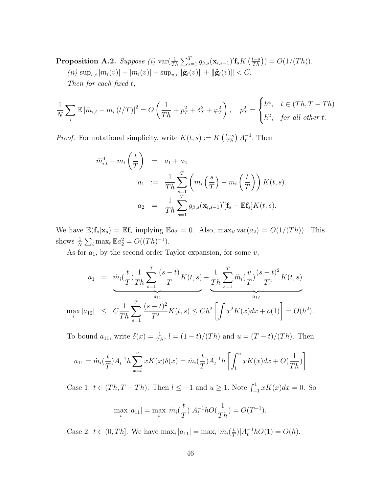**Proposition A.2.** Suppose (i)  $\text{var}(\frac{1}{Th}\sum_{s=1}^T g_{\beta,s}(\mathbf{x}_{i,s-1})' \mathbf{f}_s K(\frac{t-s}{Th})) = O(1/(Th)).$  $(iii) \sup_{v,i} |\dot{m}_i(v)| + |\ddot{m}_i(v)| + \sup_{v,i} ||\dot{\mathbf{g}}_i(v)|| + ||\ddot{\mathbf{g}}_i(v)|| < C.$ Then for each fixed t,

$$
\frac{1}{N}\sum_{i}\mathbb{E}\left|\bar{m}_{i,t}-m_{i}\left(t/T\right)\right|^{2}=O\left(\frac{1}{Th}+p_{T}^{2}+\delta_{T}^{2}+\varphi_{T}^{2}\right),\quad p_{T}^{2}=\begin{cases}h^{4}, & t\in(Th, T-Th)\\h^{2}, & \text{for all other }t.\end{cases}
$$

*Proof.* For notational simplicity, write  $K(t,s) := K\left(\frac{t-s}{Th}\right) A_t^{-1}$ . Then

$$
\bar{m}_{i,t}^0 - m_i \left(\frac{t}{T}\right) = a_1 + a_2
$$
  
\n
$$
a_1 := \frac{1}{Th} \sum_{s=1}^T \left(m_i \left(\frac{s}{T}\right) - m_i \left(\frac{t}{T}\right)\right) K(t,s)
$$
  
\n
$$
a_2 = \frac{1}{Th} \sum_{s=1}^T g_{\beta,s}(\mathbf{x}_{i,s-1})' [\mathbf{f}_s - \mathbb{E} \mathbf{f}_s] K(t,s).
$$

We have  $\mathbb{E}(\mathbf{f}_s|\mathbf{x}_s) = \mathbb{E}\mathbf{f}_s$  implying  $\mathbb{E}a_2 = 0$ . Also,  $\max_{it} \text{var}(a_2) = O(1/(Th))$ . This shows  $\frac{1}{N} \sum_i \max_t \mathbb{E} a_2^2 = O((Th)^{-1}).$ 

As for  $a_1$ , by the second order Taylor expansion, for some  $v$ ,

$$
a_1 = \underbrace{m_i(\frac{t}{T}) \frac{1}{Th} \sum_{s=1}^T \frac{(s-t)}{T} K(t,s)}_{a_{11}} + \underbrace{\frac{1}{Th} \sum_{s=1}^T \ddot{m}_i(\frac{v}{T}) \frac{(s-t)^2}{T^2} K(t,s)}_{a_{12}}}{a_{12}}
$$
\n
$$
\max_i |a_{12}| \leq C \frac{1}{Th} \sum_{s=1}^T \frac{(s-t)^2}{T^2} K(t,s) \leq Ch^2 \left[ \int x^2 K(x) dx + o(1) \right] = O(h^2).
$$

To bound  $a_{11}$ , write  $\delta(x) = \frac{1}{Th}$ ,  $l = (1 - t)/(Th)$  and  $u = (T - t)/(Th)$ . Then

$$
a_{11} = \dot{m}_i(\frac{t}{T})A_t^{-1}h \sum_{x=l}^u xK(x)\delta(x) = \dot{m}_i(\frac{t}{T})A_t^{-1}h \left[ \int_l^u xK(x)dx + O(\frac{1}{Th}) \right]
$$

Case 1:  $t \in (Th, T - Th)$ . Then  $l \le -1$  and  $u \ge 1$ . Note  $\int_{-1}^{1} xK(x)dx = 0$ . So

$$
\max_{i} |a_{11}| = \max_{i} |\dot{m}_i(\frac{t}{T})| A_t^{-1} h O(\frac{1}{Th}) = O(T^{-1}).
$$

Case 2:  $t \in (0, Th]$ . We have  $\max_i |a_{11}| = \max_i |m_i(\frac{t}{7})|$  $(\frac{t}{T})|A_t^{-1}hO(1)=O(h).$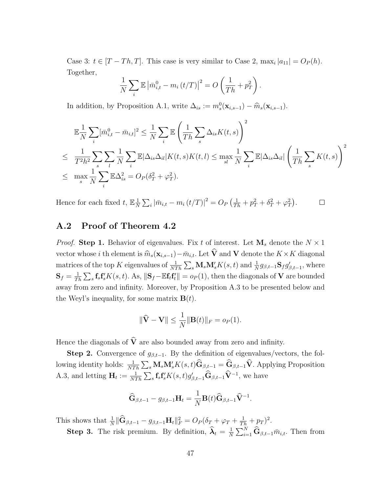Case 3:  $t \in [T - Th, T]$ . This case is very similar to Case 2,  $\max_i |a_{11}| = O_P(h)$ . Together,

$$
\frac{1}{N}\sum_{i} \mathbb{E} \left| \bar{m}_{i,t}^0 - m_i \left( t/T \right) \right|^2 = O\left( \frac{1}{Th} + p_T^2 \right).
$$

In addition, by Proposition A.1, write  $\Delta_{is} := m_s^0(\mathbf{x}_{i,s-1}) - \widehat{m}_s(\mathbf{x}_{i,s-1}).$ 

$$
\mathbb{E}\frac{1}{N}\sum_{i}[\bar{m}_{i,t}^{0}-\bar{m}_{i,t}]^{2} \leq \frac{1}{N}\sum_{i}\mathbb{E}\left(\frac{1}{Th}\sum_{s}\Delta_{is}K(t,s)\right)^{2}
$$
\n
$$
\leq \frac{1}{T^{2}h^{2}}\sum_{s}\sum_{l}\sum_{l}\frac{1}{N}\sum_{i}\mathbb{E}|\Delta_{is}\Delta_{il}|K(t,s)K(t,l) \leq \max_{sl}\frac{1}{N}\sum_{i}\mathbb{E}|\Delta_{is}\Delta_{il}|\left(\frac{1}{Th}\sum_{s}K(t,s)\right)^{2}
$$
\n
$$
\leq \max_{s}\frac{1}{N}\sum_{i}\mathbb{E}\Delta_{is}^{2} = O_{P}(\delta_{T}^{2}+\varphi_{T}^{2}).
$$

Hence for each fixed t,  $\mathbb{E} \frac{1}{N}$  $\frac{1}{N}\sum_i |\bar{m}_{i,t} - m_i(t/T)|^2 = O_P\left(\frac{1}{Th} + p_T^2 + \delta_T^2 + \varphi_T^2\right).$  $\Box$ 

## A.2 Proof of Theorem 4.2

*Proof.* Step 1. Behavior of eigenvalues. Fix t of interest. Let  $M_s$  denote the  $N \times 1$ vector whose i th element is  $\widehat{m}_{s}(\mathbf{x}_{i,s-1})-\overline{m}_{i,t}$ . Let  $\widehat{\mathbf{V}}$  and V denote the  $K\times K$  diagonal matrices of the top K eigenvalues of  $\frac{1}{NTh} \sum_s \mathbf{M}_s \mathbf{M}'_s K(s, t)$  and  $\frac{1}{N} g_{\beta, t-1} \mathbf{S}_f g'_{\beta, t-1}$ , where  $\mathbf{S}_f = \frac{1}{T}$  $\frac{1}{Th}\sum_s \mathbf{f}_s\mathbf{f}'_sK(s,t)$ . As,  $\|\mathbf{S}_f-\mathbb{E}\mathbf{f}_t\mathbf{f}'_t\|=o_P(1)$ , then the diagonals of V are bounded away from zero and infinity. Moreover, by Proposition A.3 to be presented below and the Weyl's inequality, for some matrix  $\mathbf{B}(t)$ .

$$
\|\widehat{\mathbf{V}} - \mathbf{V}\| \le \frac{1}{N} \|\mathbf{B}(t)\|_F = o_P(1).
$$

Hence the diagonals of  $\hat{V}$  are also bounded away from zero and infinity.

Step 2. Convergence of  $g_{\beta,t-1}$ . By the definition of eigenvalues/vectors, the following identity holds:  $\frac{1}{NTh} \sum_s \mathbf{M}_s \mathbf{M}'_s K(s, t) \widehat{\mathbf{G}}_{\beta, t-1} = \widehat{\mathbf{G}}_{\beta, t-1} \widehat{\mathbf{V}}$ . Applying Proposition A.3, and letting  $\mathbf{H}_t := \frac{1}{NTh} \sum_s \mathbf{f}_s \mathbf{f}'_s K(s, t) g'_{\beta, t-1} \widehat{\mathbf{G}}_{\beta, t-1} \widehat{\mathbf{V}}^{-1}$ , we have

$$
\widehat{\mathbf{G}}_{\beta,t-1} - g_{\beta,t-1} \mathbf{H}_t = \frac{1}{N} \mathbf{B}(t) \widehat{\mathbf{G}}_{\beta,t-1} \widehat{\mathbf{V}}^{-1}.
$$

This shows that  $\frac{1}{N} \|\widehat{\mathbf{G}}_{\beta,t-1} - g_{\beta,t-1} \mathbf{H}_t\|_F^2 = O_P(\delta_T + \varphi_T + \frac{1}{Th} + p_T)^2$ .

**Step 3.** The risk premium. By definition,  $\hat{\lambda}_t = \frac{1}{N}$  $\frac{1}{N} \sum_{i=1}^{N} \widehat{\mathbf{G}}_{\beta,t-1} \bar{m}_{i,t}$ . Then from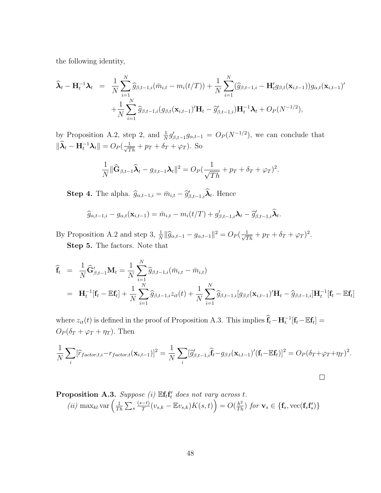the following identity,

$$
\widehat{\lambda}_t - \mathbf{H}_t^{-1} \lambda_t = \frac{1}{N} \sum_{i=1}^N \widehat{g}_{\beta,t-1,i} (\bar{m}_{i,t} - m_i(t/T)) + \frac{1}{N} \sum_{i=1}^N (\widehat{g}_{\beta,t-1,i} - \mathbf{H}_t' g_{\beta,t}(\mathbf{x}_{i,t-1})) g_{\alpha,t}(\mathbf{x}_{i,t-1})' \n+ \frac{1}{N} \sum_{i=1}^N \widehat{g}_{\beta,t-1,i} (g_{\beta,t}(\mathbf{x}_{i,t-1})' \mathbf{H}_t - \widehat{g}_{\beta,t-1,i}') \mathbf{H}_t^{-1} \lambda_t + O_P(N^{-1/2}),
$$

by Proposition A.2, step 2, and  $\frac{1}{N}g'_{\beta,t-1}g_{\alpha,t-1} = O_P(N^{-1/2})$ , we can conclude that  $\|\widehat{\boldsymbol{\lambda}}_t - \mathbf{H}_t^{-1} \boldsymbol{\lambda}_t\| = O_P(\frac{1}{\sqrt{Th}} + p_T + \delta_T + \varphi_T).$  So

$$
\frac{1}{N} \|\widehat{\mathbf{G}}_{\beta,t-1}\widehat{\boldsymbol{\lambda}}_t - g_{\beta,t-1}\boldsymbol{\lambda}_t\|^2 = O_P(\frac{1}{\sqrt{Th}} + p_T + \delta_T + \varphi_T)^2.
$$

**Step 4.** The alpha.  $\hat{g}_{\alpha,t-1,i} = \bar{m}_{i,t} - \hat{g}_{\beta,t-1,i}'\hat{\lambda}_t$ . Hence

$$
\widehat{g}_{\alpha,t-1,i}-g_{\alpha,t}(\mathbf{x}_{i,t-1})=\overline{m}_{i,t}-m_i(t/T)+g'_{\beta,t-1,i}\boldsymbol{\lambda}_t-\widehat{g}'_{\beta,t-1,i}\widehat{\boldsymbol{\lambda}}_t.
$$

By Proposition A.2 and step 3,  $\frac{1}{N} \|\widehat{g}_{\alpha,t-1} - g_{\alpha,t-1}\|^2 = O_P(\frac{1}{\sqrt{Th}} + p_T + \delta_T + \varphi_T)^2$ . Step 5. The factors. Note that

$$
\begin{aligned}\n\widehat{\mathbf{f}}_{t} &= \frac{1}{N} \widehat{\mathbf{G}}'_{\beta,t-1} \mathbf{M}_{t} = \frac{1}{N} \sum_{i=1}^{N} \widehat{g}_{\beta,t-1,i} (\bar{m}_{i,t} - \bar{m}_{i,t}) \\
&= \mathbf{H}_{t}^{-1} [\mathbf{f}_{t} - \mathbb{E} \mathbf{f}_{t}] + \frac{1}{N} \sum_{i=1}^{N} \widehat{g}_{\beta,t-1,i} z_{it}(t) + \frac{1}{N} \sum_{i=1}^{N} \widehat{g}_{\beta,t-1,i} [g_{\beta,t}(\mathbf{x}_{i,t-1})' \mathbf{H}_{t} - \widehat{g}_{\beta,t-1,i}] \mathbf{H}_{t}^{-1} [\mathbf{f}_{t} - \mathbb{E} \mathbf{f}_{t}]\n\end{aligned}
$$

where  $z_{it}(t)$  is defined in the proof of Proposition A.3. This implies  $\hat{\mathbf{f}}_t - \mathbf{H}_t^{-1}[\mathbf{f}_t - \mathbb{E}\mathbf{f}_t] =$  $O_P(\delta_T + \varphi_T + \eta_T)$ . Then

$$
\frac{1}{N}\sum_{i}[\widehat{r}_{factor,t,i}-r_{factor,t}(\mathbf{x}_{i,t-1})]^2 = \frac{1}{N}\sum_{i}[\widehat{g}'_{\beta,t-1,i}\widehat{\mathbf{f}}_t-g_{\beta,t}(\mathbf{x}_{i,t-1})'(\mathbf{f}_t-\mathbb{E}\mathbf{f}_t)]^2 = O_P(\delta_T+\varphi_T+\eta_T)^2.
$$

**Proposition A.3.** Suppose (i) 
$$
\mathbb{E} \mathbf{f}_t \mathbf{f}_t'
$$
 does not vary across t.  
\n(ii)  $\max_{kl} \text{var} \left( \frac{1}{Th} \sum_s \frac{(s-t)}{T} (v_{s,k} - \mathbb{E} v_{s,k}) K(s,t) \right) = O(\frac{h^2}{Th})$  for  $\mathbf{v}_s \in \{\mathbf{f}_s, \text{vec}(\mathbf{f}_s \mathbf{f}_s')\}$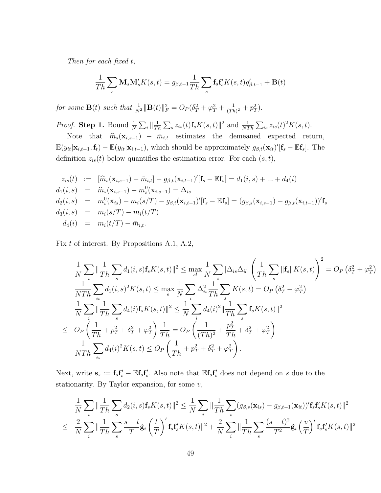Then for each fixed t,

$$
\frac{1}{Th} \sum_{s} \mathbf{M}_{s} \mathbf{M}'_{s} K(s, t) = g_{\beta, t-1} \frac{1}{Th} \sum_{s} \mathbf{f}_{s} \mathbf{f}'_{s} K(s, t) g'_{\beta, t-1} + \mathbf{B}(t)
$$

for some  $\mathbf{B}(t)$  such that  $\frac{1}{N^2} \|\mathbf{B}(t)\|_F^2 = O_P(\delta_T^2 + \varphi_T^2 + \frac{1}{(Tk)}$  $\frac{1}{(Th)^2} + p_T^2$ .

*Proof.* Step 1. Bound  $\frac{1}{N} \sum_i \|\frac{1}{T_i}$  $\frac{1}{Th}\sum_{s}z_{is}(t)\mathbf{f}_sK(s,t)\|^2$  and  $\frac{1}{NTh}\sum_{is}z_{is}(t)^2K(s,t)$ .

Note that  $\hat{m}_s(\mathbf{x}_{i,s-1}) - \bar{m}_{i,t}$  estimates the demeaned expected return,  $\mathbb{E}(y_{it}|\mathbf{x}_{i,t-1},\mathbf{f}_t) - \mathbb{E}(y_{it}|\mathbf{x}_{i,t-1}),$  which should be approximately  $g_{\beta,t}(\mathbf{x}_{it})'[\mathbf{f}_s - \mathbb{E}\mathbf{f}_s].$  The definition  $z_{is}(t)$  below quantifies the estimation error. For each  $(s, t)$ ,

$$
z_{is}(t) := [\widehat{m}_s(\mathbf{x}_{i,s-1}) - \overline{m}_{i,t}] - g_{\beta,t}(\mathbf{x}_{i,t-1})'[\mathbf{f}_s - \mathbb{E}\mathbf{f}_s] = d_1(i,s) + \dots + d_4(i)
$$
  
\n
$$
d_1(i,s) = \widehat{m}_s(\mathbf{x}_{i,s-1}) - m_s'(\mathbf{x}_{i,s-1}) = \Delta_{is}
$$
  
\n
$$
d_2(i,s) = m_s'(\mathbf{x}_{is}) - m_i(s/T) - g_{\beta,t}(\mathbf{x}_{i,t-1})'[\mathbf{f}_s - \mathbb{E}\mathbf{f}_s] = (g_{\beta,s}(\mathbf{x}_{i,s-1}) - g_{\beta,t}(\mathbf{x}_{i,t-1}))' \mathbf{f}_s
$$
  
\n
$$
d_3(i,s) = m_i(s/T) - m_i(t/T)
$$
  
\n
$$
d_4(i) = m_i(t/T) - \overline{m}_{i,t}.
$$

Fix t of interest. By Propositions A.1, A.2,

$$
\frac{1}{N} \sum_{i} \|\frac{1}{Th} \sum_{s} d_{1}(i, s) \mathbf{f}_{s} K(s, t) \|^{2} \leq \max_{sl} \frac{1}{N} \sum_{i} |\Delta_{is} \Delta_{il}| \left(\frac{1}{Th} \sum_{s} \| \mathbf{f}_{s} \| K(s, t) \right)^{2} = O_{P} \left(\delta_{T}^{2} + \varphi_{T}^{2}\right)
$$
\n
$$
\frac{1}{NTh} \sum_{is} d_{1}(i, s)^{2} K(s, t) \leq \max_{s} \frac{1}{N} \sum_{i} \Delta_{is}^{2} \frac{1}{Th} \sum_{s} K(s, t) = O_{P} \left(\delta_{T}^{2} + \varphi_{T}^{2}\right)
$$
\n
$$
\frac{1}{N} \sum_{i} \|\frac{1}{Th} \sum_{s} d_{4}(i) \mathbf{f}_{s} K(s, t) \|^{2} \leq \frac{1}{N} \sum_{i} d_{4}(i)^{2} \|\frac{1}{Th} \sum_{s} \mathbf{f}_{s} K(s, t) \|^{2}
$$
\n
$$
\leq O_{P} \left(\frac{1}{Th} + p_{T}^{2} + \delta_{T}^{2} + \varphi_{T}^{2}\right) \frac{1}{Th} = O_{P} \left(\frac{1}{(Th)^{2}} + \frac{p_{T}^{2}}{Th} + \delta_{T}^{2} + \varphi_{T}^{2}\right)
$$
\n
$$
\frac{1}{NTh} \sum_{is} d_{4}(i)^{2} K(s, t) \leq O_{P} \left(\frac{1}{Th} + p_{T}^{2} + \delta_{T}^{2} + \varphi_{T}^{2}\right).
$$

Next, write  $\mathbf{s}_s := \mathbf{f}_s \mathbf{f}_s' - \mathbb{E} \mathbf{f}_s \mathbf{f}_s'$ . Also note that  $\mathbb{E} \mathbf{f}_s \mathbf{f}_s'$  does not depend on s due to the stationarity. By Taylor expansion, for some  $v$ ,

$$
\frac{1}{N}\sum_{i} \|\frac{1}{Th}\sum_{s} d_2(i,s)\mathbf{f}_sK(s,t)\|^2 \leq \frac{1}{N}\sum_{i} \|\frac{1}{Th}\sum_{s} (g_{\beta,s}(\mathbf{x}_{is}) - g_{\beta,t-1}(\mathbf{x}_{it}))'\mathbf{f}_s\mathbf{f}_s'K(s,t)\|^2
$$
  

$$
\leq \frac{2}{N}\sum_{i} \|\frac{1}{Th}\sum_{s} \frac{s-t}{T}\dot{\mathbf{g}}_i\left(\frac{t}{T}\right)'\mathbf{f}_s\mathbf{f}_s'K(s,t)\|^2 + \frac{2}{N}\sum_{i} \|\frac{1}{Th}\sum_{s} \frac{(s-t)^2}{T^2}\ddot{\mathbf{g}}_i\left(\frac{v}{T}\right)'\mathbf{f}_s\mathbf{f}_s'K(s,t)\|^2
$$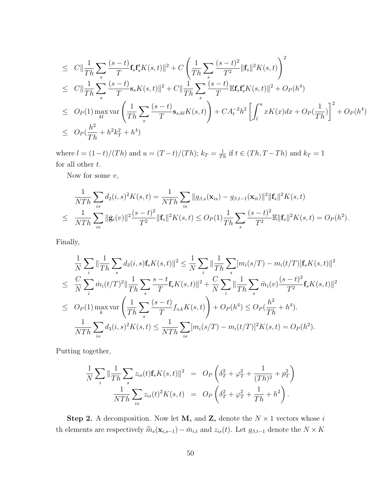$$
\leq C \|\frac{1}{Th} \sum_{s} \frac{(s-t)}{T} \mathbf{f}_{s} \mathbf{f}'_{s} K(s,t) \|^{2} + C \left( \frac{1}{Th} \sum_{s} \frac{(s-t)^{2}}{T^{2}} \|\mathbf{f}_{s}\|^{2} K(s,t) \right)^{2}
$$
\n
$$
\leq C \|\frac{1}{Th} \sum_{s} \frac{(s-t)}{T} \mathbf{s}_{s} K(s,t) \|^{2} + C \|\frac{1}{Th} \sum_{s} \frac{(s-t)}{T} \mathbb{E} \mathbf{f}_{s} \mathbf{f}'_{s} K(s,t) \|^{2} + O_{P}(h^{4})
$$
\n
$$
\leq O_{P}(1) \max_{kl} \text{var} \left( \frac{1}{Th} \sum_{s} \frac{(s-t)}{T} \mathbf{s}_{s,kl} K(s,t) \right) + CA_{t}^{-2} h^{2} \left[ \int_{l}^{u} x K(x) dx + O_{P}(\frac{1}{Th}) \right]^{2} + O_{P}(h^{4})
$$
\n
$$
\leq O_{P}(\frac{h^{2}}{Th} + h^{2} k_{T}^{2} + h^{4})
$$

where  $l = (1-t)/(Th)$  and  $u = (T-t)/(Th)$ ;  $k_T = \frac{1}{Th}$  if  $t \in (Th, T-Th)$  and  $k_T = 1$ for all other  $t.$ 

Now for some  $v$ ,

$$
\frac{1}{NTh} \sum_{is} d_2(i, s)^2 K(s, t) = \frac{1}{NTh} \sum_{is} ||g_{\beta,s}(\mathbf{x}_{is}) - g_{\beta,t-1}(\mathbf{x}_{it})||^2 ||\mathbf{f}_s||^2 K(s, t)
$$
\n
$$
\leq \frac{1}{NTh} \sum_{is} ||\dot{\mathbf{g}}_i(v)||^2 \frac{(s-t)^2}{T^2} ||\mathbf{f}_s||^2 K(s, t) \leq O_P(1) \frac{1}{Th} \sum_{s} \frac{(s-t)^2}{T^2} \mathbb{E} ||\mathbf{f}_s||^2 K(s, t) = O_P(h^2).
$$

Finally,

$$
\frac{1}{N} \sum_{i} \|\frac{1}{Th} \sum_{s} d_{3}(i, s) \mathbf{f}_{s} K(s, t) \|^{2} \leq \frac{1}{N} \sum_{i} \|\frac{1}{Th} \sum_{s} [m_{i}(s/T) - m_{i}(t/T)] \mathbf{f}_{s} K(s, t) \|^{2}
$$
\n
$$
\leq \frac{C}{N} \sum_{i} \dot{m}_{i}(t/T)^{2} \|\frac{1}{Th} \sum_{s} \frac{s-t}{T} \mathbf{f}_{s} K(s, t) \|^{2} + \frac{C}{N} \sum_{i} \|\frac{1}{Th} \sum_{s} \ddot{m}_{i}(v) \frac{(s-t)^{2}}{T^{2}} \mathbf{f}_{s} K(s, t) \|^{2}
$$
\n
$$
\leq O_{P}(1) \max_{k} \text{var} \left( \frac{1}{Th} \sum_{s} \frac{(s-t)}{T} f_{s,k} K(s, t) \right) + O_{P}(h^{4}) \leq O_{P}(\frac{h^{2}}{Th} + h^{4}).
$$
\n
$$
\frac{1}{NTh} \sum_{is} d_{3}(i, s)^{2} K(s, t) \leq \frac{1}{NTh} \sum_{is} [m_{i}(s/T) - m_{i}(t/T)]^{2} K(s, t) = O_{P}(h^{2}).
$$

Putting together,

$$
\frac{1}{N} \sum_{i} \|\frac{1}{Th} \sum_{s} z_{is}(t) \mathbf{f}_{s} K(s, t) \|^{2} = O_{P} \left( \delta_{T}^{2} + \varphi_{T}^{2} + \frac{1}{(Th)^{2}} + p_{T}^{2} \right)
$$

$$
\frac{1}{NTh} \sum_{is} z_{is}(t)^{2} K(s, t) = O_{P} \left( \delta_{T}^{2} + \varphi_{T}^{2} + \frac{1}{Th} + h^{2} \right).
$$

**Step 2.** A decomposition. Now let  $\mathbf{M}_s$  and  $\mathbf{Z}_s$  denote the  $N \times 1$  vectors whose i th elements are respectively  $\widehat{m}_s(\mathbf{x}_{i,s-1}) - \overline{m}_{i,t}$  and  $z_{is}(t)$ . Let  $g_{\beta,t-1}$  denote the  $N \times K$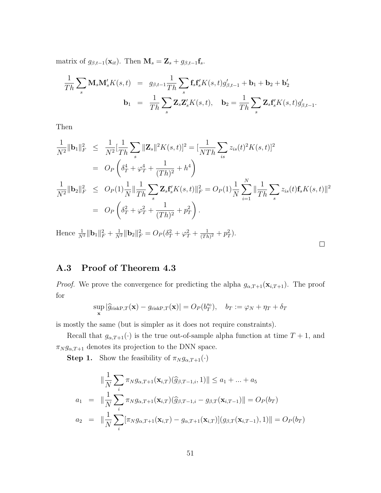matrix of  $g_{\beta,t-1}(\mathbf{x}_{it})$ . Then  $\mathbf{M}_s = \mathbf{Z}_s + g_{\beta,t-1} \mathbf{f}_s$ .

$$
\frac{1}{Th} \sum_{s} \mathbf{M}_{s} \mathbf{M}'_{s} K(s, t) = g_{\beta, t-1} \frac{1}{Th} \sum_{s} \mathbf{f}_{s} \mathbf{f}'_{s} K(s, t) g'_{\beta, t-1} + \mathbf{b}_{1} + \mathbf{b}_{2} + \mathbf{b}'_{2}
$$

$$
\mathbf{b}_{1} = \frac{1}{Th} \sum_{s} \mathbf{Z}_{s} \mathbf{Z}'_{s} K(s, t), \quad \mathbf{b}_{2} = \frac{1}{Th} \sum_{s} \mathbf{Z}_{s} \mathbf{f}'_{s} K(s, t) g'_{\beta, t-1}.
$$

Then

$$
\frac{1}{N^2} \|\mathbf{b}_1\|_F^2 \leq \frac{1}{N^2} \left[\frac{1}{Th} \sum_s \|\mathbf{Z}_s\|^2 K(s,t)\right]^2 = \left[\frac{1}{NTh} \sum_{is} z_{is}(t)^2 K(s,t)\right]^2
$$
\n
$$
= O_P\left(\delta_T^4 + \varphi_T^4 + \frac{1}{(Th)^2} + h^4\right)
$$
\n
$$
\frac{1}{N^2} \|\mathbf{b}_2\|_F^2 \leq O_P(1) \frac{1}{N} \|\frac{1}{Th} \sum_s \mathbf{Z}_s \mathbf{f}'_s K(s,t)\|_F^2 = O_P(1) \frac{1}{N} \sum_{i=1}^N \|\frac{1}{Th} \sum_s z_{is}(t) \mathbf{f}_s K(s,t)\|^2
$$
\n
$$
= O_P\left(\delta_T^2 + \varphi_T^2 + \frac{1}{(Th)^2} + p_T^2\right).
$$

Hence  $\frac{1}{N^2} \|\mathbf{b}_1\|_F^2 + \frac{1}{N^2} \|\mathbf{b}_2\|_F^2 = O_P(\delta_T^2 + \varphi_T^2 + \frac{1}{(Tk)^2})$  $\frac{1}{(Th)^2} + p_T^2$ .

A.3 Proof of Theorem 4.3

*Proof.* We prove the convergence for predicting the alpha  $g_{\alpha,T+1}(\mathbf{x}_{i,T+1})$ . The proof for

 $\Box$ 

$$
\sup_{\mathbf{x}} |\widehat{g}_{\text{riskP},T}(\mathbf{x}) - g_{\text{riskP},T}(\mathbf{x})| = O_P(b_T^{s_0}), \quad b_T := \varphi_N + \eta_T + \delta_T
$$

is mostly the same (but is simpler as it does not require constraints).

Recall that  $g_{\alpha,T+1}(\cdot)$  is the true out-of-sample alpha function at time  $T+1$ , and  $\pi_{N} g_{\alpha,T+1}$  denotes its projection to the DNN space.

**Step 1.** Show the feasibility of  $\pi_N g_{\alpha,T+1}(\cdot)$ 

$$
\|\frac{1}{N}\sum_{i} \pi_{N}g_{\alpha,T+1}(\mathbf{x}_{i,T})(\widehat{g}_{\beta,T-1,i},1)\| \le a_1 + ... + a_5
$$
  
\n
$$
a_1 = \|\frac{1}{N}\sum_{i} \pi_{N}g_{\alpha,T+1}(\mathbf{x}_{i,T})(\widehat{g}_{\beta,T-1,i} - g_{\beta,T}(\mathbf{x}_{i,T-1})\| = O_P(b_T)
$$
  
\n
$$
a_2 = \|\frac{1}{N}\sum_{i} [\pi_{N}g_{\alpha,T+1}(\mathbf{x}_{i,T}) - g_{\alpha,T+1}(\mathbf{x}_{i,T})](g_{\beta,T}(\mathbf{x}_{i,T-1}),1)\| = O_P(b_T)
$$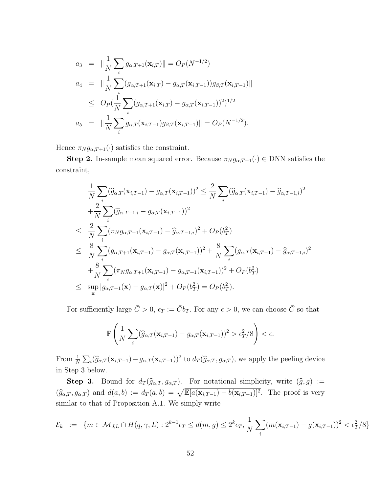$$
a_3 = \|\frac{1}{N} \sum_{i} g_{\alpha, T+1}(\mathbf{x}_{i,T})\| = O_P(N^{-1/2})
$$
  
\n
$$
a_4 = \|\frac{1}{N} \sum_{i} (g_{\alpha, T+1}(\mathbf{x}_{i,T}) - g_{\alpha, T}(\mathbf{x}_{i,T-1}))g_{\beta, T}(\mathbf{x}_{i,T-1})\|
$$
  
\n
$$
\leq O_P(\frac{1}{N} \sum_{i} (g_{\alpha, T+1}(\mathbf{x}_{i,T}) - g_{\alpha, T}(\mathbf{x}_{i,T-1}))^2)^{1/2}
$$
  
\n
$$
a_5 = \|\frac{1}{N} \sum_{i} g_{\alpha, T}(\mathbf{x}_{i,T-1})g_{\beta, T}(\mathbf{x}_{i,T-1})\| = O_P(N^{-1/2}).
$$

Hence  $\pi_N g_{\alpha,T+1}(\cdot)$  satisfies the constraint.

**Step 2.** In-sample mean squared error. Because  $\pi_N g_{\alpha,T+1}(\cdot) \in \text{DNN}$  satisfies the constraint,

$$
\frac{1}{N} \sum_{i} (\widehat{g}_{\alpha,T}(\mathbf{x}_{i,T-1}) - g_{\alpha,T}(\mathbf{x}_{i,T-1}))^{2} \leq \frac{2}{N} \sum_{i} (\widehat{g}_{\alpha,T}(\mathbf{x}_{i,T-1}) - \widehat{g}_{\alpha,T-1,i})^{2} \n+ \frac{2}{N} \sum_{i} (\widehat{g}_{\alpha,T-1,i} - g_{\alpha,T}(\mathbf{x}_{i,T-1}))^{2} \n\leq \frac{2}{N} \sum_{i} (\pi_{N} g_{\alpha,T+1}(\mathbf{x}_{i,T-1}) - \widehat{g}_{\alpha,T-1,i})^{2} + O_{P}(b_{T}^{2}) \n\leq \frac{8}{N} \sum_{i} (g_{\alpha,T+1}(\mathbf{x}_{i,T-1}) - g_{\alpha,T}(\mathbf{x}_{i,T-1}))^{2} + \frac{8}{N} \sum_{i} (g_{\alpha,T}(\mathbf{x}_{i,T-1}) - \widehat{g}_{\alpha,T-1,i})^{2} \n+ \frac{8}{N} \sum_{i} (\pi_{N} g_{\alpha,T+1}(\mathbf{x}_{i,T-1}) - g_{\alpha,T+1}(\mathbf{x}_{i,T-1}))^{2} + O_{P}(b_{T}^{2}) \n\leq \sup_{\mathbf{x}} |g_{\alpha,T+1}(\mathbf{x}) - g_{\alpha,T}(\mathbf{x})|^{2} + O_{P}(b_{T}^{2}) = O_{P}(b_{T}^{2}).
$$

For sufficiently large  $\bar{C} > 0$ ,  $\epsilon_T := \bar{C} b_T$ . For any  $\epsilon > 0$ , we can choose  $\bar{C}$  so that

$$
\mathbb{P}\left(\frac{1}{N}\sum_{i}(\widehat{g}_{\alpha,T}(\mathbf{x}_{i,T-1})-g_{\alpha,T}(\mathbf{x}_{i,T-1}))^{2} > \epsilon_T^2/8\right) < \epsilon.
$$

From  $\frac{1}{N} \sum_i (\widehat{g}_{\alpha,T}(\mathbf{x}_{i,T-1}) - g_{\alpha,T}(\mathbf{x}_{i,T-1}))^2$  to  $d_T(\widehat{g}_{\alpha,T}, g_{\alpha,T})$ , we apply the peeling device in Step 3 below.

**Step 3.** Bound for  $d_T(\widehat{g}_{\alpha,T}, g_{\alpha,T})$ . For notational simplicity, write  $(\widehat{g}, g) :=$  $(\widehat{g}_{\alpha,T}, g_{\alpha,T})$  and  $d(a, b) := d_T(a, b) = \sqrt{\mathbb{E}[a(\mathbf{x}_{i,T-1}) - b(\mathbf{x}_{i,T-1})]^2}$ . The proof is very similar to that of Proposition A.1. We simply write

$$
\mathcal{E}_k := \{ m \in \mathcal{M}_{J,L} \cap H(q,\gamma,L) : 2^{k-1} \epsilon_T \le d(m,g) \le 2^k \epsilon_T, \frac{1}{N} \sum_i (m(\mathbf{x}_{i,T-1}) - g(\mathbf{x}_{i,T-1}))^2 < \epsilon_T^2/8 \}
$$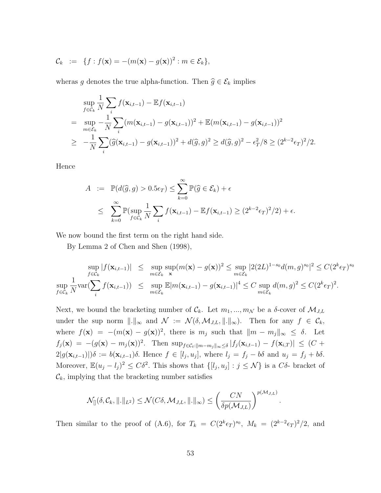$$
\mathcal{C}_k := \{ f : f(\mathbf{x}) = -(m(\mathbf{x}) - g(\mathbf{x}))^2 : m \in \mathcal{E}_k \},
$$

wheras g denotes the true alpha-function. Then  $\widehat{g} \in \mathcal{E}_k$  implies

$$
\sup_{f \in \mathcal{C}_k} \frac{1}{N} \sum_i f(\mathbf{x}_{i,t-1}) - \mathbb{E} f(\mathbf{x}_{i,t-1})
$$
\n
$$
= \sup_{m \in \mathcal{E}_k} -\frac{1}{N} \sum_i (m(\mathbf{x}_{i,t-1}) - g(\mathbf{x}_{i,t-1}))^2 + \mathbb{E}(m(\mathbf{x}_{i,t-1}) - g(\mathbf{x}_{i,t-1}))^2
$$
\n
$$
\geq -\frac{1}{N} \sum_i (\widehat{g}(\mathbf{x}_{i,t-1}) - g(\mathbf{x}_{i,t-1}))^2 + d(\widehat{g}, g)^2 \geq d(\widehat{g}, g)^2 - \epsilon_T^2 / 8 \geq (2^{k-2} \epsilon_T)^2 / 2.
$$

Hence

$$
A := \mathbb{P}(d(\widehat{g}, g) > 0.5\epsilon_T) \le \sum_{k=0}^{\infty} \mathbb{P}(\widehat{g} \in \mathcal{E}_k) + \epsilon
$$
  

$$
\le \sum_{k=0}^{\infty} \mathbb{P}(\sup_{f \in \mathcal{C}_k} \frac{1}{N} \sum_i f(\mathbf{x}_{i,t-1}) - \mathbb{E}f(\mathbf{x}_{i,t-1}) \ge (2^{k-2}\epsilon_T)^2/2) + \epsilon.
$$

We now bound the first term on the right hand side.

By Lemma 2 of Chen and Shen (1998),

$$
\sup_{f \in \mathcal{C}_k} |f(\mathbf{x}_{i,t-1})| \leq \sup_{m \in \mathcal{E}_k} \sup_{\mathbf{x}} (m(\mathbf{x}) - g(\mathbf{x}))^2 \leq \sup_{m \in \mathcal{E}_k} |2(2L)^{1-s_0} d(m, g)^{s_0}|^2 \leq C(2^k \epsilon_T)^{s_0}
$$
  
\n
$$
\sup_{f \in \mathcal{C}_k} \frac{1}{N} \text{var}(\sum_i f(\mathbf{x}_{i,t-1})) \leq \sup_{m \in \mathcal{E}_k} \mathbb{E}|m(\mathbf{x}_{i,t-1}) - g(\mathbf{x}_{i,t-1})|^4 \leq C \sup_{m \in \mathcal{E}_k} d(m, g)^2 \leq C(2^k \epsilon_T)^2.
$$

Next, we bound the bracketing number of  $\mathcal{C}_k$ . Let  $m_1, ..., m_\mathcal{N}$  be a  $\delta$ -cover of  $\mathcal{M}_{J,L}$ under the sup norm  $\|\cdot\|_{\infty}$  and  $\mathcal{N} := \mathcal{N}(\delta, \mathcal{M}_{J,L}, \|\cdot\|_{\infty})$ . Then for any  $f \in \mathcal{C}_k$ , where  $f(\mathbf{x}) = -(m(\mathbf{x}) - g(\mathbf{x}))^2$ , there is  $m_j$  such that  $\|m - m_j\|_{\infty} \leq \delta$ . Let  $f_j(\mathbf{x}) = -(g(\mathbf{x}) - m_j(\mathbf{x}))^2$ . Then  $\sup_{f \in C_t : ||m-m_j||_{\infty} \le \delta} |f_j(\mathbf{x}_{i,t-1}) - f(\mathbf{x}_{i,T})| \le (C +$  $2|g(\mathbf{x}_{i,t-1})|$ ) $\delta := b(\mathbf{x}_{i,t-1})\delta$ . Hence  $f \in [l_j, u_j]$ , where  $l_j = f_j - b\delta$  and  $u_j = f_j + b\delta$ . Moreover,  $\mathbb{E}(u_j - l_j)^2 \leq C\delta^2$ . This shows that  $\{[l_j, u_j] : j \leq \mathcal{N}\}\)$  is a  $C\delta$ - bracket of  $\mathcal{C}_k$ , implying that the bracketing number satisfies

$$
\mathcal{N}_{[]}(\delta, \mathcal{C}_k, \|\!.\|_{L^2}) \leq \mathcal{N}(C\delta, \mathcal{M}_{J,L}, \|\!.\|_{\infty}) \leq \left(\frac{CN}{\delta p(\mathcal{M}_{J,L})}\right)^{p(\mathcal{M}_{J,L})}
$$

Then similar to the proof of (A.6), for  $T_k = C(2^k \epsilon_T)^{s_0}$ ,  $M_k = (2^{k-2} \epsilon_T)^2/2$ , and

.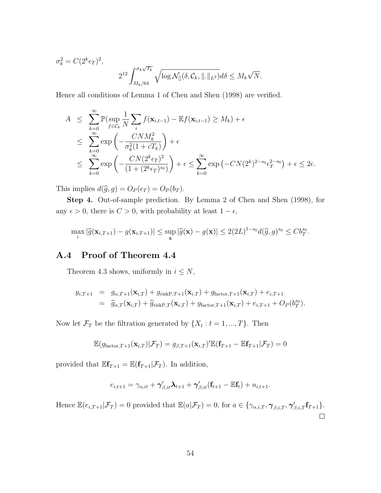$$
\sigma_k^2 = C(2^k \epsilon_T)^2,
$$
  

$$
2^{12} \int_{M_k/64}^{\sigma_k \sqrt{T_k}} \sqrt{\log \mathcal{N}_{[]}(\delta, \mathcal{C}_k, ||.||_{L^2})} d\delta \le M_k \sqrt{N}.
$$

Hence all conditions of Lemma 1 of Chen and Shen (1998) are verified.

$$
A \leq \sum_{k=0}^{\infty} \mathbb{P}(\sup_{f \in \mathcal{C}_k} \frac{1}{N} \sum_i f(\mathbf{x}_{i,t-1}) - \mathbb{E}f(\mathbf{x}_{i,t-1}) \geq M_k) + \epsilon
$$
  
\n
$$
\leq \sum_{k=0}^{\infty} \exp\left(-\frac{CNM_k^2}{\sigma_k^2(1 + cT_k)}\right) + \epsilon
$$
  
\n
$$
\leq \sum_{k=0}^{\infty} \exp\left(-\frac{CN(2^k \epsilon_T)^2}{(1 + (2^k \epsilon_T)^{s_0})}\right) + \epsilon \leq \sum_{k=0}^{\infty} \exp(-CN(2^k)^{2-s_0} \epsilon_T^{2-s_0}) + \epsilon \leq 2\epsilon.
$$

This implies  $d(\hat{g}, g) = O_P(\epsilon_T) = O_P(b_T)$ .

Step 4. Out-of-sample prediction. By Lemma 2 of Chen and Shen (1998), for any  $\epsilon > 0$ , there is  $C > 0$ , with probability at least  $1 - \epsilon$ ,

$$
\max_i |\widehat{g}(\mathbf{x}_{i,T+1}) - g(\mathbf{x}_{i,T+1})| \le \sup_{\mathbf{x}} |\widehat{g}(\mathbf{x}) - g(\mathbf{x})| \le 2(2L)^{1-s_0} d(\widehat{g}, g)^{s_0} \le Cb_T^{s_0}.
$$

## A.4 Proof of Theorem 4.4

Theorem 4.3 shows, uniformly in  $i \leq N$ ,

$$
y_{i,T+1} = g_{\alpha,T+1}(\mathbf{x}_{i,T}) + g_{\text{riskP},T+1}(\mathbf{x}_{i,T}) + g_{\text{factor},T+1}(\mathbf{x}_{i,T}) + e_{i,T+1}
$$
  
= 
$$
\widehat{g}_{\alpha,T}(\mathbf{x}_{i,T}) + \widehat{g}_{\text{riskP},T}(\mathbf{x}_{i,T}) + g_{\text{factor},T+1}(\mathbf{x}_{i,T}) + e_{i,T+1} + O_P(b_T^{s_0}).
$$

Now let  $\mathcal{F}_T$  be the filtration generated by  $\{X_t : t = 1, ..., T\}$ . Then

$$
\mathbb{E}(g_{\text{factor},T+1}(\mathbf{x}_{i,T})|\mathcal{F}_T) = g_{\beta,T+1}(\mathbf{x}_{i,T})'\mathbb{E}(\mathbf{f}_{T+1} - \mathbb{E}\mathbf{f}_{T+1}|\mathcal{F}_T) = 0
$$

provided that  $\mathbb{E} \mathbf{f}_{T+1} = \mathbb{E}(\mathbf{f}_{T+1} | \mathcal{F}_T)$ . In addition,

$$
e_{i,t+1} = \gamma_{\alpha,it} + \gamma'_{\beta,it} \lambda_{t+1} + \gamma'_{\beta,it} (\mathbf{f}_{t+1} - \mathbb{E}\mathbf{f}_t) + u_{i,t+1}.
$$

Hence  $\mathbb{E}(e_{i,T+1}|\mathcal{F}_T) = 0$  provided that  $\mathbb{E}(a|\mathcal{F}_T) = 0$ , for  $a \in \{\gamma_{\alpha,i,T}, \gamma_{\beta,i,T}, \gamma'_{\beta,i,T}f_{T+1}\}.$  $\Box$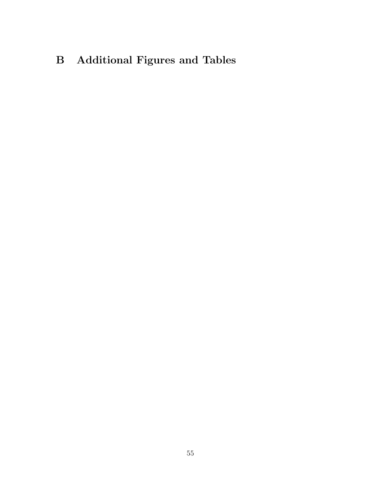# B Additional Figures and Tables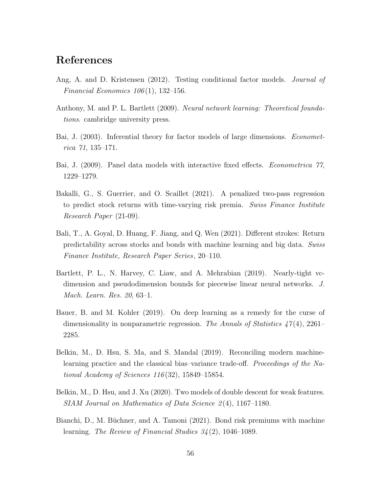# References

- Ang, A. and D. Kristensen (2012). Testing conditional factor models. *Journal of* Financial Economics  $106(1)$ , 132-156.
- Anthony, M. and P. L. Bartlett (2009). Neural network learning: Theoretical foundations. cambridge university press.
- Bai, J. (2003). Inferential theory for factor models of large dimensions. *Economet*rica 71, 135–171.
- Bai, J. (2009). Panel data models with interactive fixed effects. Econometrica 77, 1229–1279.
- Bakalli, G., S. Guerrier, and O. Scaillet (2021). A penalized two-pass regression to predict stock returns with time-varying risk premia. Swiss Finance Institute Research Paper (21-09).
- Bali, T., A. Goyal, D. Huang, F. Jiang, and Q. Wen (2021). Different strokes: Return predictability across stocks and bonds with machine learning and big data. Swiss Finance Institute, Research Paper Series, 20–110.
- Bartlett, P. L., N. Harvey, C. Liaw, and A. Mehrabian (2019). Nearly-tight vcdimension and pseudodimension bounds for piecewise linear neural networks. J. Mach. Learn. Res. 20, 63–1.
- Bauer, B. and M. Kohler (2019). On deep learning as a remedy for the curse of dimensionality in nonparametric regression. The Annals of Statistics  $47(4)$ , 2261– 2285.
- Belkin, M., D. Hsu, S. Ma, and S. Mandal (2019). Reconciling modern machinelearning practice and the classical bias–variance trade-off. Proceedings of the National Academy of Sciences 116 (32), 15849–15854.
- Belkin, M., D. Hsu, and J. Xu (2020). Two models of double descent for weak features. SIAM Journal on Mathematics of Data Science 2(4), 1167–1180.
- Bianchi, D., M. Büchner, and A. Tamoni (2021). Bond risk premiums with machine learning. The Review of Financial Studies 34 (2), 1046–1089.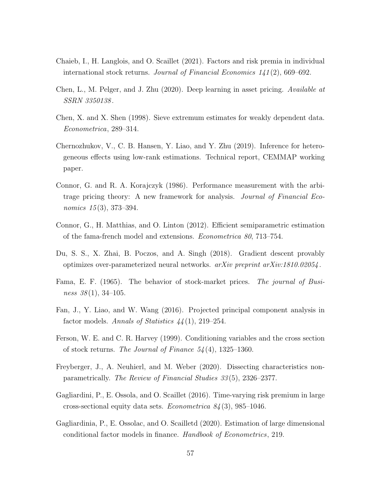- Chaieb, I., H. Langlois, and O. Scaillet (2021). Factors and risk premia in individual international stock returns. Journal of Financial Economics 141 (2), 669–692.
- Chen, L., M. Pelger, and J. Zhu (2020). Deep learning in asset pricing. Available at SSRN 3350138 .
- Chen, X. and X. Shen (1998). Sieve extremum estimates for weakly dependent data. Econometrica, 289–314.
- Chernozhukov, V., C. B. Hansen, Y. Liao, and Y. Zhu (2019). Inference for heterogeneous effects using low-rank estimations. Technical report, CEMMAP working paper.
- Connor, G. and R. A. Korajczyk (1986). Performance measurement with the arbitrage pricing theory: A new framework for analysis. Journal of Financial Economics 15(3), 373-394.
- Connor, G., H. Matthias, and O. Linton (2012). Efficient semiparametric estimation of the fama-french model and extensions. Econometrica 80, 713–754.
- Du, S. S., X. Zhai, B. Poczos, and A. Singh (2018). Gradient descent provably optimizes over-parameterized neural networks.  $arXiv$  preprint  $arXiv:1810.02054$ .
- Fama, E. F. (1965). The behavior of stock-market prices. The journal of Business  $38(1)$ , 34-105.
- Fan, J., Y. Liao, and W. Wang (2016). Projected principal component analysis in factor models. Annals of Statistics  $44(1)$ , 219–254.
- Ferson, W. E. and C. R. Harvey (1999). Conditioning variables and the cross section of stock returns. The Journal of Finance  $54(4)$ , 1325–1360.
- Freyberger, J., A. Neuhierl, and M. Weber (2020). Dissecting characteristics nonparametrically. The Review of Financial Studies 33 (5), 2326–2377.
- Gagliardini, P., E. Ossola, and O. Scaillet (2016). Time-varying risk premium in large cross-sectional equity data sets. Econometrica  $84(3)$ , 985-1046.
- Gagliardinia, P., E. Ossolac, and O. Scailletd (2020). Estimation of large dimensional conditional factor models in finance. Handbook of Econometrics, 219.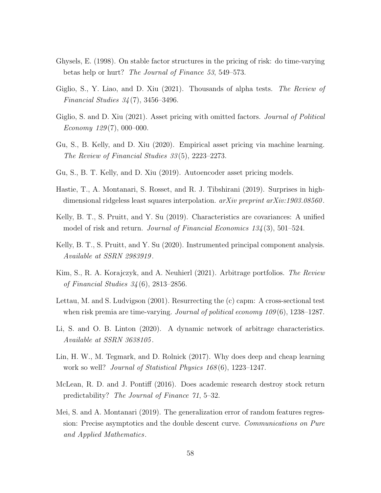- Ghysels, E. (1998). On stable factor structures in the pricing of risk: do time-varying betas help or hurt? The Journal of Finance 53, 549–573.
- Giglio, S., Y. Liao, and D. Xiu (2021). Thousands of alpha tests. *The Review of* Financial Studies 34 (7), 3456–3496.
- Giglio, S. and D. Xiu (2021). Asset pricing with omitted factors. Journal of Political  $E_{\text{conom}y}$  129(7), 000–000.
- Gu, S., B. Kelly, and D. Xiu (2020). Empirical asset pricing via machine learning. The Review of Financial Studies 33 (5), 2223–2273.
- Gu, S., B. T. Kelly, and D. Xiu (2019). Autoencoder asset pricing models.
- Hastie, T., A. Montanari, S. Rosset, and R. J. Tibshirani (2019). Surprises in highdimensional ridgeless least squares interpolation.  $arXiv$  preprint  $arXiv:1903.08560$ .
- Kelly, B. T., S. Pruitt, and Y. Su (2019). Characteristics are covariances: A unified model of risk and return. *Journal of Financial Economics*  $134(3)$ , 501–524.
- Kelly, B. T., S. Pruitt, and Y. Su (2020). Instrumented principal component analysis. Available at SSRN 2983919 .
- Kim, S., R. A. Korajczyk, and A. Neuhierl (2021). Arbitrage portfolios. The Review of Financial Studies 34 (6), 2813–2856.
- Lettau, M. and S. Ludvigson (2001). Resurrecting the (c) capm: A cross-sectional test when risk premia are time-varying. Journal of political economy  $109(6)$ , 1238–1287.
- Li, S. and O. B. Linton (2020). A dynamic network of arbitrage characteristics. Available at SSRN 3638105 .
- Lin, H. W., M. Tegmark, and D. Rolnick (2017). Why does deep and cheap learning work so well? *Journal of Statistical Physics 168*(6), 1223–1247.
- McLean, R. D. and J. Pontiff (2016). Does academic research destroy stock return predictability? The Journal of Finance 71, 5–32.
- Mei, S. and A. Montanari (2019). The generalization error of random features regression: Precise asymptotics and the double descent curve. Communications on Pure and Applied Mathematics.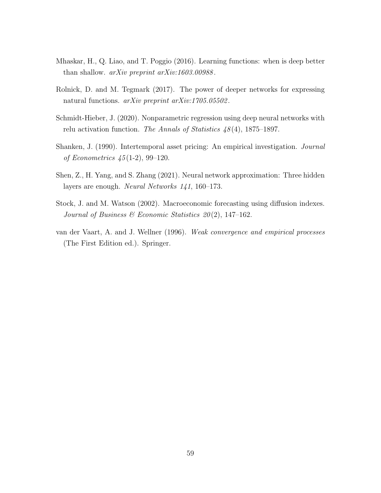- Mhaskar, H., Q. Liao, and T. Poggio (2016). Learning functions: when is deep better than shallow. *arXiv preprint arXiv:1603.00988*.
- Rolnick, D. and M. Tegmark (2017). The power of deeper networks for expressing natural functions. *arXiv preprint arXiv:1705.05502*.
- Schmidt-Hieber, J. (2020). Nonparametric regression using deep neural networks with relu activation function. The Annals of Statistics  $48(4)$ , 1875–1897.
- Shanken, J. (1990). Intertemporal asset pricing: An empirical investigation. Journal of Econometrics  $45(1-2)$ , 99-120.
- Shen, Z., H. Yang, and S. Zhang (2021). Neural network approximation: Three hidden layers are enough. Neural Networks 141, 160–173.
- Stock, J. and M. Watson (2002). Macroeconomic forecasting using diffusion indexes. Journal of Business & Economic Statistics  $20(2)$ , 147-162.
- van der Vaart, A. and J. Wellner (1996). Weak convergence and empirical processes (The First Edition ed.). Springer.